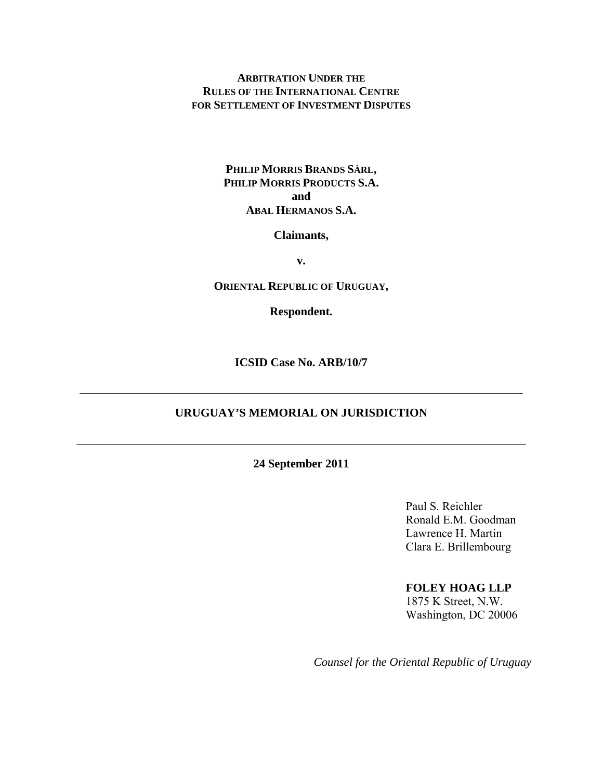**ARBITRATION UNDER THE RULES OF THE INTERNATIONAL CENTRE FOR SETTLEMENT OF INVESTMENT DISPUTES**

## **PHILIP MORRIS BRANDS SÀRL, PHILIP MORRIS PRODUCTS S.A. and ABAL HERMANOS S.A.**

#### **Claimants,**

**v.** 

#### **ORIENTAL REPUBLIC OF URUGUAY,**

**Respondent.** 

**ICSID Case No. ARB/10/7** 

## **URUGUAY'S MEMORIAL ON JURISDICTION**

 $\_$  , and the contribution of the contribution of  $\mathcal{L}_\mathcal{A}$  , and the contribution of  $\mathcal{L}_\mathcal{A}$ 

 $\mathcal{L}_\mathcal{L} = \mathcal{L}_\mathcal{L} = \mathcal{L}_\mathcal{L} = \mathcal{L}_\mathcal{L} = \mathcal{L}_\mathcal{L} = \mathcal{L}_\mathcal{L} = \mathcal{L}_\mathcal{L} = \mathcal{L}_\mathcal{L} = \mathcal{L}_\mathcal{L} = \mathcal{L}_\mathcal{L} = \mathcal{L}_\mathcal{L} = \mathcal{L}_\mathcal{L} = \mathcal{L}_\mathcal{L} = \mathcal{L}_\mathcal{L} = \mathcal{L}_\mathcal{L} = \mathcal{L}_\mathcal{L} = \mathcal{L}_\mathcal{L}$ 

## **24 September 2011**

Paul S. Reichler Ronald E.M. Goodman Lawrence H. Martin Clara E. Brillembourg

#### **FOLEY HOAG LLP**

1875 K Street, N.W. Washington, DC 20006

*Counsel for the Oriental Republic of Uruguay*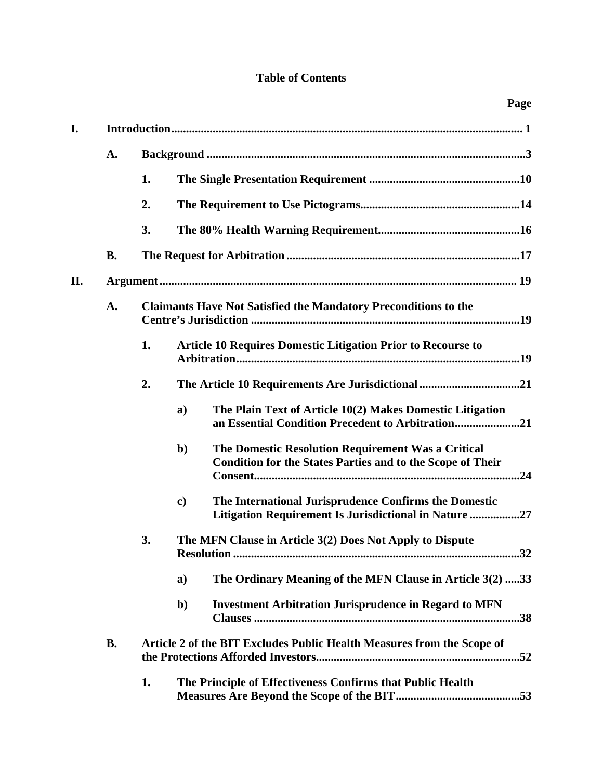# **Table of Contents**

| I.  |           |                                                                        |                                                                     |                                                                                                                         |  |  |  |
|-----|-----------|------------------------------------------------------------------------|---------------------------------------------------------------------|-------------------------------------------------------------------------------------------------------------------------|--|--|--|
|     | A.        |                                                                        |                                                                     |                                                                                                                         |  |  |  |
|     |           | 1.                                                                     |                                                                     |                                                                                                                         |  |  |  |
|     |           | 2.                                                                     |                                                                     |                                                                                                                         |  |  |  |
|     |           | 3.                                                                     |                                                                     |                                                                                                                         |  |  |  |
|     | <b>B.</b> |                                                                        |                                                                     |                                                                                                                         |  |  |  |
| II. |           |                                                                        |                                                                     |                                                                                                                         |  |  |  |
|     | A.        | <b>Claimants Have Not Satisfied the Mandatory Preconditions to the</b> |                                                                     |                                                                                                                         |  |  |  |
|     |           | 1.                                                                     | <b>Article 10 Requires Domestic Litigation Prior to Recourse to</b> |                                                                                                                         |  |  |  |
|     |           | 2.                                                                     |                                                                     |                                                                                                                         |  |  |  |
|     |           |                                                                        | a)                                                                  | The Plain Text of Article 10(2) Makes Domestic Litigation<br>an Essential Condition Precedent to Arbitration21          |  |  |  |
|     |           |                                                                        | $\mathbf{b}$                                                        | The Domestic Resolution Requirement Was a Critical<br><b>Condition for the States Parties and to the Scope of Their</b> |  |  |  |
|     |           |                                                                        | $\mathbf{c})$                                                       | The International Jurisprudence Confirms the Domestic<br>Litigation Requirement Is Jurisdictional in Nature 27          |  |  |  |
|     |           | 3.                                                                     | The MFN Clause in Article 3(2) Does Not Apply to Dispute            |                                                                                                                         |  |  |  |
|     |           |                                                                        | a)                                                                  | The Ordinary Meaning of the MFN Clause in Article 3(2) 33                                                               |  |  |  |
|     |           |                                                                        | b)                                                                  | <b>Investment Arbitration Jurisprudence in Regard to MFN</b>                                                            |  |  |  |
|     | <b>B.</b> | Article 2 of the BIT Excludes Public Health Measures from the Scope of |                                                                     |                                                                                                                         |  |  |  |
|     |           | 1.                                                                     |                                                                     | The Principle of Effectiveness Confirms that Public Health                                                              |  |  |  |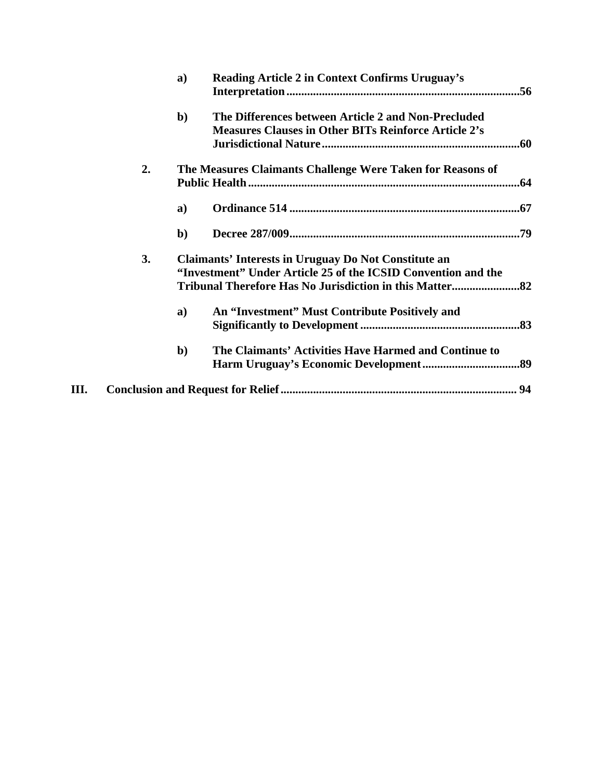|    |    | a)                                                                                                                           | Reading Article 2 in Context Confirms Uruguay's                                                                    |  |  |
|----|----|------------------------------------------------------------------------------------------------------------------------------|--------------------------------------------------------------------------------------------------------------------|--|--|
|    |    | $\mathbf{b}$                                                                                                                 | The Differences between Article 2 and Non-Precluded<br><b>Measures Clauses in Other BITs Reinforce Article 2's</b> |  |  |
|    | 2. |                                                                                                                              | The Measures Claimants Challenge Were Taken for Reasons of                                                         |  |  |
|    |    | a)                                                                                                                           |                                                                                                                    |  |  |
|    |    | $\mathbf{b}$                                                                                                                 |                                                                                                                    |  |  |
|    | 3. | <b>Claimants' Interests in Uruguay Do Not Constitute an</b><br>"Investment" Under Article 25 of the ICSID Convention and the |                                                                                                                    |  |  |
|    |    | a)                                                                                                                           | An "Investment" Must Contribute Positively and                                                                     |  |  |
|    |    | $\mathbf{b}$                                                                                                                 | The Claimants' Activities Have Harmed and Continue to                                                              |  |  |
| Ш. |    |                                                                                                                              |                                                                                                                    |  |  |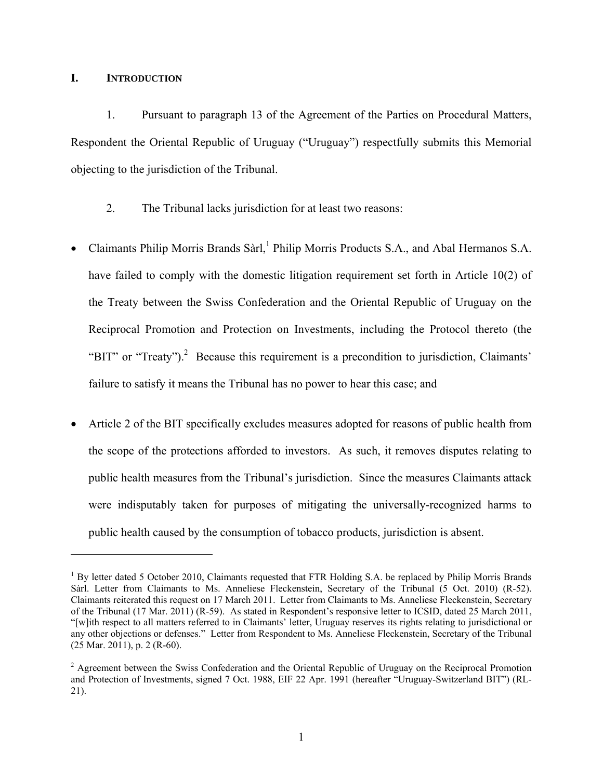## **I. INTRODUCTION**

 $\overline{a}$ 

1. Pursuant to paragraph 13 of the Agreement of the Parties on Procedural Matters, Respondent the Oriental Republic of Uruguay ("Uruguay") respectfully submits this Memorial objecting to the jurisdiction of the Tribunal.

- 2. The Tribunal lacks jurisdiction for at least two reasons:
- Claimants Philip Morris Brands Sàrl,<sup>1</sup> Philip Morris Products S.A., and Abal Hermanos S.A. have failed to comply with the domestic litigation requirement set forth in Article 10(2) of the Treaty between the Swiss Confederation and the Oriental Republic of Uruguay on the Reciprocal Promotion and Protection on Investments, including the Protocol thereto (the "BIT" or "Treaty").<sup>2</sup> Because this requirement is a precondition to jurisdiction, Claimants' failure to satisfy it means the Tribunal has no power to hear this case; and
- Article 2 of the BIT specifically excludes measures adopted for reasons of public health from the scope of the protections afforded to investors. As such, it removes disputes relating to public health measures from the Tribunal's jurisdiction. Since the measures Claimants attack were indisputably taken for purposes of mitigating the universally-recognized harms to public health caused by the consumption of tobacco products, jurisdiction is absent.

<sup>&</sup>lt;sup>1</sup> By letter dated 5 October 2010, Claimants requested that FTR Holding S.A. be replaced by Philip Morris Brands Sàrl. Letter from Claimants to Ms. Anneliese Fleckenstein, Secretary of the Tribunal (5 Oct. 2010) (R-52). Claimants reiterated this request on 17 March 2011. Letter from Claimants to Ms. Anneliese Fleckenstein, Secretary of the Tribunal (17 Mar. 2011) (R-59). As stated in Respondent's responsive letter to ICSID, dated 25 March 2011, "[w]ith respect to all matters referred to in Claimants' letter, Uruguay reserves its rights relating to jurisdictional or any other objections or defenses." Letter from Respondent to Ms. Anneliese Fleckenstein, Secretary of the Tribunal (25 Mar. 2011), p. 2 (R-60).

<sup>&</sup>lt;sup>2</sup> Agreement between the Swiss Confederation and the Oriental Republic of Uruguay on the Reciprocal Promotion and Protection of Investments, signed 7 Oct. 1988, EIF 22 Apr. 1991 (hereafter "Uruguay-Switzerland BIT") (RL-21).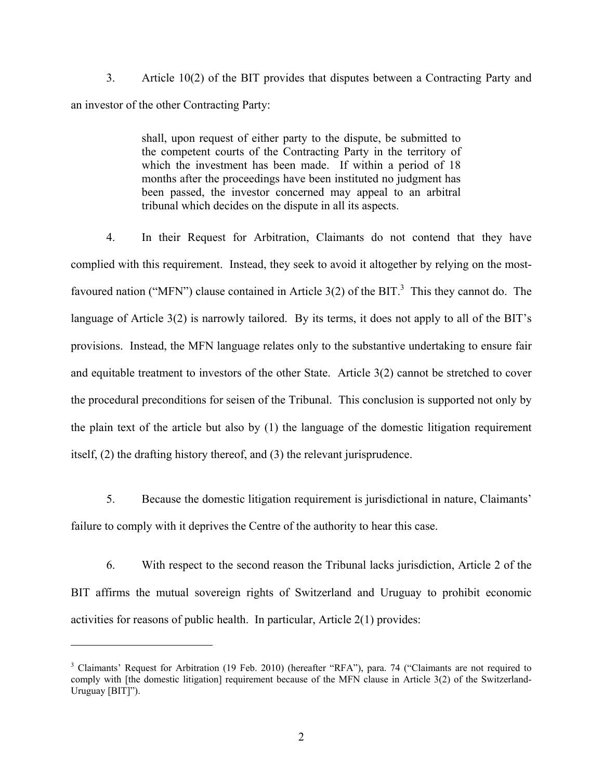3. Article 10(2) of the BIT provides that disputes between a Contracting Party and an investor of the other Contracting Party:

> shall, upon request of either party to the dispute, be submitted to the competent courts of the Contracting Party in the territory of which the investment has been made. If within a period of 18 months after the proceedings have been instituted no judgment has been passed, the investor concerned may appeal to an arbitral tribunal which decides on the dispute in all its aspects.

4. In their Request for Arbitration, Claimants do not contend that they have complied with this requirement. Instead, they seek to avoid it altogether by relying on the mostfavoured nation ("MFN") clause contained in Article 3(2) of the BIT.<sup>3</sup> This they cannot do. The language of Article 3(2) is narrowly tailored. By its terms, it does not apply to all of the BIT's provisions. Instead, the MFN language relates only to the substantive undertaking to ensure fair and equitable treatment to investors of the other State. Article 3(2) cannot be stretched to cover the procedural preconditions for seisen of the Tribunal. This conclusion is supported not only by the plain text of the article but also by (1) the language of the domestic litigation requirement itself, (2) the drafting history thereof, and (3) the relevant jurisprudence.

5. Because the domestic litigation requirement is jurisdictional in nature, Claimants' failure to comply with it deprives the Centre of the authority to hear this case.

6. With respect to the second reason the Tribunal lacks jurisdiction, Article 2 of the BIT affirms the mutual sovereign rights of Switzerland and Uruguay to prohibit economic activities for reasons of public health. In particular, Article 2(1) provides:

<sup>&</sup>lt;sup>3</sup> Claimants' Request for Arbitration (19 Feb. 2010) (hereafter "RFA"), para. 74 ("Claimants are not required to comply with [the domestic litigation] requirement because of the MFN clause in Article 3(2) of the Switzerland-Uruguay [BIT]").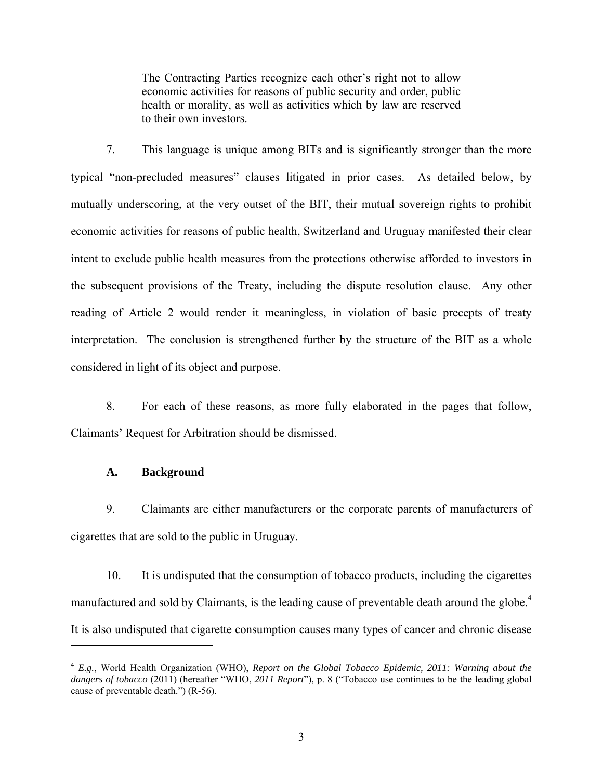The Contracting Parties recognize each other's right not to allow economic activities for reasons of public security and order, public health or morality, as well as activities which by law are reserved to their own investors.

7. This language is unique among BITs and is significantly stronger than the more typical "non-precluded measures" clauses litigated in prior cases. As detailed below, by mutually underscoring, at the very outset of the BIT, their mutual sovereign rights to prohibit economic activities for reasons of public health, Switzerland and Uruguay manifested their clear intent to exclude public health measures from the protections otherwise afforded to investors in the subsequent provisions of the Treaty, including the dispute resolution clause. Any other reading of Article 2 would render it meaningless, in violation of basic precepts of treaty interpretation. The conclusion is strengthened further by the structure of the BIT as a whole considered in light of its object and purpose.

8. For each of these reasons, as more fully elaborated in the pages that follow, Claimants' Request for Arbitration should be dismissed.

#### **A. Background**

1

9. Claimants are either manufacturers or the corporate parents of manufacturers of cigarettes that are sold to the public in Uruguay.

10. It is undisputed that the consumption of tobacco products, including the cigarettes manufactured and sold by Claimants, is the leading cause of preventable death around the globe.<sup>4</sup> It is also undisputed that cigarette consumption causes many types of cancer and chronic disease

<sup>4</sup> *E.g.*, World Health Organization (WHO), *Report on the Global Tobacco Epidemic, 2011: Warning about the dangers of tobacco* (2011) (hereafter "WHO, *2011 Report*"), p. 8 ("Tobacco use continues to be the leading global cause of preventable death.") (R-56).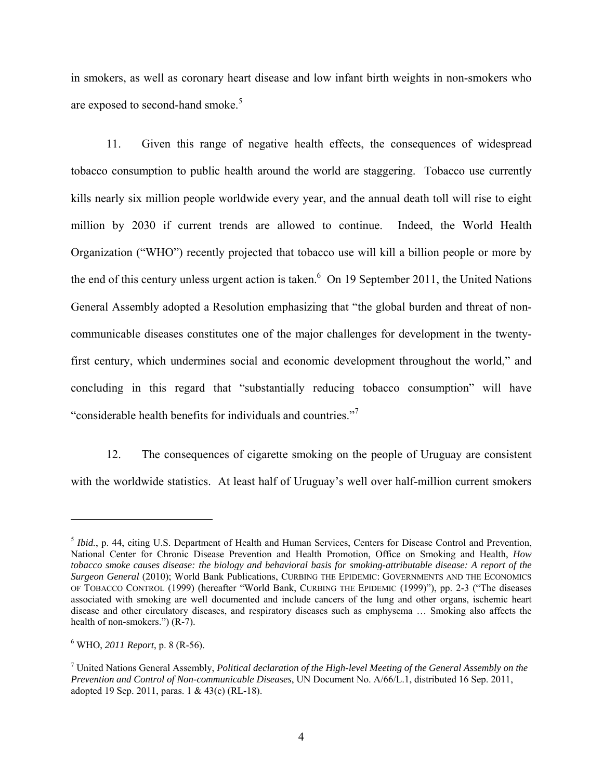in smokers, as well as coronary heart disease and low infant birth weights in non-smokers who are exposed to second-hand smoke.<sup>5</sup>

11. Given this range of negative health effects, the consequences of widespread tobacco consumption to public health around the world are staggering. Tobacco use currently kills nearly six million people worldwide every year, and the annual death toll will rise to eight million by 2030 if current trends are allowed to continue. Indeed, the World Health Organization ("WHO") recently projected that tobacco use will kill a billion people or more by the end of this century unless urgent action is taken.<sup>6</sup> On 19 September 2011, the United Nations General Assembly adopted a Resolution emphasizing that "the global burden and threat of noncommunicable diseases constitutes one of the major challenges for development in the twentyfirst century, which undermines social and economic development throughout the world," and concluding in this regard that "substantially reducing tobacco consumption" will have "considerable health benefits for individuals and countries."7

12. The consequences of cigarette smoking on the people of Uruguay are consistent with the worldwide statistics. At least half of Uruguay's well over half-million current smokers

<sup>&</sup>lt;sup>5</sup> *Ibid.*, p. 44, citing U.S. Department of Health and Human Services, Centers for Disease Control and Prevention, National Center for Chronic Disease Prevention and Health Promotion, Office on Smoking and Health, *How tobacco smoke causes disease: the biology and behavioral basis for smoking-attributable disease: A report of the Surgeon General* (2010); World Bank Publications, CURBING THE EPIDEMIC: GOVERNMENTS AND THE ECONOMICS OF TOBACCO CONTROL (1999) (hereafter "World Bank, CURBING THE EPIDEMIC (1999)"), pp. 2-3 ("The diseases associated with smoking are well documented and include cancers of the lung and other organs, ischemic heart disease and other circulatory diseases, and respiratory diseases such as emphysema … Smoking also affects the health of non-smokers.") (R-7).

<sup>6</sup> WHO, *2011 Report*, p. 8 (R-56).

<sup>7</sup> United Nations General Assembly, *Political declaration of the High-level Meeting of the General Assembly on the Prevention and Control of Non-communicable Diseases*, UN Document No. A/66/L.1, distributed 16 Sep. 2011, adopted 19 Sep. 2011, paras. 1 & 43(c) (RL-18).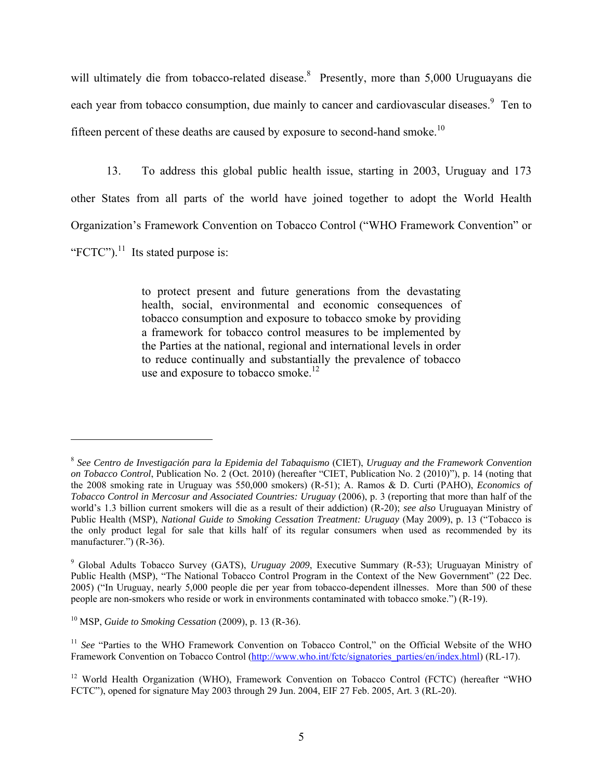will ultimately die from tobacco-related disease.<sup>8</sup> Presently, more than 5,000 Uruguayans die each year from tobacco consumption, due mainly to cancer and cardiovascular diseases. <sup>9</sup> Ten to fifteen percent of these deaths are caused by exposure to second-hand smoke.<sup>10</sup>

13. To address this global public health issue, starting in 2003, Uruguay and 173 other States from all parts of the world have joined together to adopt the World Health Organization's Framework Convention on Tobacco Control ("WHO Framework Convention" or "FCTC"). $^{11}$  Its stated purpose is:

> to protect present and future generations from the devastating health, social, environmental and economic consequences of tobacco consumption and exposure to tobacco smoke by providing a framework for tobacco control measures to be implemented by the Parties at the national, regional and international levels in order to reduce continually and substantially the prevalence of tobacco use and exposure to tobacco smoke. $12$

<sup>8</sup> *See Centro de Investigación para la Epidemia del Tabaquismo* (CIET), *Uruguay and the Framework Convention on Tobacco Control*, Publication No. 2 (Oct. 2010) (hereafter "CIET, Publication No. 2 (2010)"), p. 14 (noting that the 2008 smoking rate in Uruguay was 550,000 smokers) (R-51); A. Ramos & D. Curti (PAHO), *Economics of Tobacco Control in Mercosur and Associated Countries: Uruguay* (2006), p. 3 (reporting that more than half of the world's 1.3 billion current smokers will die as a result of their addiction) (R-20); *see also* Uruguayan Ministry of Public Health (MSP), *National Guide to Smoking Cessation Treatment: Uruguay* (May 2009), p. 13 ("Tobacco is the only product legal for sale that kills half of its regular consumers when used as recommended by its manufacturer.") (R-36).

<sup>9</sup> Global Adults Tobacco Survey (GATS), *Uruguay 2009*, Executive Summary (R-53); Uruguayan Ministry of Public Health (MSP), "The National Tobacco Control Program in the Context of the New Government" (22 Dec. 2005) ("In Uruguay, nearly 5,000 people die per year from tobacco-dependent illnesses. More than 500 of these people are non-smokers who reside or work in environments contaminated with tobacco smoke.") (R-19).

<sup>10</sup> MSP, *Guide to Smoking Cessation* (2009), p. 13 (R-36).

<sup>&</sup>lt;sup>11</sup> See "Parties to the WHO Framework Convention on Tobacco Control," on the Official Website of the WHO Framework Convention on Tobacco Control (http://www.who.int/fctc/signatories\_parties/en/index.html) (RL-17).

<sup>&</sup>lt;sup>12</sup> World Health Organization (WHO), Framework Convention on Tobacco Control (FCTC) (hereafter "WHO FCTC"), opened for signature May 2003 through 29 Jun. 2004, EIF 27 Feb. 2005, Art. 3 (RL-20).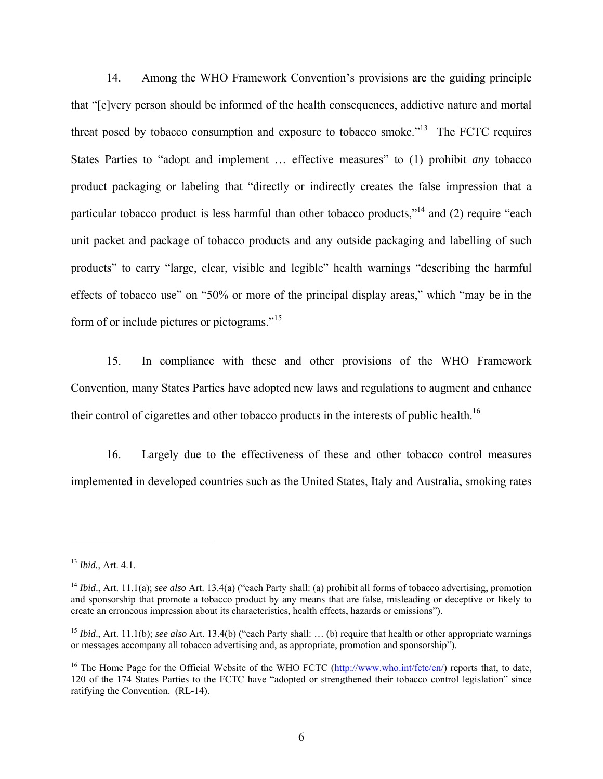14. Among the WHO Framework Convention's provisions are the guiding principle that "[e]very person should be informed of the health consequences, addictive nature and mortal threat posed by tobacco consumption and exposure to tobacco smoke.<sup>"13</sup> The FCTC requires States Parties to "adopt and implement … effective measures" to (1) prohibit *any* tobacco product packaging or labeling that "directly or indirectly creates the false impression that a particular tobacco product is less harmful than other tobacco products,"14 and (2) require "each unit packet and package of tobacco products and any outside packaging and labelling of such products" to carry "large, clear, visible and legible" health warnings "describing the harmful effects of tobacco use" on "50% or more of the principal display areas," which "may be in the form of or include pictures or pictograms."<sup>15</sup>

15. In compliance with these and other provisions of the WHO Framework Convention, many States Parties have adopted new laws and regulations to augment and enhance their control of cigarettes and other tobacco products in the interests of public health.<sup>16</sup>

16. Largely due to the effectiveness of these and other tobacco control measures implemented in developed countries such as the United States, Italy and Australia, smoking rates

1

<sup>13</sup> *Ibid.*, Art. 4.1.

<sup>&</sup>lt;sup>14</sup> *Ibid.*, Art. 11.1(a); see also Art. 13.4(a) ("each Party shall: (a) prohibit all forms of tobacco advertising, promotion and sponsorship that promote a tobacco product by any means that are false, misleading or deceptive or likely to create an erroneous impression about its characteristics, health effects, hazards or emissions").

<sup>&</sup>lt;sup>15</sup> *Ibid.*, Art. 11.1(b); *see also* Art. 13.4(b) ("each Party shall: ... (b) require that health or other appropriate warnings or messages accompany all tobacco advertising and, as appropriate, promotion and sponsorship").

<sup>&</sup>lt;sup>16</sup> The Home Page for the Official Website of the WHO FCTC ( $\frac{http://www.who.int/fctc/en/}{http://www.who.int/fctc/en/})$  reports that, to date, 120 of the 174 States Parties to the FCTC have "adopted or strengthened their tobacco control legislation" since ratifying the Convention. (RL-14).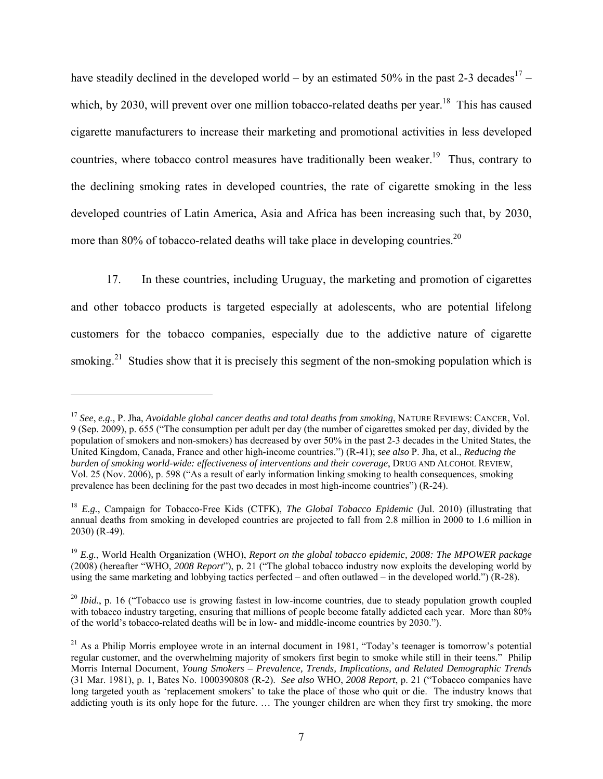have steadily declined in the developed world – by an estimated 50% in the past 2-3 decades<sup>17</sup> – which, by 2030, will prevent over one million tobacco-related deaths per year.<sup>18</sup> This has caused cigarette manufacturers to increase their marketing and promotional activities in less developed countries, where tobacco control measures have traditionally been weaker.<sup>19</sup> Thus, contrary to the declining smoking rates in developed countries, the rate of cigarette smoking in the less developed countries of Latin America, Asia and Africa has been increasing such that, by 2030, more than 80% of tobacco-related deaths will take place in developing countries.<sup>20</sup>

17. In these countries, including Uruguay, the marketing and promotion of cigarettes and other tobacco products is targeted especially at adolescents, who are potential lifelong customers for the tobacco companies, especially due to the addictive nature of cigarette smoking.<sup>21</sup> Studies show that it is precisely this segment of the non-smoking population which is

<sup>17</sup> *See*, *e.g.*, P. Jha, *Avoidable global cancer deaths and total deaths from smoking*, NATURE REVIEWS: CANCER, Vol. 9 (Sep. 2009), p. 655 ("The consumption per adult per day (the number of cigarettes smoked per day, divided by the population of smokers and non-smokers) has decreased by over 50% in the past 2-3 decades in the United States, the United Kingdom, Canada, France and other high-income countries.") (R-41); *see also* P. Jha, et al., *Reducing the burden of smoking world-wide: effectiveness of interventions and their coverage*, DRUG AND ALCOHOL REVIEW, Vol. 25 (Nov. 2006), p. 598 ("As a result of early information linking smoking to health consequences, smoking prevalence has been declining for the past two decades in most high-income countries") (R-24).

<sup>18</sup> *E.g.*, Campaign for Tobacco-Free Kids (CTFK), *The Global Tobacco Epidemic* (Jul. 2010) (illustrating that annual deaths from smoking in developed countries are projected to fall from 2.8 million in 2000 to 1.6 million in 2030) (R-49).

<sup>19</sup> *E.g.*, World Health Organization (WHO), *Report on the global tobacco epidemic, 2008: The MPOWER package* (2008) (hereafter "WHO, *2008 Report*"), p. 21 ("The global tobacco industry now exploits the developing world by using the same marketing and lobbying tactics perfected – and often outlawed – in the developed world.") (R-28).

<sup>&</sup>lt;sup>20</sup> *Ibid.*, p. 16 ("Tobacco use is growing fastest in low-income countries, due to steady population growth coupled with tobacco industry targeting, ensuring that millions of people become fatally addicted each year. More than 80% of the world's tobacco-related deaths will be in low- and middle-income countries by 2030.").

 $21$  As a Philip Morris employee wrote in an internal document in 1981, "Today's teenager is tomorrow's potential regular customer, and the overwhelming majority of smokers first begin to smoke while still in their teens." Philip Morris Internal Document, *Young Smokers – Prevalence, Trends, Implications, and Related Demographic Trends* (31 Mar. 1981), p. 1, Bates No. 1000390808 (R-2). *See also* WHO, *2008 Report*, p. 21 ("Tobacco companies have long targeted youth as 'replacement smokers' to take the place of those who quit or die. The industry knows that addicting youth is its only hope for the future. … The younger children are when they first try smoking, the more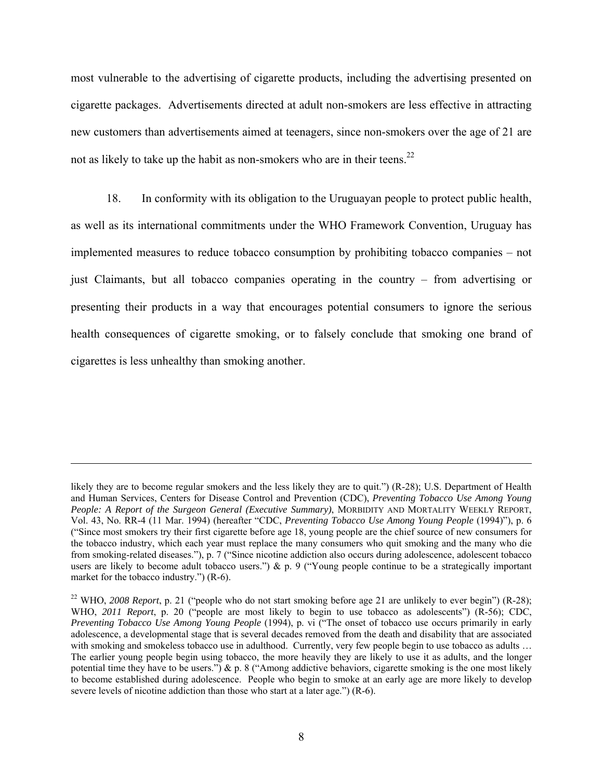most vulnerable to the advertising of cigarette products, including the advertising presented on cigarette packages. Advertisements directed at adult non-smokers are less effective in attracting new customers than advertisements aimed at teenagers, since non-smokers over the age of 21 are not as likely to take up the habit as non-smokers who are in their teens.<sup>22</sup>

18. In conformity with its obligation to the Uruguayan people to protect public health, as well as its international commitments under the WHO Framework Convention, Uruguay has implemented measures to reduce tobacco consumption by prohibiting tobacco companies – not just Claimants, but all tobacco companies operating in the country – from advertising or presenting their products in a way that encourages potential consumers to ignore the serious health consequences of cigarette smoking, or to falsely conclude that smoking one brand of cigarettes is less unhealthy than smoking another.

likely they are to become regular smokers and the less likely they are to quit.") (R-28); U.S. Department of Health and Human Services, Centers for Disease Control and Prevention (CDC), *Preventing Tobacco Use Among Young People: A Report of the Surgeon General (Executive Summary)*, MORBIDITY AND MORTALITY WEEKLY REPORT, Vol. 43, No. RR-4 (11 Mar. 1994) (hereafter "CDC, *Preventing Tobacco Use Among Young People* (1994)"), p. 6 ("Since most smokers try their first cigarette before age 18, young people are the chief source of new consumers for the tobacco industry, which each year must replace the many consumers who quit smoking and the many who die from smoking-related diseases."), p. 7 ("Since nicotine addiction also occurs during adolescence, adolescent tobacco users are likely to become adult tobacco users.")  $\& p. 9$  ("Young people continue to be a strategically important market for the tobacco industry.") (R-6).

<sup>&</sup>lt;sup>22</sup> WHO, *2008 Report*, p. 21 ("people who do not start smoking before age 21 are unlikely to ever begin") (R-28); WHO, *2011 Report*, p. 20 ("people are most likely to begin to use tobacco as adolescents") (R-56); CDC, *Preventing Tobacco Use Among Young People* (1994), p. vi ("The onset of tobacco use occurs primarily in early adolescence, a developmental stage that is several decades removed from the death and disability that are associated with smoking and smokeless tobacco use in adulthood. Currently, very few people begin to use tobacco as adults ... The earlier young people begin using tobacco, the more heavily they are likely to use it as adults, and the longer potential time they have to be users.")  $\&$  p. 8 ("Among addictive behaviors, cigarette smoking is the one most likely to become established during adolescence. People who begin to smoke at an early age are more likely to develop severe levels of nicotine addiction than those who start at a later age.") (R-6).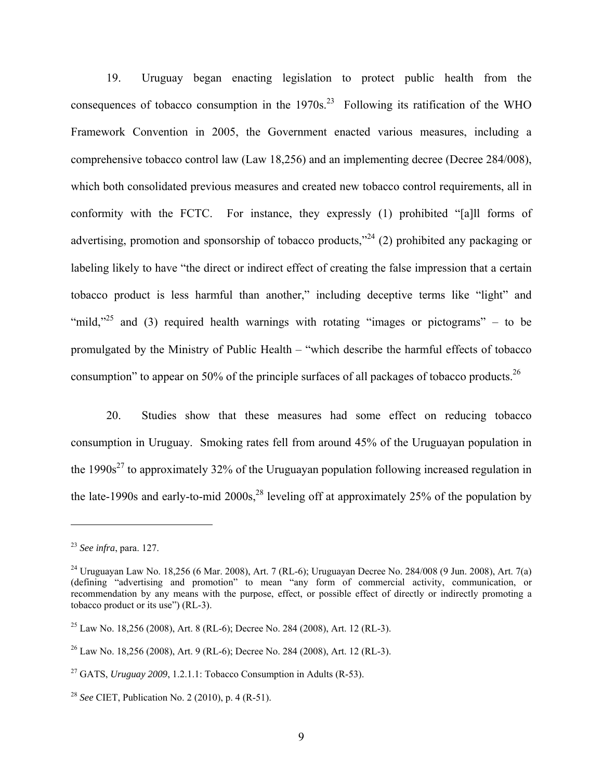19. Uruguay began enacting legislation to protect public health from the consequences of tobacco consumption in the  $1970s<sup>23</sup>$  Following its ratification of the WHO Framework Convention in 2005, the Government enacted various measures, including a comprehensive tobacco control law (Law 18,256) and an implementing decree (Decree 284/008), which both consolidated previous measures and created new tobacco control requirements, all in conformity with the FCTC. For instance, they expressly (1) prohibited "[a]ll forms of advertising, promotion and sponsorship of tobacco products,"<sup>24</sup> (2) prohibited any packaging or labeling likely to have "the direct or indirect effect of creating the false impression that a certain tobacco product is less harmful than another," including deceptive terms like "light" and "mild,"<sup>25</sup> and (3) required health warnings with rotating "images or pictograms" – to be promulgated by the Ministry of Public Health – "which describe the harmful effects of tobacco consumption" to appear on 50% of the principle surfaces of all packages of tobacco products.<sup>26</sup>

20. Studies show that these measures had some effect on reducing tobacco consumption in Uruguay. Smoking rates fell from around 45% of the Uruguayan population in the  $1990s<sup>27</sup>$  to approximately 32% of the Uruguayan population following increased regulation in the late-1990s and early-to-mid  $2000s<sup>28</sup>$  leveling off at approximately 25% of the population by

<sup>23</sup> *See infra*, para. 127.

<sup>24</sup> Uruguayan Law No. 18,256 (6 Mar. 2008), Art. 7 (RL-6); Uruguayan Decree No. 284/008 (9 Jun. 2008), Art. 7(a) (defining "advertising and promotion" to mean "any form of commercial activity, communication, or recommendation by any means with the purpose, effect, or possible effect of directly or indirectly promoting a tobacco product or its use") (RL-3).

<sup>&</sup>lt;sup>25</sup> Law No. 18,256 (2008), Art. 8 (RL-6); Decree No. 284 (2008), Art. 12 (RL-3).

 $^{26}$  Law No. 18,256 (2008), Art. 9 (RL-6); Decree No. 284 (2008), Art. 12 (RL-3).

<sup>27</sup> GATS, *Uruguay 2009*, 1.2.1.1: Tobacco Consumption in Adults (R-53).

<sup>28</sup> *See* CIET, Publication No. 2 (2010), p. 4 (R-51).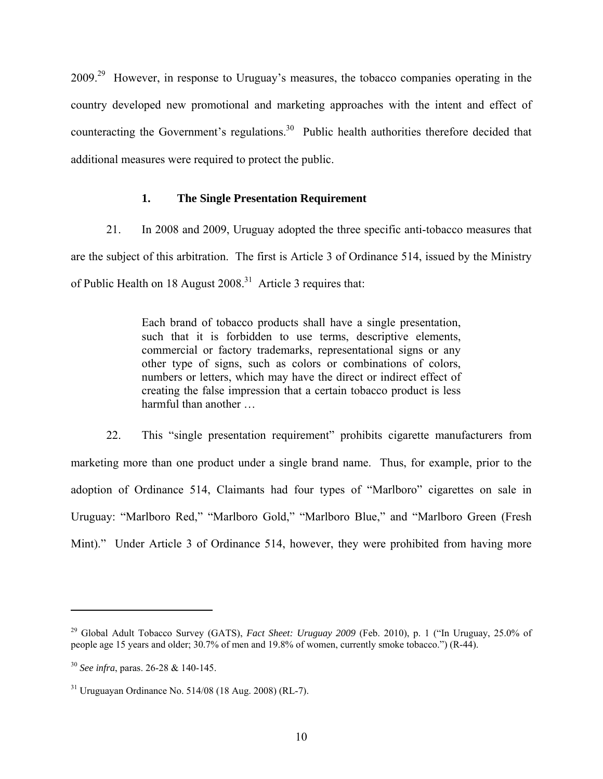2009.29 However, in response to Uruguay's measures, the tobacco companies operating in the country developed new promotional and marketing approaches with the intent and effect of counteracting the Government's regulations.<sup>30</sup> Public health authorities therefore decided that additional measures were required to protect the public.

## **1. The Single Presentation Requirement**

21. In 2008 and 2009, Uruguay adopted the three specific anti-tobacco measures that are the subject of this arbitration. The first is Article 3 of Ordinance 514, issued by the Ministry of Public Health on 18 August  $2008$ <sup>31</sup> Article 3 requires that:

> Each brand of tobacco products shall have a single presentation, such that it is forbidden to use terms, descriptive elements, commercial or factory trademarks, representational signs or any other type of signs, such as colors or combinations of colors, numbers or letters, which may have the direct or indirect effect of creating the false impression that a certain tobacco product is less harmful than another …

22. This "single presentation requirement" prohibits cigarette manufacturers from marketing more than one product under a single brand name. Thus, for example, prior to the adoption of Ordinance 514, Claimants had four types of "Marlboro" cigarettes on sale in Uruguay: "Marlboro Red," "Marlboro Gold," "Marlboro Blue," and "Marlboro Green (Fresh Mint)." Under Article 3 of Ordinance 514, however, they were prohibited from having more

<u>.</u>

<sup>&</sup>lt;sup>29</sup> Global Adult Tobacco Survey (GATS), *Fact Sheet: Uruguay 2009* (Feb. 2010), p. 1 ("In Uruguay, 25.0% of people age 15 years and older; 30.7% of men and 19.8% of women, currently smoke tobacco.") (R-44).

<sup>30</sup> *See infra*, paras. 26-28 & 140-145.

 $31$  Uruguayan Ordinance No. 514/08 (18 Aug. 2008) (RL-7).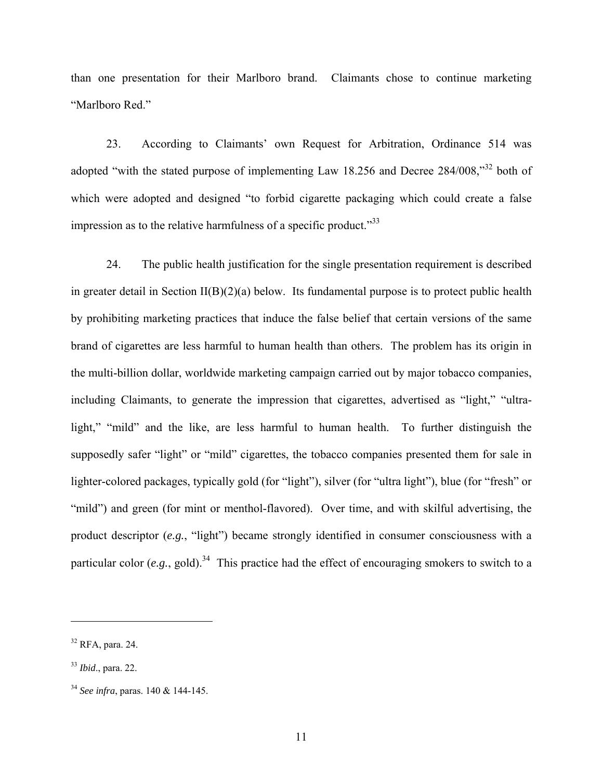than one presentation for their Marlboro brand. Claimants chose to continue marketing "Marlboro Red."

23. According to Claimants' own Request for Arbitration, Ordinance 514 was adopted "with the stated purpose of implementing Law 18.256 and Decree 284/008,"32 both of which were adopted and designed "to forbid cigarette packaging which could create a false impression as to the relative harmfulness of a specific product."<sup>33</sup>

24. The public health justification for the single presentation requirement is described in greater detail in Section  $II(B)(2)(a)$  below. Its fundamental purpose is to protect public health by prohibiting marketing practices that induce the false belief that certain versions of the same brand of cigarettes are less harmful to human health than others. The problem has its origin in the multi-billion dollar, worldwide marketing campaign carried out by major tobacco companies, including Claimants, to generate the impression that cigarettes, advertised as "light," "ultralight," "mild" and the like, are less harmful to human health. To further distinguish the supposedly safer "light" or "mild" cigarettes, the tobacco companies presented them for sale in lighter-colored packages, typically gold (for "light"), silver (for "ultra light"), blue (for "fresh" or "mild") and green (for mint or menthol-flavored). Over time, and with skilful advertising, the product descriptor (*e.g.*, "light") became strongly identified in consumer consciousness with a particular color  $(e.g., gold)^{34}$  This practice had the effect of encouraging smokers to switch to a

1

 $32$  RFA, para. 24.

<sup>33</sup> *Ibid*., para. 22.

<sup>34</sup> *See infra*, paras. 140 & 144-145.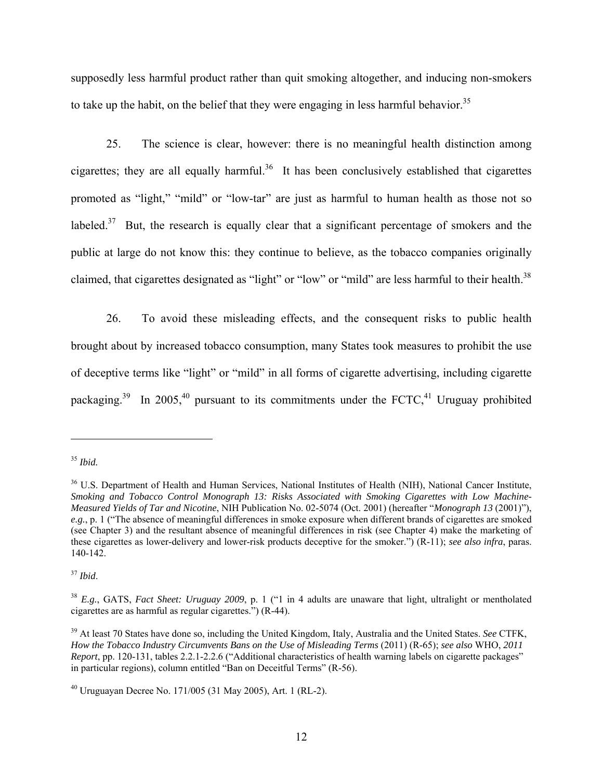supposedly less harmful product rather than quit smoking altogether, and inducing non-smokers to take up the habit, on the belief that they were engaging in less harmful behavior.<sup>35</sup>

25. The science is clear, however: there is no meaningful health distinction among cigarettes; they are all equally harmful.<sup>36</sup> It has been conclusively established that cigarettes promoted as "light," "mild" or "low-tar" are just as harmful to human health as those not so labeled.<sup>37</sup> But, the research is equally clear that a significant percentage of smokers and the public at large do not know this: they continue to believe, as the tobacco companies originally claimed, that cigarettes designated as "light" or "low" or "mild" are less harmful to their health.<sup>38</sup>

26. To avoid these misleading effects, and the consequent risks to public health brought about by increased tobacco consumption, many States took measures to prohibit the use of deceptive terms like "light" or "mild" in all forms of cigarette advertising, including cigarette packaging.<sup>39</sup> In 2005,<sup>40</sup> pursuant to its commitments under the FCTC,<sup>41</sup> Uruguay prohibited

 $\overline{a}$ 

<sup>37</sup> *Ibid*.

<sup>35</sup> *Ibid.* 

<sup>36</sup> U.S. Department of Health and Human Services, National Institutes of Health (NIH), National Cancer Institute, *Smoking and Tobacco Control Monograph 13: Risks Associated with Smoking Cigarettes with Low Machine-Measured Yields of Tar and Nicotine*, NIH Publication No. 02-5074 (Oct. 2001) (hereafter "*Monograph 13* (2001)"), *e.g.*, p. 1 ("The absence of meaningful differences in smoke exposure when different brands of cigarettes are smoked (see Chapter 3) and the resultant absence of meaningful differences in risk (see Chapter 4) make the marketing of these cigarettes as lower-delivery and lower-risk products deceptive for the smoker.") (R-11); *see also infra*, paras. 140-142.

<sup>38</sup> *E.g.*, GATS, *Fact Sheet: Uruguay 2009*, p. 1 ("1 in 4 adults are unaware that light, ultralight or mentholated cigarettes are as harmful as regular cigarettes.") (R-44).

<sup>39</sup> At least 70 States have done so, including the United Kingdom, Italy, Australia and the United States. *See* CTFK, *How the Tobacco Industry Circumvents Bans on the Use of Misleading Terms* (2011) (R-65); *see also* WHO, *2011 Report*, pp. 120-131, tables 2.2.1-2.2.6 ("Additional characteristics of health warning labels on cigarette packages" in particular regions), column entitled "Ban on Deceitful Terms" (R-56).

<sup>40</sup> Uruguayan Decree No. 171/005 (31 May 2005), Art. 1 (RL-2).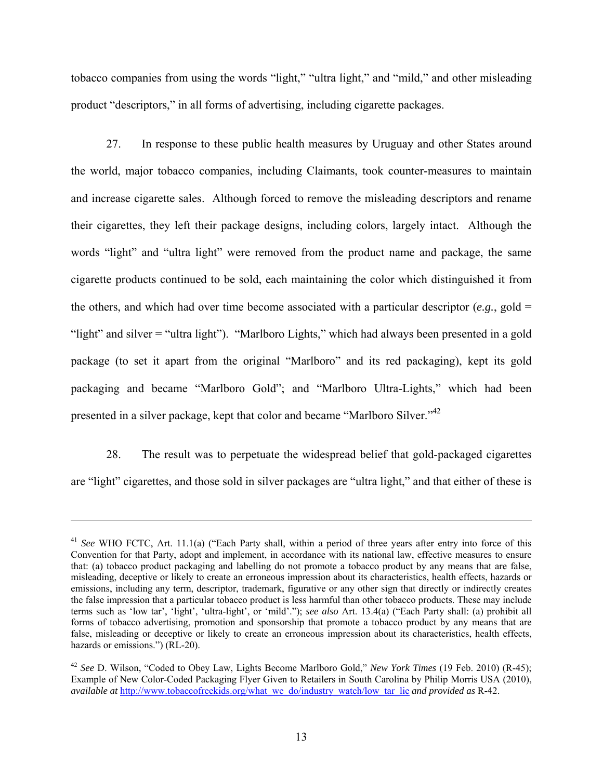tobacco companies from using the words "light," "ultra light," and "mild," and other misleading product "descriptors," in all forms of advertising, including cigarette packages.

27. In response to these public health measures by Uruguay and other States around the world, major tobacco companies, including Claimants, took counter-measures to maintain and increase cigarette sales. Although forced to remove the misleading descriptors and rename their cigarettes, they left their package designs, including colors, largely intact. Although the words "light" and "ultra light" were removed from the product name and package, the same cigarette products continued to be sold, each maintaining the color which distinguished it from the others, and which had over time become associated with a particular descriptor  $(e.g.,$  gold = "light" and silver = "ultra light"). "Marlboro Lights," which had always been presented in a gold package (to set it apart from the original "Marlboro" and its red packaging), kept its gold packaging and became "Marlboro Gold"; and "Marlboro Ultra-Lights," which had been presented in a silver package, kept that color and became "Marlboro Silver."42

28. The result was to perpetuate the widespread belief that gold-packaged cigarettes are "light" cigarettes, and those sold in silver packages are "ultra light," and that either of these is

<sup>41</sup> *See* WHO FCTC, Art. 11.1(a) ("Each Party shall, within a period of three years after entry into force of this Convention for that Party, adopt and implement, in accordance with its national law, effective measures to ensure that: (a) tobacco product packaging and labelling do not promote a tobacco product by any means that are false, misleading, deceptive or likely to create an erroneous impression about its characteristics, health effects, hazards or emissions, including any term, descriptor, trademark, figurative or any other sign that directly or indirectly creates the false impression that a particular tobacco product is less harmful than other tobacco products. These may include terms such as 'low tar', 'light', 'ultra-light', or 'mild'."); *see also* Art. 13.4(a) ("Each Party shall: (a) prohibit all forms of tobacco advertising, promotion and sponsorship that promote a tobacco product by any means that are false, misleading or deceptive or likely to create an erroneous impression about its characteristics, health effects, hazards or emissions.") (RL-20).

<sup>42</sup> *See* D. Wilson, "Coded to Obey Law, Lights Become Marlboro Gold," *New York Times* (19 Feb. 2010) (R-45); Example of New Color-Coded Packaging Flyer Given to Retailers in South Carolina by Philip Morris USA (2010), *available at* http://www.tobaccofreekids.org/what\_we\_do/industry\_watch/low\_tar\_lie *and provided as* R-42.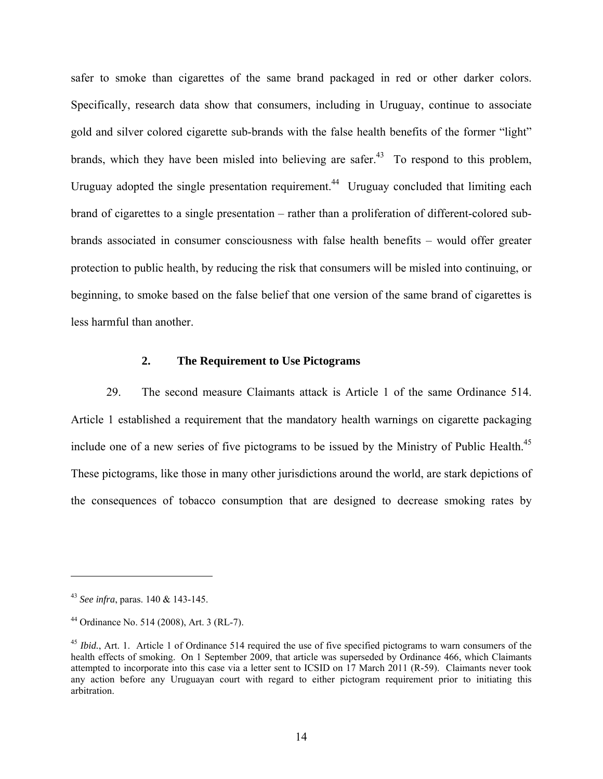safer to smoke than cigarettes of the same brand packaged in red or other darker colors. Specifically, research data show that consumers, including in Uruguay, continue to associate gold and silver colored cigarette sub-brands with the false health benefits of the former "light" brands, which they have been misled into believing are safer.<sup>43</sup> To respond to this problem, Uruguay adopted the single presentation requirement.<sup>44</sup> Uruguay concluded that limiting each brand of cigarettes to a single presentation – rather than a proliferation of different-colored subbrands associated in consumer consciousness with false health benefits – would offer greater protection to public health, by reducing the risk that consumers will be misled into continuing, or beginning, to smoke based on the false belief that one version of the same brand of cigarettes is less harmful than another.

#### **2. The Requirement to Use Pictograms**

29. The second measure Claimants attack is Article 1 of the same Ordinance 514. Article 1 established a requirement that the mandatory health warnings on cigarette packaging include one of a new series of five pictograms to be issued by the Ministry of Public Health.<sup>45</sup> These pictograms, like those in many other jurisdictions around the world, are stark depictions of the consequences of tobacco consumption that are designed to decrease smoking rates by

<u>.</u>

<sup>43</sup> *See infra*, paras. 140 & 143-145.

<sup>44</sup> Ordinance No. 514 (2008), Art. 3 (RL-7).

<sup>&</sup>lt;sup>45</sup> *Ibid.*, Art. 1. Article 1 of Ordinance 514 required the use of five specified pictograms to warn consumers of the health effects of smoking. On 1 September 2009, that article was superseded by Ordinance 466, which Claimants attempted to incorporate into this case via a letter sent to ICSID on 17 March 2011 (R-59). Claimants never took any action before any Uruguayan court with regard to either pictogram requirement prior to initiating this arbitration.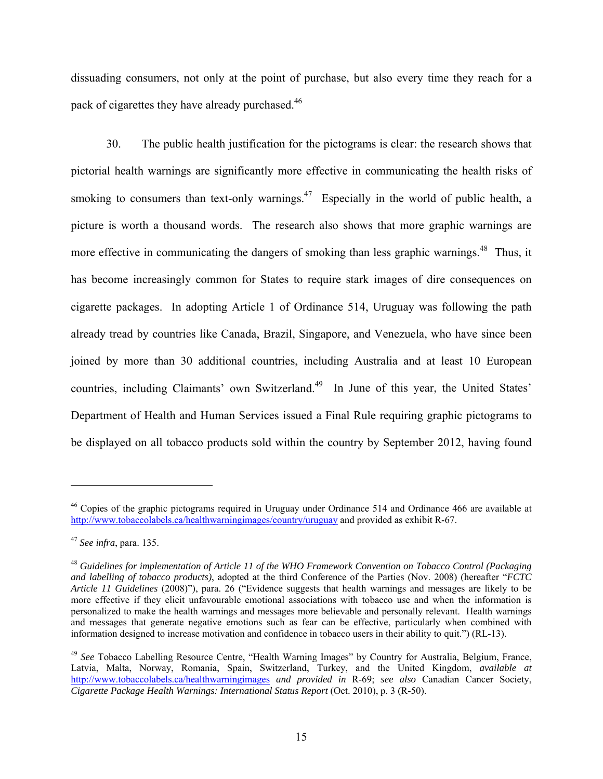dissuading consumers, not only at the point of purchase, but also every time they reach for a pack of cigarettes they have already purchased.<sup>46</sup>

30. The public health justification for the pictograms is clear: the research shows that pictorial health warnings are significantly more effective in communicating the health risks of smoking to consumers than text-only warnings.<sup>47</sup> Especially in the world of public health, a picture is worth a thousand words. The research also shows that more graphic warnings are more effective in communicating the dangers of smoking than less graphic warnings.<sup>48</sup> Thus, it has become increasingly common for States to require stark images of dire consequences on cigarette packages. In adopting Article 1 of Ordinance 514, Uruguay was following the path already tread by countries like Canada, Brazil, Singapore, and Venezuela, who have since been joined by more than 30 additional countries, including Australia and at least 10 European countries, including Claimants' own Switzerland.<sup>49</sup> In June of this year, the United States' Department of Health and Human Services issued a Final Rule requiring graphic pictograms to be displayed on all tobacco products sold within the country by September 2012, having found

<sup>&</sup>lt;sup>46</sup> Copies of the graphic pictograms required in Uruguay under Ordinance 514 and Ordinance 466 are available at http://www.tobaccolabels.ca/healthwarningimages/country/uruguay and provided as exhibit R-67.

<sup>47</sup> *See infra*, para. 135.

<sup>48</sup> *Guidelines for implementation of Article 11 of the WHO Framework Convention on Tobacco Control (Packaging and labelling of tobacco products)*, adopted at the third Conference of the Parties (Nov. 2008) (hereafter "*FCTC Article 11 Guidelines* (2008)"), para. 26 ("Evidence suggests that health warnings and messages are likely to be more effective if they elicit unfavourable emotional associations with tobacco use and when the information is personalized to make the health warnings and messages more believable and personally relevant. Health warnings and messages that generate negative emotions such as fear can be effective, particularly when combined with information designed to increase motivation and confidence in tobacco users in their ability to quit.") (RL-13).

<sup>49</sup> *See* Tobacco Labelling Resource Centre, "Health Warning Images" by Country for Australia, Belgium, France, Latvia, Malta, Norway, Romania, Spain, Switzerland, Turkey, and the United Kingdom, *available at* http://www.tobaccolabels.ca/healthwarningimages *and provided in* R-69; *see also* Canadian Cancer Society, *Cigarette Package Health Warnings: International Status Report* (Oct. 2010), p. 3 (R-50).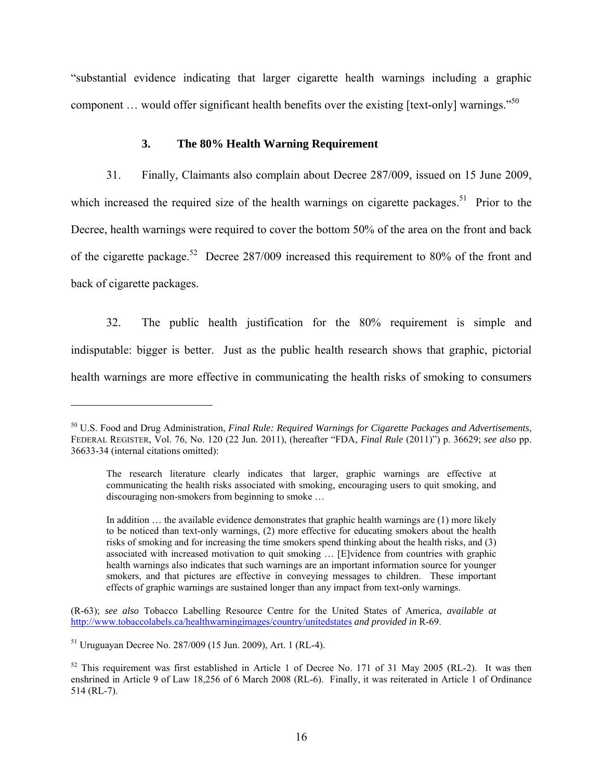"substantial evidence indicating that larger cigarette health warnings including a graphic component ... would offer significant health benefits over the existing [text-only] warnings."<sup>50</sup>

#### **3. The 80% Health Warning Requirement**

31. Finally, Claimants also complain about Decree 287/009, issued on 15 June 2009, which increased the required size of the health warnings on cigarette packages.<sup>51</sup> Prior to the Decree, health warnings were required to cover the bottom 50% of the area on the front and back of the cigarette package.<sup>52</sup> Decree 287/009 increased this requirement to 80% of the front and back of cigarette packages.

32. The public health justification for the 80% requirement is simple and indisputable: bigger is better. Just as the public health research shows that graphic, pictorial health warnings are more effective in communicating the health risks of smoking to consumers

(R-63); *see also* Tobacco Labelling Resource Centre for the United States of America, *available at*  http://www.tobaccolabels.ca/healthwarningimages/country/unitedstates *and provided in* R-69.

51 Uruguayan Decree No. 287/009 (15 Jun. 2009), Art. 1 (RL-4).

<sup>50</sup> U.S. Food and Drug Administration, *Final Rule: Required Warnings for Cigarette Packages and Advertisements*, FEDERAL REGISTER, Vol. 76, No. 120 (22 Jun. 2011), (hereafter "FDA, *Final Rule* (2011)") p. 36629; *see also* pp. 36633-34 (internal citations omitted):

The research literature clearly indicates that larger, graphic warnings are effective at communicating the health risks associated with smoking, encouraging users to quit smoking, and discouraging non-smokers from beginning to smoke …

In addition … the available evidence demonstrates that graphic health warnings are (1) more likely to be noticed than text-only warnings, (2) more effective for educating smokers about the health risks of smoking and for increasing the time smokers spend thinking about the health risks, and (3) associated with increased motivation to quit smoking … [E]vidence from countries with graphic health warnings also indicates that such warnings are an important information source for younger smokers, and that pictures are effective in conveying messages to children. These important effects of graphic warnings are sustained longer than any impact from text-only warnings.

<sup>&</sup>lt;sup>52</sup> This requirement was first established in Article 1 of Decree No. 171 of 31 May 2005 (RL-2). It was then enshrined in Article 9 of Law 18,256 of 6 March 2008 (RL-6). Finally, it was reiterated in Article 1 of Ordinance 514 (RL-7).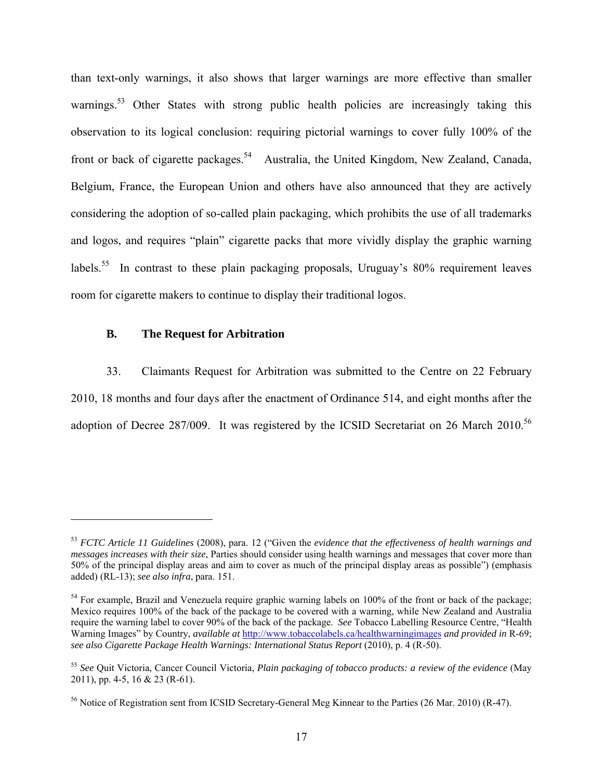than text-only warnings, it also shows that larger warnings are more effective than smaller warnings.<sup>53</sup> Other States with strong public health policies are increasingly taking this observation to its logical conclusion: requiring pictorial warnings to cover fully 100% of the front or back of cigarette packages.<sup>54</sup> Australia, the United Kingdom, New Zealand, Canada, Belgium, France, the European Union and others have also announced that they are actively considering the adoption of so-called plain packaging, which prohibits the use of all trademarks and logos, and requires "plain" cigarette packs that more vividly display the graphic warning labels.<sup>55</sup> In contrast to these plain packaging proposals, Uruguay's  $80\%$  requirement leaves room for cigarette makers to continue to display their traditional logos.

#### **B. The Request for Arbitration**

1

33. Claimants Request for Arbitration was submitted to the Centre on 22 February 2010, 18 months and four days after the enactment of Ordinance 514, and eight months after the adoption of Decree 287/009. It was registered by the ICSID Secretariat on 26 March 2010.<sup>56</sup>

<sup>53</sup> *FCTC Article 11 Guidelines* (2008), para. 12 ("Given the *evidence that the effectiveness of health warnings and messages increases with their size*, Parties should consider using health warnings and messages that cover more than 50% of the principal display areas and aim to cover as much of the principal display areas as possible") (emphasis added) (RL-13); *see also infra*, para. 151.

<sup>&</sup>lt;sup>54</sup> For example, Brazil and Venezuela require graphic warning labels on 100% of the front or back of the package; Mexico requires 100% of the back of the package to be covered with a warning, while New Zealand and Australia require the warning label to cover 90% of the back of the package. *See* Tobacco Labelling Resource Centre, "Health Warning Images" by Country, *available at* http://www.tobaccolabels.ca/healthwarningimages *and provided in* R-69; *see also Cigarette Package Health Warnings: International Status Report* (2010), p. 4 (R-50).

<sup>55</sup> *See* Quit Victoria, Cancer Council Victoria, *Plain packaging of tobacco products: a review of the evidence* (May 2011), pp. 4-5, 16 & 23 (R-61).

<sup>&</sup>lt;sup>56</sup> Notice of Registration sent from ICSID Secretary-General Meg Kinnear to the Parties (26 Mar. 2010) (R-47).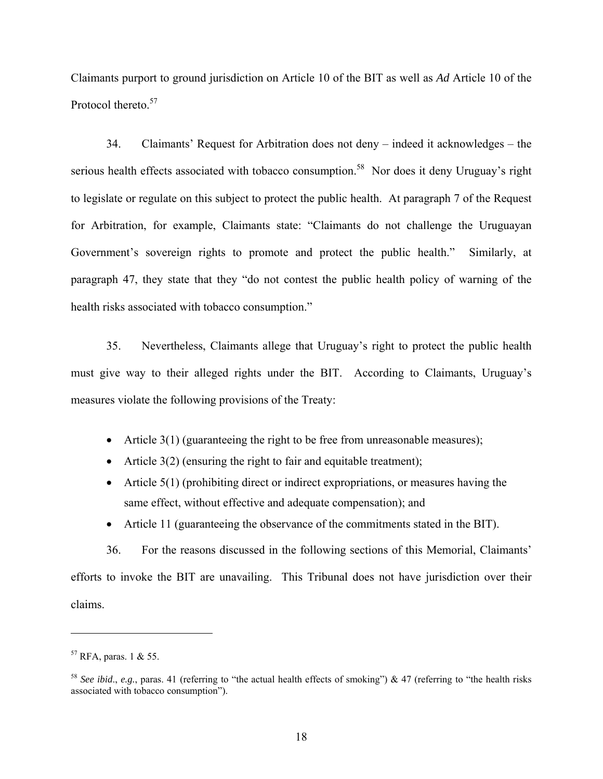Claimants purport to ground jurisdiction on Article 10 of the BIT as well as *Ad* Article 10 of the Protocol thereto.<sup>57</sup>

34. Claimants' Request for Arbitration does not deny – indeed it acknowledges – the serious health effects associated with tobacco consumption.<sup>58</sup> Nor does it deny Uruguay's right to legislate or regulate on this subject to protect the public health. At paragraph 7 of the Request for Arbitration, for example, Claimants state: "Claimants do not challenge the Uruguayan Government's sovereign rights to promote and protect the public health." Similarly, at paragraph 47, they state that they "do not contest the public health policy of warning of the health risks associated with tobacco consumption."

35. Nevertheless, Claimants allege that Uruguay's right to protect the public health must give way to their alleged rights under the BIT. According to Claimants, Uruguay's measures violate the following provisions of the Treaty:

- Article  $3(1)$  (guaranteeing the right to be free from unreasonable measures);
- Article  $3(2)$  (ensuring the right to fair and equitable treatment);
- $\bullet$  Article 5(1) (prohibiting direct or indirect expropriations, or measures having the same effect, without effective and adequate compensation); and
- Article 11 (guaranteeing the observance of the commitments stated in the BIT).

36. For the reasons discussed in the following sections of this Memorial, Claimants' efforts to invoke the BIT are unavailing. This Tribunal does not have jurisdiction over their claims.

 $57$  RFA, paras. 1 & 55.

<sup>&</sup>lt;sup>58</sup> *See ibid., e.g.*, paras. 41 (referring to "the actual health effects of smoking") & 47 (referring to "the health risks") associated with tobacco consumption").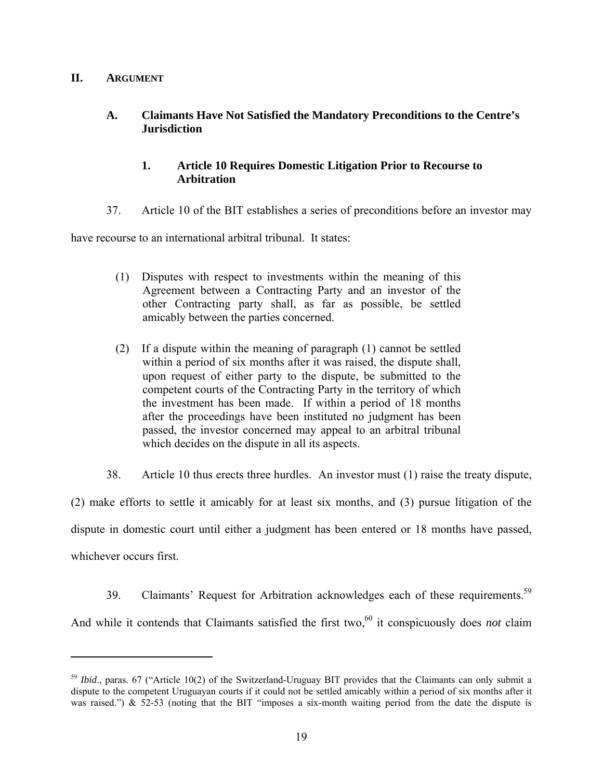## **II. ARGUMENT**

 $\overline{a}$ 

## **A. Claimants Have Not Satisfied the Mandatory Preconditions to the Centre's Jurisdiction**

## **1. Article 10 Requires Domestic Litigation Prior to Recourse to Arbitration**

37. Article 10 of the BIT establishes a series of preconditions before an investor may

have recourse to an international arbitral tribunal. It states:

- (1) Disputes with respect to investments within the meaning of this Agreement between a Contracting Party and an investor of the other Contracting party shall, as far as possible, be settled amicably between the parties concerned.
- (2) If a dispute within the meaning of paragraph (1) cannot be settled within a period of six months after it was raised, the dispute shall, upon request of either party to the dispute, be submitted to the competent courts of the Contracting Party in the territory of which the investment has been made. If within a period of 18 months after the proceedings have been instituted no judgment has been passed, the investor concerned may appeal to an arbitral tribunal which decides on the dispute in all its aspects.
- 38. Article 10 thus erects three hurdles. An investor must (1) raise the treaty dispute,

(2) make efforts to settle it amicably for at least six months, and (3) pursue litigation of the dispute in domestic court until either a judgment has been entered or 18 months have passed, whichever occurs first.

39. Claimants' Request for Arbitration acknowledges each of these requirements.<sup>59</sup> And while it contends that Claimants satisfied the first two,<sup>60</sup> it conspicuously does *not* claim

<sup>&</sup>lt;sup>59</sup> *Ibid.*, paras. 67 ("Article 10(2) of the Switzerland-Uruguay BIT provides that the Claimants can only submit a dispute to the competent Uruguayan courts if it could not be settled amicably within a period of six months after it was raised.")  $\&$  52-53 (noting that the BIT "imposes a six-month waiting period from the date the dispute is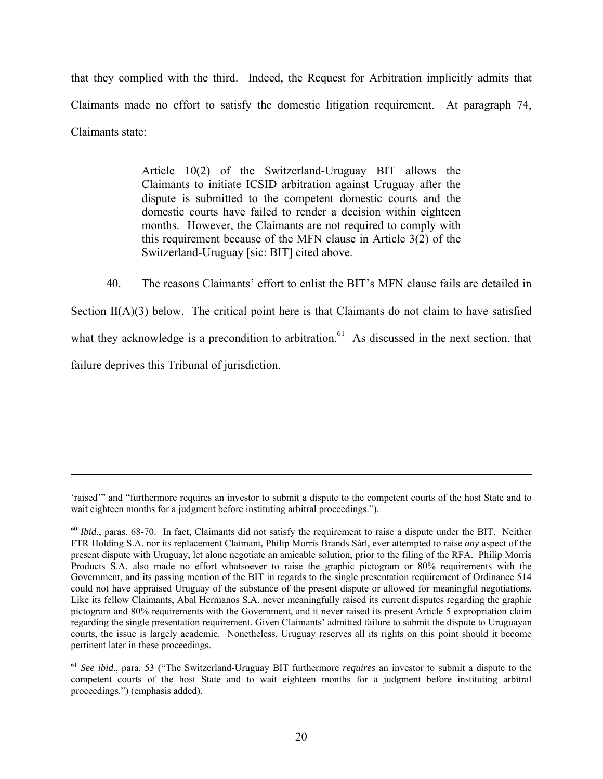that they complied with the third. Indeed, the Request for Arbitration implicitly admits that Claimants made no effort to satisfy the domestic litigation requirement. At paragraph 74, Claimants state:

> Article 10(2) of the Switzerland-Uruguay BIT allows the Claimants to initiate ICSID arbitration against Uruguay after the dispute is submitted to the competent domestic courts and the domestic courts have failed to render a decision within eighteen months. However, the Claimants are not required to comply with this requirement because of the MFN clause in Article 3(2) of the Switzerland-Uruguay [sic: BIT] cited above.

40. The reasons Claimants' effort to enlist the BIT's MFN clause fails are detailed in Section  $II(A)(3)$  below. The critical point here is that Claimants do not claim to have satisfied what they acknowledge is a precondition to arbitration.<sup>61</sup> As discussed in the next section, that failure deprives this Tribunal of jurisdiction.

1

<sup>&#</sup>x27;raised'" and "furthermore requires an investor to submit a dispute to the competent courts of the host State and to wait eighteen months for a judgment before instituting arbitral proceedings.").

<sup>&</sup>lt;sup>60</sup> *Ibid.*, paras. 68-70. In fact, Claimants did not satisfy the requirement to raise a dispute under the BIT. Neither FTR Holding S.A. nor its replacement Claimant, Philip Morris Brands Sàrl, ever attempted to raise *any* aspect of the present dispute with Uruguay, let alone negotiate an amicable solution, prior to the filing of the RFA. Philip Morris Products S.A. also made no effort whatsoever to raise the graphic pictogram or 80% requirements with the Government, and its passing mention of the BIT in regards to the single presentation requirement of Ordinance 514 could not have appraised Uruguay of the substance of the present dispute or allowed for meaningful negotiations. Like its fellow Claimants, Abal Hermanos S.A. never meaningfully raised its current disputes regarding the graphic pictogram and 80% requirements with the Government, and it never raised its present Article 5 expropriation claim regarding the single presentation requirement. Given Claimants' admitted failure to submit the dispute to Uruguayan courts, the issue is largely academic. Nonetheless, Uruguay reserves all its rights on this point should it become pertinent later in these proceedings.

<sup>61</sup> *See ibid*., para. 53 ("The Switzerland-Uruguay BIT furthermore *requires* an investor to submit a dispute to the competent courts of the host State and to wait eighteen months for a judgment before instituting arbitral proceedings.") (emphasis added).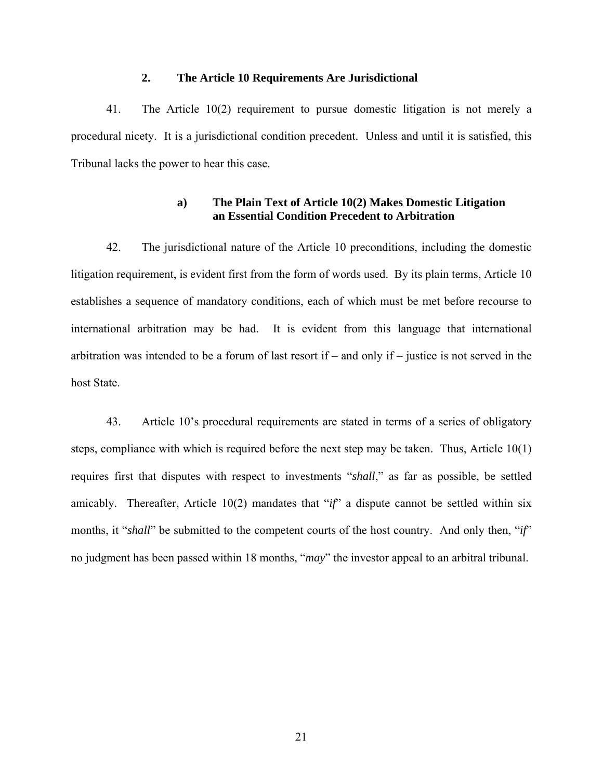### **2. The Article 10 Requirements Are Jurisdictional**

41. The Article 10(2) requirement to pursue domestic litigation is not merely a procedural nicety. It is a jurisdictional condition precedent. Unless and until it is satisfied, this Tribunal lacks the power to hear this case.

### **a) The Plain Text of Article 10(2) Makes Domestic Litigation an Essential Condition Precedent to Arbitration**

42. The jurisdictional nature of the Article 10 preconditions, including the domestic litigation requirement, is evident first from the form of words used. By its plain terms, Article 10 establishes a sequence of mandatory conditions, each of which must be met before recourse to international arbitration may be had. It is evident from this language that international arbitration was intended to be a forum of last resort if – and only if – justice is not served in the host State.

43. Article 10's procedural requirements are stated in terms of a series of obligatory steps, compliance with which is required before the next step may be taken. Thus, Article 10(1) requires first that disputes with respect to investments "*shall*," as far as possible, be settled amicably. Thereafter, Article 10(2) mandates that "*if*" a dispute cannot be settled within six months, it "*shall*" be submitted to the competent courts of the host country. And only then, "*if*" no judgment has been passed within 18 months, "*may*" the investor appeal to an arbitral tribunal.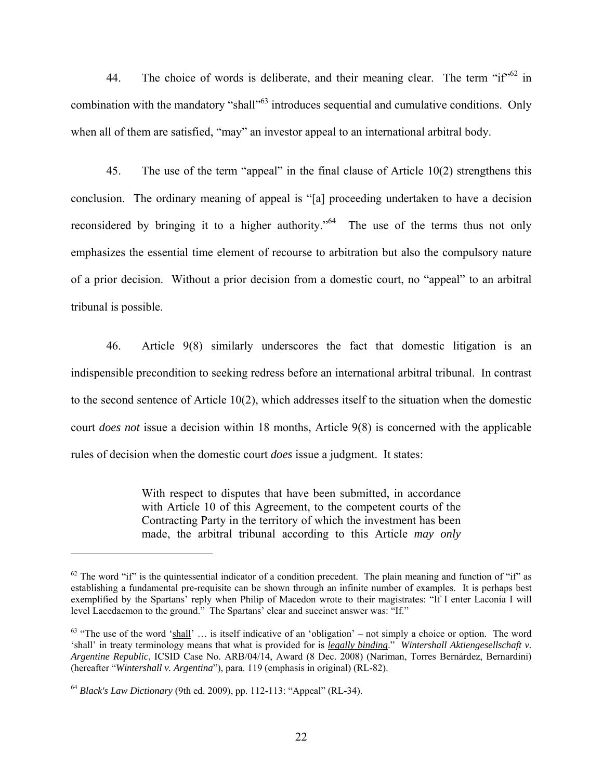44. The choice of words is deliberate, and their meaning clear. The term " $i f''^{62}$  in combination with the mandatory "shall"<sup>63</sup> introduces sequential and cumulative conditions. Only when all of them are satisfied, "may" an investor appeal to an international arbitral body.

45. The use of the term "appeal" in the final clause of Article 10(2) strengthens this conclusion. The ordinary meaning of appeal is "[a] proceeding undertaken to have a decision reconsidered by bringing it to a higher authority."<sup>64</sup> The use of the terms thus not only emphasizes the essential time element of recourse to arbitration but also the compulsory nature of a prior decision. Without a prior decision from a domestic court, no "appeal" to an arbitral tribunal is possible.

46. Article 9(8) similarly underscores the fact that domestic litigation is an indispensible precondition to seeking redress before an international arbitral tribunal. In contrast to the second sentence of Article 10(2), which addresses itself to the situation when the domestic court *does not* issue a decision within 18 months, Article 9(8) is concerned with the applicable rules of decision when the domestic court *does* issue a judgment. It states:

> With respect to disputes that have been submitted, in accordance with Article 10 of this Agreement, to the competent courts of the Contracting Party in the territory of which the investment has been made, the arbitral tribunal according to this Article *may only*

1

 $62$  The word "if" is the quintessential indicator of a condition precedent. The plain meaning and function of "if" as establishing a fundamental pre-requisite can be shown through an infinite number of examples. It is perhaps best exemplified by the Spartans' reply when Philip of Macedon wrote to their magistrates: "If I enter Laconia I will level Lacedaemon to the ground." The Spartans' clear and succinct answer was: "If."

 $63$  "The use of the word 'shall' ... is itself indicative of an 'obligation' – not simply a choice or option. The word 'shall' in treaty terminology means that what is provided for is *legally binding*." *Wintershall Aktiengesellschaft v. Argentine Republic*, ICSID Case No. ARB/04/14, Award (8 Dec. 2008) (Nariman, Torres Bernárdez, Bernardini) (hereafter "*Wintershall v. Argentina*"), para. 119 (emphasis in original) (RL-82).

<sup>64</sup> *Black's Law Dictionary* (9th ed. 2009), pp. 112-113: "Appeal" (RL-34).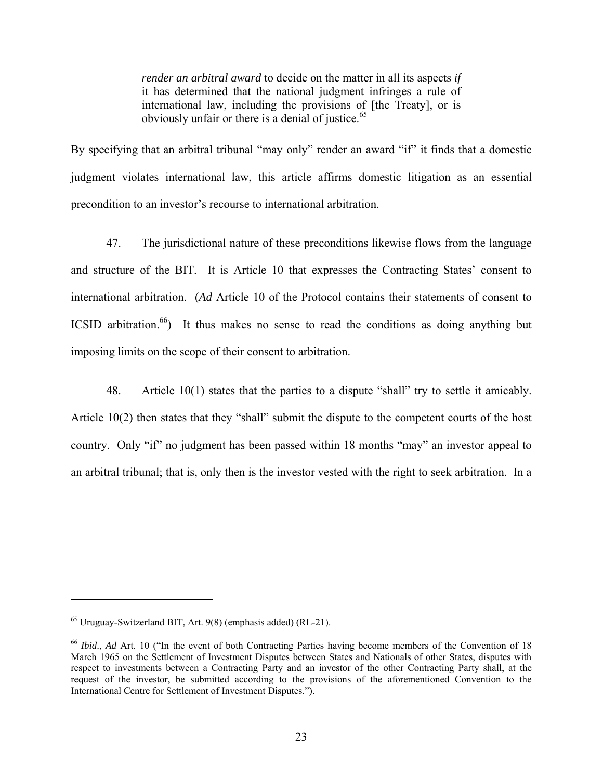*render an arbitral award* to decide on the matter in all its aspects *if*  it has determined that the national judgment infringes a rule of international law, including the provisions of [the Treaty], or is obviously unfair or there is a denial of justice.<sup>65</sup>

By specifying that an arbitral tribunal "may only" render an award "if" it finds that a domestic judgment violates international law, this article affirms domestic litigation as an essential precondition to an investor's recourse to international arbitration.

47. The jurisdictional nature of these preconditions likewise flows from the language and structure of the BIT. It is Article 10 that expresses the Contracting States' consent to international arbitration. (*Ad* Article 10 of the Protocol contains their statements of consent to ICSID arbitration.<sup>66</sup>) It thus makes no sense to read the conditions as doing anything but imposing limits on the scope of their consent to arbitration.

48. Article 10(1) states that the parties to a dispute "shall" try to settle it amicably. Article 10(2) then states that they "shall" submit the dispute to the competent courts of the host country. Only "if" no judgment has been passed within 18 months "may" an investor appeal to an arbitral tribunal; that is, only then is the investor vested with the right to seek arbitration. In a

<sup>65</sup> Uruguay-Switzerland BIT, Art. 9(8) (emphasis added) (RL-21).

<sup>66</sup> *Ibid*., *Ad* Art. 10 ("In the event of both Contracting Parties having become members of the Convention of 18 March 1965 on the Settlement of Investment Disputes between States and Nationals of other States, disputes with respect to investments between a Contracting Party and an investor of the other Contracting Party shall, at the request of the investor, be submitted according to the provisions of the aforementioned Convention to the International Centre for Settlement of Investment Disputes.").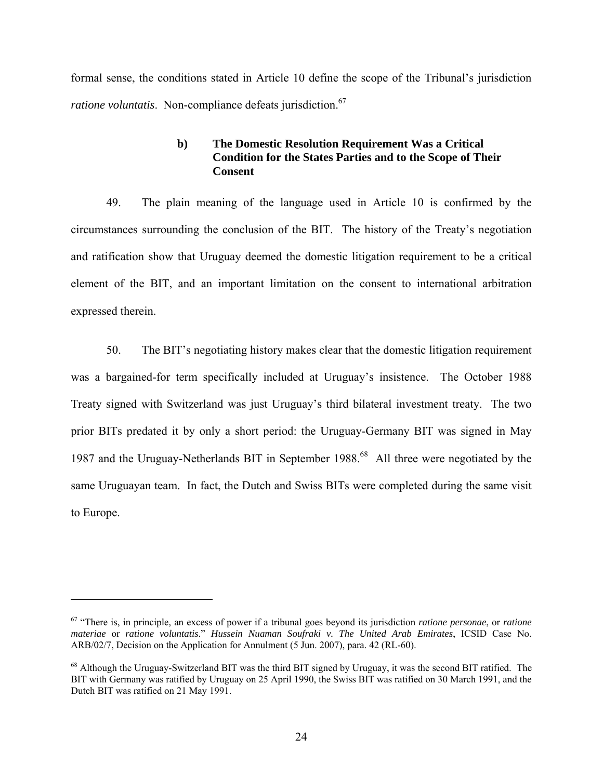formal sense, the conditions stated in Article 10 define the scope of the Tribunal's jurisdiction *ratione voluntatis*. Non-compliance defeats jurisdiction.<sup>67</sup>

## **b) The Domestic Resolution Requirement Was a Critical Condition for the States Parties and to the Scope of Their Consent**

49. The plain meaning of the language used in Article 10 is confirmed by the circumstances surrounding the conclusion of the BIT. The history of the Treaty's negotiation and ratification show that Uruguay deemed the domestic litigation requirement to be a critical element of the BIT, and an important limitation on the consent to international arbitration expressed therein.

50. The BIT's negotiating history makes clear that the domestic litigation requirement was a bargained-for term specifically included at Uruguay's insistence. The October 1988 Treaty signed with Switzerland was just Uruguay's third bilateral investment treaty. The two prior BITs predated it by only a short period: the Uruguay-Germany BIT was signed in May 1987 and the Uruguay-Netherlands BIT in September 1988.<sup>68</sup> All three were negotiated by the same Uruguayan team. In fact, the Dutch and Swiss BITs were completed during the same visit to Europe.

<sup>67 &</sup>quot;There is, in principle, an excess of power if a tribunal goes beyond its jurisdiction *ratione personae*, or *ratione materiae* or *ratione voluntatis*." *Hussein Nuaman Soufraki v. The United Arab Emirates*, ICSID Case No. ARB/02/7, Decision on the Application for Annulment (5 Jun. 2007), para. 42 (RL-60).

<sup>&</sup>lt;sup>68</sup> Although the Uruguay-Switzerland BIT was the third BIT signed by Uruguay, it was the second BIT ratified. The BIT with Germany was ratified by Uruguay on 25 April 1990, the Swiss BIT was ratified on 30 March 1991, and the Dutch BIT was ratified on 21 May 1991.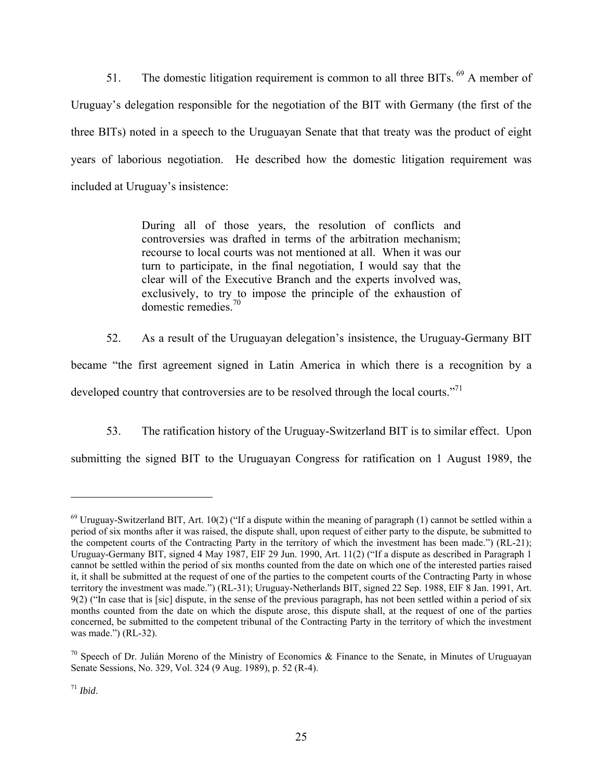51. The domestic litigation requirement is common to all three BITs. <sup>69</sup> A member of Uruguay's delegation responsible for the negotiation of the BIT with Germany (the first of the three BITs) noted in a speech to the Uruguayan Senate that that treaty was the product of eight years of laborious negotiation. He described how the domestic litigation requirement was included at Uruguay's insistence:

> During all of those years, the resolution of conflicts and controversies was drafted in terms of the arbitration mechanism; recourse to local courts was not mentioned at all. When it was our turn to participate, in the final negotiation, I would say that the clear will of the Executive Branch and the experts involved was, exclusively, to try to impose the principle of the exhaustion of domestic remedies  $70$

52. As a result of the Uruguayan delegation's insistence, the Uruguay-Germany BIT became "the first agreement signed in Latin America in which there is a recognition by a developed country that controversies are to be resolved through the local courts."<sup>71</sup>

53. The ratification history of the Uruguay-Switzerland BIT is to similar effect. Upon submitting the signed BIT to the Uruguayan Congress for ratification on 1 August 1989, the

1

 $^{69}$  Uruguay-Switzerland BIT, Art. 10(2) ("If a dispute within the meaning of paragraph (1) cannot be settled within a period of six months after it was raised, the dispute shall, upon request of either party to the dispute, be submitted to the competent courts of the Contracting Party in the territory of which the investment has been made.") (RL-21); Uruguay-Germany BIT, signed 4 May 1987, EIF 29 Jun. 1990, Art. 11(2) ("If a dispute as described in Paragraph 1 cannot be settled within the period of six months counted from the date on which one of the interested parties raised it, it shall be submitted at the request of one of the parties to the competent courts of the Contracting Party in whose territory the investment was made.") (RL-31); Uruguay-Netherlands BIT, signed 22 Sep. 1988, EIF 8 Jan. 1991, Art. 9(2) ("In case that is [sic] dispute, in the sense of the previous paragraph, has not been settled within a period of six months counted from the date on which the dispute arose, this dispute shall, at the request of one of the parties concerned, be submitted to the competent tribunal of the Contracting Party in the territory of which the investment was made.") (RL-32).

<sup>&</sup>lt;sup>70</sup> Speech of Dr. Julián Moreno of the Ministry of Economics & Finance to the Senate, in Minutes of Uruguayan Senate Sessions, No. 329, Vol. 324 (9 Aug. 1989), p. 52 (R-4).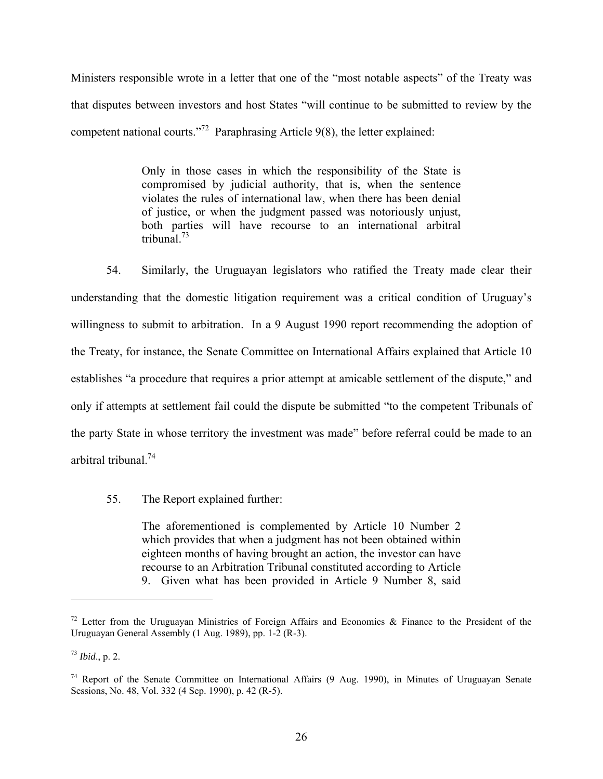Ministers responsible wrote in a letter that one of the "most notable aspects" of the Treaty was that disputes between investors and host States "will continue to be submitted to review by the competent national courts."72 Paraphrasing Article 9(8), the letter explained:

> Only in those cases in which the responsibility of the State is compromised by judicial authority, that is, when the sentence violates the rules of international law, when there has been denial of justice, or when the judgment passed was notoriously unjust, both parties will have recourse to an international arbitral tribunal.73

54. Similarly, the Uruguayan legislators who ratified the Treaty made clear their understanding that the domestic litigation requirement was a critical condition of Uruguay's willingness to submit to arbitration. In a 9 August 1990 report recommending the adoption of the Treaty, for instance, the Senate Committee on International Affairs explained that Article 10 establishes "a procedure that requires a prior attempt at amicable settlement of the dispute," and only if attempts at settlement fail could the dispute be submitted "to the competent Tribunals of the party State in whose territory the investment was made" before referral could be made to an arbitral tribunal<sup>74</sup>

55. The Report explained further:

The aforementioned is complemented by Article 10 Number 2 which provides that when a judgment has not been obtained within eighteen months of having brought an action, the investor can have recourse to an Arbitration Tribunal constituted according to Article 9. Given what has been provided in Article 9 Number 8, said

<sup>&</sup>lt;sup>72</sup> Letter from the Uruguayan Ministries of Foreign Affairs and Economics & Finance to the President of the Uruguayan General Assembly (1 Aug. 1989), pp. 1-2 (R-3).

<sup>73</sup> *Ibid*., p. 2.

<sup>74</sup> Report of the Senate Committee on International Affairs (9 Aug. 1990), in Minutes of Uruguayan Senate Sessions, No. 48, Vol. 332 (4 Sep. 1990), p. 42 (R-5).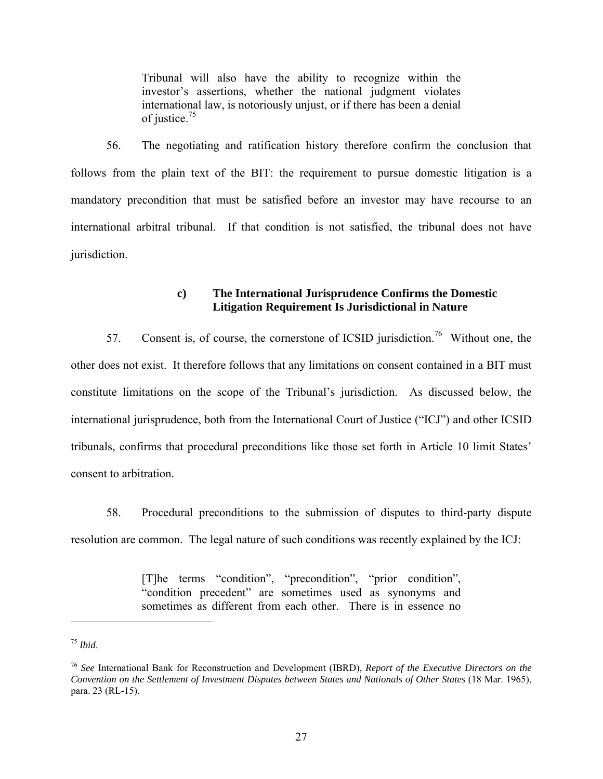Tribunal will also have the ability to recognize within the investor's assertions, whether the national judgment violates international law, is notoriously unjust, or if there has been a denial of justice.75

56. The negotiating and ratification history therefore confirm the conclusion that follows from the plain text of the BIT: the requirement to pursue domestic litigation is a mandatory precondition that must be satisfied before an investor may have recourse to an international arbitral tribunal. If that condition is not satisfied, the tribunal does not have jurisdiction.

## **c) The International Jurisprudence Confirms the Domestic Litigation Requirement Is Jurisdictional in Nature**

57. Consent is, of course, the cornerstone of ICSID jurisdiction.<sup>76</sup> Without one, the other does not exist. It therefore follows that any limitations on consent contained in a BIT must constitute limitations on the scope of the Tribunal's jurisdiction. As discussed below, the international jurisprudence, both from the International Court of Justice ("ICJ") and other ICSID tribunals, confirms that procedural preconditions like those set forth in Article 10 limit States' consent to arbitration.

58. Procedural preconditions to the submission of disputes to third-party dispute resolution are common. The legal nature of such conditions was recently explained by the ICJ:

> [T]he terms "condition", "precondition", "prior condition", "condition precedent" are sometimes used as synonyms and sometimes as different from each other. There is in essence no

<u>.</u>

<sup>75</sup> *Ibid*.

<sup>76</sup> *See* International Bank for Reconstruction and Development (IBRD), *Report of the Executive Directors on the Convention on the Settlement of Investment Disputes between States and Nationals of Other States* (18 Mar. 1965), para. 23 (RL-15).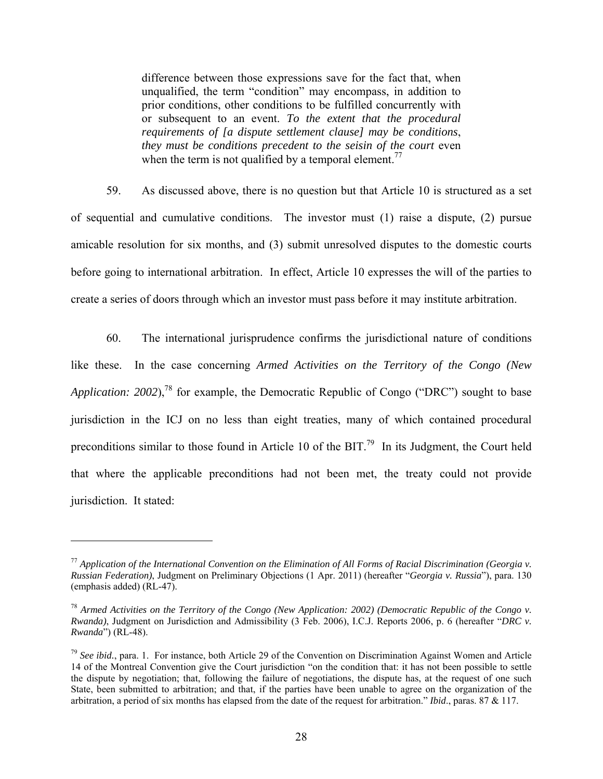difference between those expressions save for the fact that, when unqualified, the term "condition" may encompass, in addition to prior conditions, other conditions to be fulfilled concurrently with or subsequent to an event. *To the extent that the procedural requirements of [a dispute settlement clause] may be conditions*, *they must be conditions precedent to the seisin of the court* even when the term is not qualified by a temporal element.<sup>77</sup>

59. As discussed above, there is no question but that Article 10 is structured as a set of sequential and cumulative conditions. The investor must (1) raise a dispute, (2) pursue amicable resolution for six months, and (3) submit unresolved disputes to the domestic courts before going to international arbitration. In effect, Article 10 expresses the will of the parties to create a series of doors through which an investor must pass before it may institute arbitration.

60. The international jurisprudence confirms the jurisdictional nature of conditions like these. In the case concerning *Armed Activities on the Territory of the Congo (New Application: 2002*),<sup>78</sup> for example, the Democratic Republic of Congo ("DRC") sought to base jurisdiction in the ICJ on no less than eight treaties, many of which contained procedural preconditions similar to those found in Article 10 of the BIT.<sup>79</sup> In its Judgment, the Court held that where the applicable preconditions had not been met, the treaty could not provide jurisdiction. It stated:

<sup>77</sup> *Application of the International Convention on the Elimination of All Forms of Racial Discrimination (Georgia v. Russian Federation)*, Judgment on Preliminary Objections (1 Apr. 2011) (hereafter "*Georgia v. Russia*"), para. 130 (emphasis added) (RL-47).

<sup>78</sup> *Armed Activities on the Territory of the Congo (New Application: 2002) (Democratic Republic of the Congo v. Rwanda)*, Judgment on Jurisdiction and Admissibility (3 Feb. 2006), I.C.J. Reports 2006, p. 6 (hereafter "*DRC v. Rwanda*") (RL-48).

<sup>79</sup> *See ibid.*, para. 1. For instance, both Article 29 of the Convention on Discrimination Against Women and Article 14 of the Montreal Convention give the Court jurisdiction "on the condition that: it has not been possible to settle the dispute by negotiation; that, following the failure of negotiations, the dispute has, at the request of one such State, been submitted to arbitration; and that, if the parties have been unable to agree on the organization of the arbitration, a period of six months has elapsed from the date of the request for arbitration." *Ibid*., paras. 87 & 117.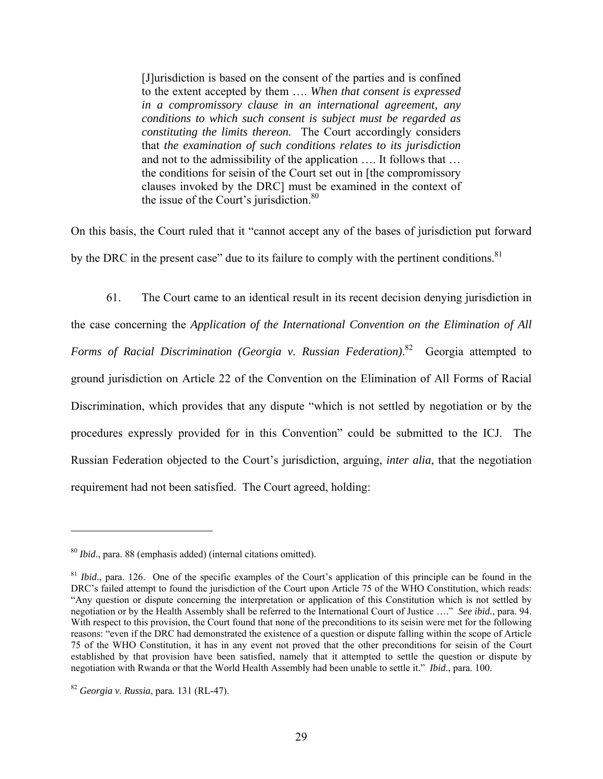[J]urisdiction is based on the consent of the parties and is confined to the extent accepted by them …. *When that consent is expressed in a compromissory clause in an international agreement, any conditions to which such consent is subject must be regarded as constituting the limits thereon.* The Court accordingly considers that *the examination of such conditions relates to its jurisdiction* and not to the admissibility of the application …. It follows that … the conditions for seisin of the Court set out in [the compromissory clauses invoked by the DRC] must be examined in the context of the issue of the Court's jurisdiction. $80$ 

On this basis, the Court ruled that it "cannot accept any of the bases of jurisdiction put forward by the DRC in the present case" due to its failure to comply with the pertinent conditions.<sup>81</sup>

61. The Court came to an identical result in its recent decision denying jurisdiction in the case concerning the *Application of the International Convention on the Elimination of All Forms of Racial Discrimination (Georgia v. Russian Federation)*. 82 Georgia attempted to ground jurisdiction on Article 22 of the Convention on the Elimination of All Forms of Racial Discrimination, which provides that any dispute "which is not settled by negotiation or by the procedures expressly provided for in this Convention" could be submitted to the ICJ. The Russian Federation objected to the Court's jurisdiction, arguing, *inter alia*, that the negotiation requirement had not been satisfied. The Court agreed, holding:

<sup>80</sup> *Ibid*., para. 88 (emphasis added) (internal citations omitted).

<sup>&</sup>lt;sup>81</sup> *Ibid.*, para. 126. One of the specific examples of the Court's application of this principle can be found in the DRC's failed attempt to found the jurisdiction of the Court upon Article 75 of the WHO Constitution, which reads: "Any question or dispute concerning the interpretation or application of this Constitution which is not settled by negotiation or by the Health Assembly shall be referred to the International Court of Justice …." *See ibid.*, para. 94. With respect to this provision, the Court found that none of the preconditions to its seisin were met for the following reasons: "even if the DRC had demonstrated the existence of a question or dispute falling within the scope of Article 75 of the WHO Constitution, it has in any event not proved that the other preconditions for seisin of the Court established by that provision have been satisfied, namely that it attempted to settle the question or dispute by negotiation with Rwanda or that the World Health Assembly had been unable to settle it." *Ibid*., para. 100.

<sup>82</sup> *Georgia v. Russia*, para*.* 131 (RL-47).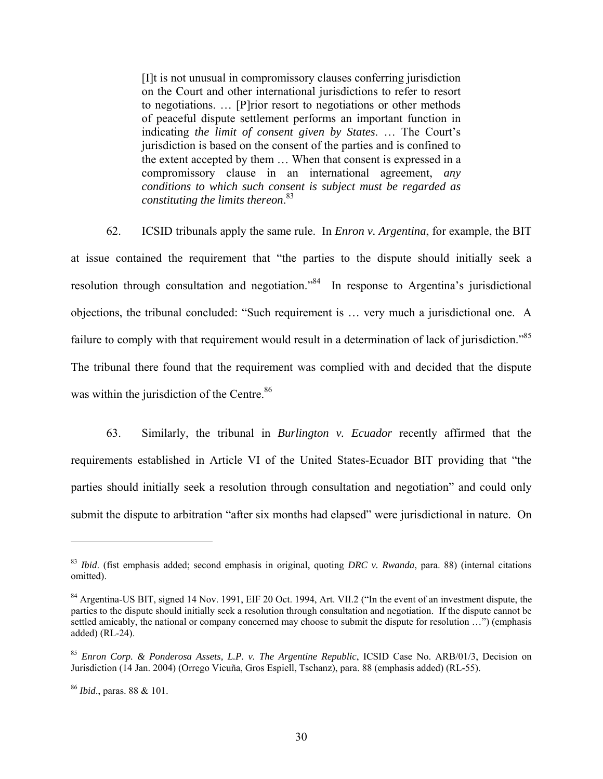[I]t is not unusual in compromissory clauses conferring jurisdiction on the Court and other international jurisdictions to refer to resort to negotiations. … [P]rior resort to negotiations or other methods of peaceful dispute settlement performs an important function in indicating *the limit of consent given by States*. … The Court's jurisdiction is based on the consent of the parties and is confined to the extent accepted by them … When that consent is expressed in a compromissory clause in an international agreement, *any conditions to which such consent is subject must be regarded as constituting the limits thereon*. 83

62. ICSID tribunals apply the same rule. In *Enron v. Argentina*, for example, the BIT at issue contained the requirement that "the parties to the dispute should initially seek a resolution through consultation and negotiation."84 In response to Argentina's jurisdictional objections, the tribunal concluded: "Such requirement is … very much a jurisdictional one. A failure to comply with that requirement would result in a determination of lack of jurisdiction."<sup>85</sup> The tribunal there found that the requirement was complied with and decided that the dispute was within the jurisdiction of the Centre.<sup>86</sup>

63. Similarly, the tribunal in *Burlington v. Ecuador* recently affirmed that the requirements established in Article VI of the United States-Ecuador BIT providing that "the parties should initially seek a resolution through consultation and negotiation" and could only submit the dispute to arbitration "after six months had elapsed" were jurisdictional in nature. On

<sup>83</sup> *Ibid*. (fist emphasis added; second emphasis in original, quoting *DRC v. Rwanda*, para. 88) (internal citations omitted).

<sup>&</sup>lt;sup>84</sup> Argentina-US BIT, signed 14 Nov. 1991, EIF 20 Oct. 1994, Art. VII.2 ("In the event of an investment dispute, the parties to the dispute should initially seek a resolution through consultation and negotiation. If the dispute cannot be settled amicably, the national or company concerned may choose to submit the dispute for resolution ...") (emphasis added) (RL-24).

<sup>85</sup> *Enron Corp. & Ponderosa Assets, L.P. v. The Argentine Republic*, ICSID Case No. ARB/01/3, Decision on Jurisdiction (14 Jan. 2004) (Orrego Vicuña, Gros Espiell, Tschanz), para. 88 (emphasis added) (RL-55).

<sup>86</sup> *Ibid*., paras. 88 & 101.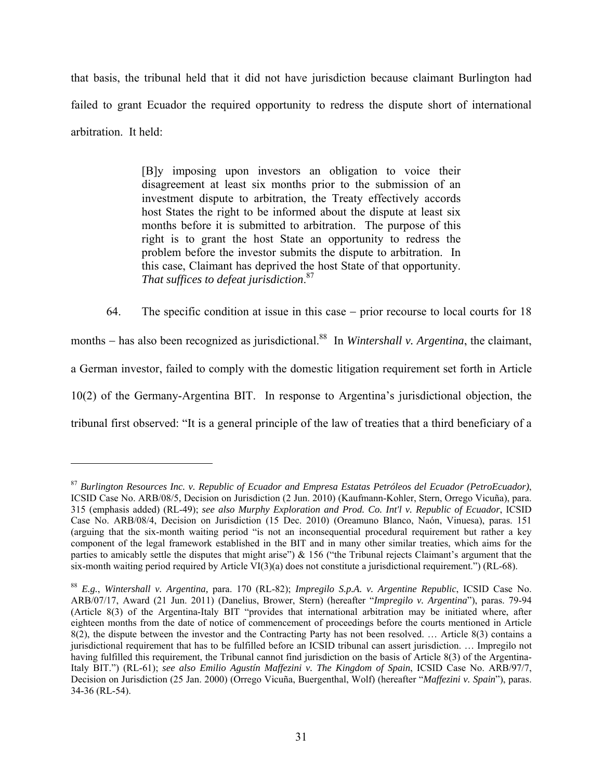that basis, the tribunal held that it did not have jurisdiction because claimant Burlington had failed to grant Ecuador the required opportunity to redress the dispute short of international arbitration. It held:

> [B]y imposing upon investors an obligation to voice their disagreement at least six months prior to the submission of an investment dispute to arbitration, the Treaty effectively accords host States the right to be informed about the dispute at least six months before it is submitted to arbitration. The purpose of this right is to grant the host State an opportunity to redress the problem before the investor submits the dispute to arbitration. In this case, Claimant has deprived the host State of that opportunity. *That suffices to defeat jurisdiction*. 87

64. The specific condition at issue in this case – prior recourse to local courts for 18

months – has also been recognized as jurisdictional.<sup>88</sup> In *Wintershall v. Argentina*, the claimant,

a German investor, failed to comply with the domestic litigation requirement set forth in Article

10(2) of the Germany-Argentina BIT. In response to Argentina's jurisdictional objection, the

tribunal first observed: "It is a general principle of the law of treaties that a third beneficiary of a

<sup>87</sup> *Burlington Resources Inc. v. Republic of Ecuador and Empresa Estatas Petróleos del Ecuador (PetroEcuador)*, ICSID Case No. ARB/08/5, Decision on Jurisdiction (2 Jun. 2010) (Kaufmann-Kohler, Stern, Orrego Vicuña), para. 315 (emphasis added) (RL-49); *see also Murphy Exploration and Prod. Co. Int'l v. Republic of Ecuador*, ICSID Case No. ARB/08/4, Decision on Jurisdiction (15 Dec. 2010) (Oreamuno Blanco, Naón, Vinuesa), paras. 151 (arguing that the six-month waiting period "is not an inconsequential procedural requirement but rather a key component of the legal framework established in the BIT and in many other similar treaties, which aims for the parties to amicably settle the disputes that might arise") & 156 ("the Tribunal rejects Claimant's argument that the six-month waiting period required by Article VI(3)(a) does not constitute a jurisdictional requirement.") (RL-68).

<sup>88</sup> *E.g.*, *Wintershall v. Argentina,* para. 170 (RL-82); *Impregilo S.p.A. v. Argentine Republic*, ICSID Case No. ARB/07/17, Award (21 Jun. 2011) (Danelius, Brower, Stern) (hereafter "*Impregilo v. Argentina*"), paras. 79-94 (Article 8(3) of the Argentina-Italy BIT "provides that international arbitration may be initiated where, after eighteen months from the date of notice of commencement of proceedings before the courts mentioned in Article 8(2), the dispute between the investor and the Contracting Party has not been resolved. … Article 8(3) contains a jurisdictional requirement that has to be fulfilled before an ICSID tribunal can assert jurisdiction. … Impregilo not having fulfilled this requirement, the Tribunal cannot find jurisdiction on the basis of Article 8(3) of the Argentina-Italy BIT.") (RL-61); *see also Emilio Agustín Maffezini v. The Kingdom of Spain*, ICSID Case No. ARB/97/7, Decision on Jurisdiction (25 Jan. 2000) (Orrego Vicuña, Buergenthal, Wolf) (hereafter "*Maffezini v. Spain*"), paras. 34-36 (RL-54).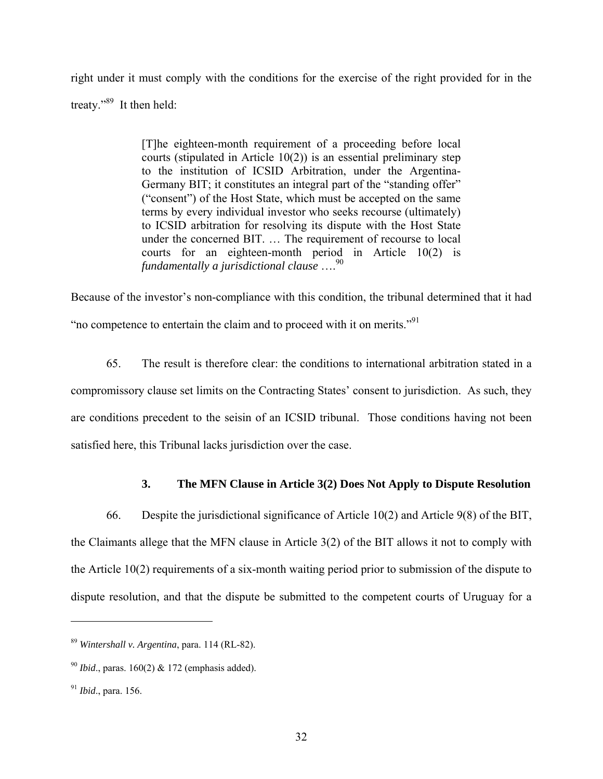right under it must comply with the conditions for the exercise of the right provided for in the treaty."<sup>89</sup> It then held:

> [T]he eighteen-month requirement of a proceeding before local courts (stipulated in Article 10(2)) is an essential preliminary step to the institution of ICSID Arbitration, under the Argentina-Germany BIT; it constitutes an integral part of the "standing offer" ("consent") of the Host State, which must be accepted on the same terms by every individual investor who seeks recourse (ultimately) to ICSID arbitration for resolving its dispute with the Host State under the concerned BIT. … The requirement of recourse to local courts for an eighteen-month period in Article 10(2) is *fundamentally a jurisdictional clause* ….90

Because of the investor's non-compliance with this condition, the tribunal determined that it had "no competence to entertain the claim and to proceed with it on merits."91

65. The result is therefore clear: the conditions to international arbitration stated in a compromissory clause set limits on the Contracting States' consent to jurisdiction. As such, they are conditions precedent to the seisin of an ICSID tribunal. Those conditions having not been satisfied here, this Tribunal lacks jurisdiction over the case.

## **3. The MFN Clause in Article 3(2) Does Not Apply to Dispute Resolution**

66. Despite the jurisdictional significance of Article 10(2) and Article 9(8) of the BIT, the Claimants allege that the MFN clause in Article 3(2) of the BIT allows it not to comply with the Article 10(2) requirements of a six-month waiting period prior to submission of the dispute to dispute resolution, and that the dispute be submitted to the competent courts of Uruguay for a

<sup>89</sup> *Wintershall v. Argentina*, para. 114 (RL-82).

<sup>90</sup> *Ibid*., paras. 160(2) & 172 (emphasis added).

<sup>91</sup> *Ibid*., para. 156.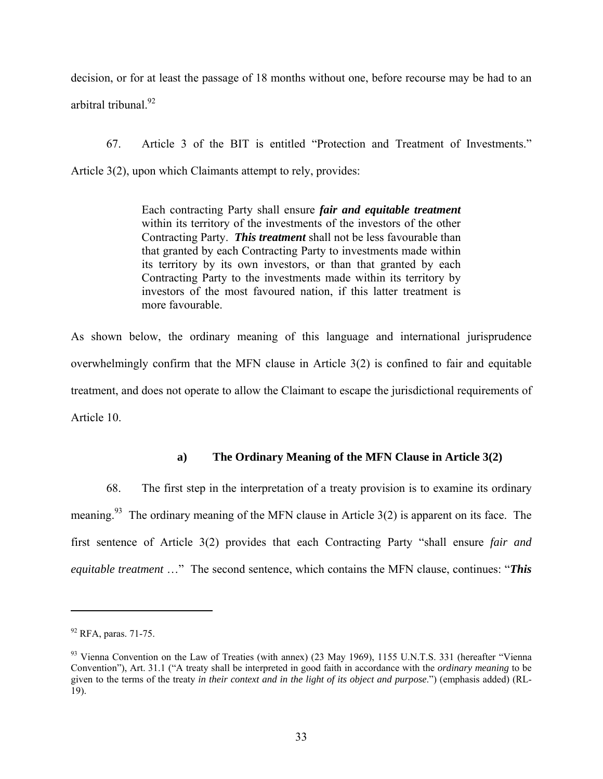decision, or for at least the passage of 18 months without one, before recourse may be had to an arbitral tribunal.<sup>92</sup>

67. Article 3 of the BIT is entitled "Protection and Treatment of Investments." Article 3(2), upon which Claimants attempt to rely, provides:

> Each contracting Party shall ensure *fair and equitable treatment* within its territory of the investments of the investors of the other Contracting Party. *This treatment* shall not be less favourable than that granted by each Contracting Party to investments made within its territory by its own investors, or than that granted by each Contracting Party to the investments made within its territory by investors of the most favoured nation, if this latter treatment is more favourable.

As shown below, the ordinary meaning of this language and international jurisprudence overwhelmingly confirm that the MFN clause in Article 3(2) is confined to fair and equitable treatment, and does not operate to allow the Claimant to escape the jurisdictional requirements of Article 10.

# **a) The Ordinary Meaning of the MFN Clause in Article 3(2)**

68. The first step in the interpretation of a treaty provision is to examine its ordinary meaning.<sup>93</sup> The ordinary meaning of the MFN clause in Article  $3(2)$  is apparent on its face. The first sentence of Article 3(2) provides that each Contracting Party "shall ensure *fair and equitable treatment* …" The second sentence, which contains the MFN clause, continues: "*This* 

<sup>92</sup> RFA, paras. 71-75.

<sup>&</sup>lt;sup>93</sup> Vienna Convention on the Law of Treaties (with annex) (23 May 1969), 1155 U.N.T.S. 331 (hereafter "Vienna" Convention"), Art. 31.1 ("A treaty shall be interpreted in good faith in accordance with the *ordinary meaning* to be given to the terms of the treaty *in their context and in the light of its object and purpose*.") (emphasis added) (RL-19).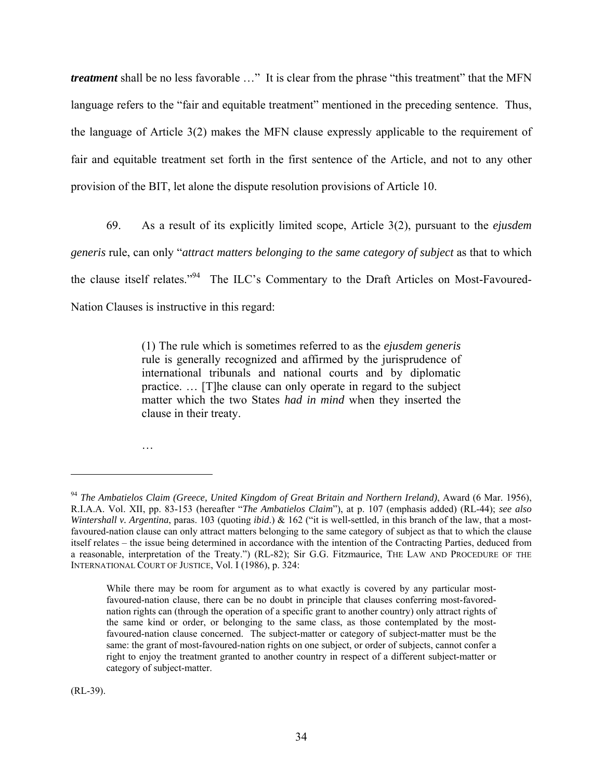*treatment* shall be no less favorable ..." It is clear from the phrase "this treatment" that the MFN language refers to the "fair and equitable treatment" mentioned in the preceding sentence. Thus, the language of Article 3(2) makes the MFN clause expressly applicable to the requirement of fair and equitable treatment set forth in the first sentence of the Article, and not to any other provision of the BIT, let alone the dispute resolution provisions of Article 10.

69. As a result of its explicitly limited scope, Article 3(2), pursuant to the *ejusdem generis* rule, can only "*attract matters belonging to the same category of subject* as that to which the clause itself relates."94 The ILC's Commentary to the Draft Articles on Most-Favoured-Nation Clauses is instructive in this regard:

> (1) The rule which is sometimes referred to as the *ejusdem generis* rule is generally recognized and affirmed by the jurisprudence of international tribunals and national courts and by diplomatic practice. … [T]he clause can only operate in regard to the subject matter which the two States *had in mind* when they inserted the clause in their treaty.

…

<sup>94</sup> *The Ambatielos Claim (Greece, United Kingdom of Great Britain and Northern Ireland)*, Award (6 Mar. 1956), R.I.A.A. Vol. XII, pp. 83-153 (hereafter "*The Ambatielos Claim*"), at p. 107 (emphasis added) (RL-44); *see also Wintershall v. Argentina*, paras. 103 (quoting *ibid.*) & 162 ("it is well-settled, in this branch of the law, that a mostfavoured-nation clause can only attract matters belonging to the same category of subject as that to which the clause itself relates – the issue being determined in accordance with the intention of the Contracting Parties, deduced from a reasonable, interpretation of the Treaty.") (RL-82); Sir G.G. Fitzmaurice, THE LAW AND PROCEDURE OF THE INTERNATIONAL COURT OF JUSTICE, Vol. I (1986), p. 324:

While there may be room for argument as to what exactly is covered by any particular mostfavoured-nation clause, there can be no doubt in principle that clauses conferring most-favorednation rights can (through the operation of a specific grant to another country) only attract rights of the same kind or order, or belonging to the same class, as those contemplated by the mostfavoured-nation clause concerned. The subject-matter or category of subject-matter must be the same: the grant of most-favoured-nation rights on one subject, or order of subjects, cannot confer a right to enjoy the treatment granted to another country in respect of a different subject-matter or category of subject-matter.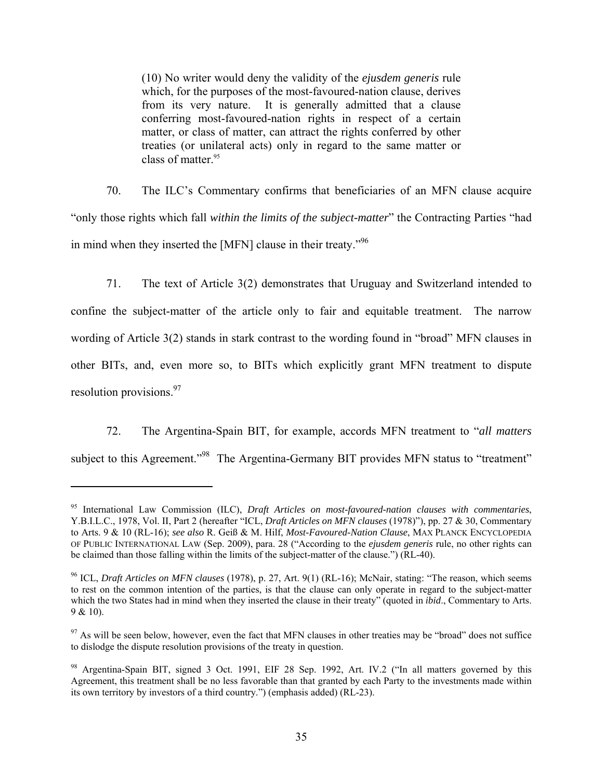(10) No writer would deny the validity of the *ejusdem generis* rule which, for the purposes of the most-favoured-nation clause, derives from its very nature. It is generally admitted that a clause conferring most-favoured-nation rights in respect of a certain matter, or class of matter, can attract the rights conferred by other treaties (or unilateral acts) only in regard to the same matter or class of matter. $95$ 

70. The ILC's Commentary confirms that beneficiaries of an MFN clause acquire "only those rights which fall *within the limits of the subject-matter*" the Contracting Parties "had in mind when they inserted the [MFN] clause in their treaty."96

71. The text of Article 3(2) demonstrates that Uruguay and Switzerland intended to confine the subject-matter of the article only to fair and equitable treatment. The narrow wording of Article 3(2) stands in stark contrast to the wording found in "broad" MFN clauses in other BITs, and, even more so, to BITs which explicitly grant MFN treatment to dispute resolution provisions.<sup>97</sup>

72. The Argentina-Spain BIT, for example, accords MFN treatment to "*all matters* subject to this Agreement."<sup>98</sup> The Argentina-Germany BIT provides MFN status to "treatment"

<sup>95</sup> International Law Commission (ILC), *Draft Articles on most-favoured-nation clauses with commentaries*, Y.B.I.L.C., 1978, Vol. II, Part 2 (hereafter "ICL, *Draft Articles on MFN clauses* (1978)"), pp. 27 & 30, Commentary to Arts. 9 & 10 (RL-16); *see also* R. Geiß & M. Hilf, *Most-Favoured-Nation Clause*, MAX PLANCK ENCYCLOPEDIA OF PUBLIC INTERNATIONAL LAW (Sep. 2009), para. 28 ("According to the *ejusdem generis* rule, no other rights can be claimed than those falling within the limits of the subject-matter of the clause.") (RL-40).

<sup>96</sup> ICL, *Draft Articles on MFN clauses* (1978), p. 27, Art. 9(1) (RL-16); McNair, stating: "The reason, which seems to rest on the common intention of the parties, is that the clause can only operate in regard to the subject-matter which the two States had in mind when they inserted the clause in their treaty" (quoted in *ibid*., Commentary to Arts. 9 & 10).

 $97$  As will be seen below, however, even the fact that MFN clauses in other treaties may be "broad" does not suffice to dislodge the dispute resolution provisions of the treaty in question.

<sup>98</sup> Argentina-Spain BIT, signed 3 Oct. 1991, EIF 28 Sep. 1992, Art. IV.2 ("In all matters governed by this Agreement, this treatment shall be no less favorable than that granted by each Party to the investments made within its own territory by investors of a third country.") (emphasis added) (RL-23).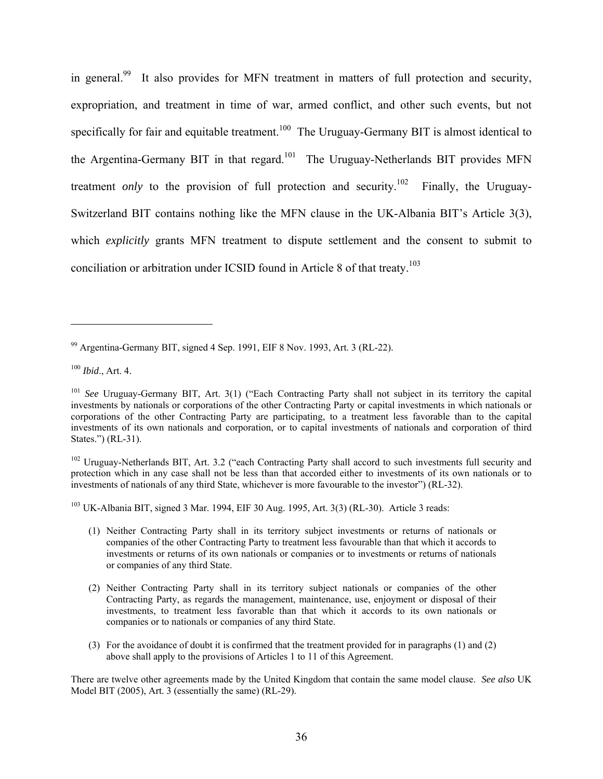in general.<sup>99</sup> It also provides for MFN treatment in matters of full protection and security, expropriation, and treatment in time of war, armed conflict, and other such events, but not specifically for fair and equitable treatment.<sup>100</sup> The Uruguay-Germany BIT is almost identical to the Argentina-Germany BIT in that regard.<sup>101</sup> The Uruguay-Netherlands BIT provides MFN treatment *only* to the provision of full protection and security.<sup>102</sup> Finally, the Uruguay-Switzerland BIT contains nothing like the MFN clause in the UK-Albania BIT's Article 3(3), which *explicitly* grants MFN treatment to dispute settlement and the consent to submit to conciliation or arbitration under ICSID found in Article 8 of that treaty.<sup>103</sup>

1

<sup>102</sup> Uruguay-Netherlands BIT, Art. 3.2 ("each Contracting Party shall accord to such investments full security and protection which in any case shall not be less than that accorded either to investments of its own nationals or to investments of nationals of any third State, whichever is more favourable to the investor") (RL-32).

 $103$  UK-Albania BIT, signed 3 Mar. 1994, EIF 30 Aug. 1995, Art. 3(3) (RL-30). Article 3 reads:

- (1) Neither Contracting Party shall in its territory subject investments or returns of nationals or companies of the other Contracting Party to treatment less favourable than that which it accords to investments or returns of its own nationals or companies or to investments or returns of nationals or companies of any third State.
- (2) Neither Contracting Party shall in its territory subject nationals or companies of the other Contracting Party, as regards the management, maintenance, use, enjoyment or disposal of their investments, to treatment less favorable than that which it accords to its own nationals or companies or to nationals or companies of any third State.
- (3) For the avoidance of doubt it is confirmed that the treatment provided for in paragraphs (1) and (2) above shall apply to the provisions of Articles 1 to 11 of this Agreement.

There are twelve other agreements made by the United Kingdom that contain the same model clause. *See also* UK Model BIT (2005), Art. 3 (essentially the same) (RL-29).

<sup>99</sup> Argentina-Germany BIT, signed 4 Sep. 1991, EIF 8 Nov. 1993, Art. 3 (RL-22).

<sup>100</sup> *Ibid*., Art. 4.

<sup>101</sup> *See* Uruguay-Germany BIT, Art. 3(1) ("Each Contracting Party shall not subject in its territory the capital investments by nationals or corporations of the other Contracting Party or capital investments in which nationals or corporations of the other Contracting Party are participating, to a treatment less favorable than to the capital investments of its own nationals and corporation, or to capital investments of nationals and corporation of third States.") (RL-31).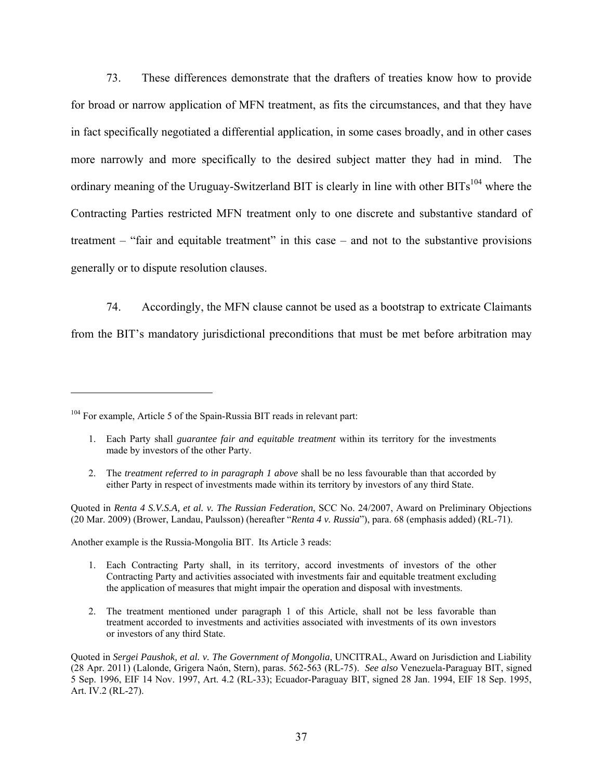73. These differences demonstrate that the drafters of treaties know how to provide for broad or narrow application of MFN treatment, as fits the circumstances, and that they have in fact specifically negotiated a differential application, in some cases broadly, and in other cases more narrowly and more specifically to the desired subject matter they had in mind. The ordinary meaning of the Uruguay-Switzerland BIT is clearly in line with other BITs<sup>104</sup> where the Contracting Parties restricted MFN treatment only to one discrete and substantive standard of treatment – "fair and equitable treatment" in this case – and not to the substantive provisions generally or to dispute resolution clauses.

74. Accordingly, the MFN clause cannot be used as a bootstrap to extricate Claimants from the BIT's mandatory jurisdictional preconditions that must be met before arbitration may

 $\overline{a}$ 

Another example is the Russia-Mongolia BIT. Its Article 3 reads:

- 1. Each Contracting Party shall, in its territory, accord investments of investors of the other Contracting Party and activities associated with investments fair and equitable treatment excluding the application of measures that might impair the operation and disposal with investments.
- 2. The treatment mentioned under paragraph 1 of this Article, shall not be less favorable than treatment accorded to investments and activities associated with investments of its own investors or investors of any third State.

<sup>&</sup>lt;sup>104</sup> For example, Article 5 of the Spain-Russia BIT reads in relevant part:

<sup>1.</sup> Each Party shall *guarantee fair and equitable treatment* within its territory for the investments made by investors of the other Party.

<sup>2.</sup> The *treatment referred to in paragraph 1 above* shall be no less favourable than that accorded by either Party in respect of investments made within its territory by investors of any third State.

Quoted in *Renta 4 S.V.S.A, et al. v. The Russian Federation*, SCC No. 24/2007, Award on Preliminary Objections (20 Mar. 2009) (Brower, Landau, Paulsson) (hereafter "*Renta 4 v. Russia*"), para. 68 (emphasis added) (RL-71).

Quoted in *Sergei Paushok, et al. v. The Government of Mongolia*, UNCITRAL, Award on Jurisdiction and Liability (28 Apr. 2011) (Lalonde, Grigera Naón, Stern), paras. 562-563 (RL-75). *See also* Venezuela-Paraguay BIT, signed 5 Sep. 1996, EIF 14 Nov. 1997, Art. 4.2 (RL-33); Ecuador-Paraguay BIT, signed 28 Jan. 1994, EIF 18 Sep. 1995, Art. IV.2 (RL-27).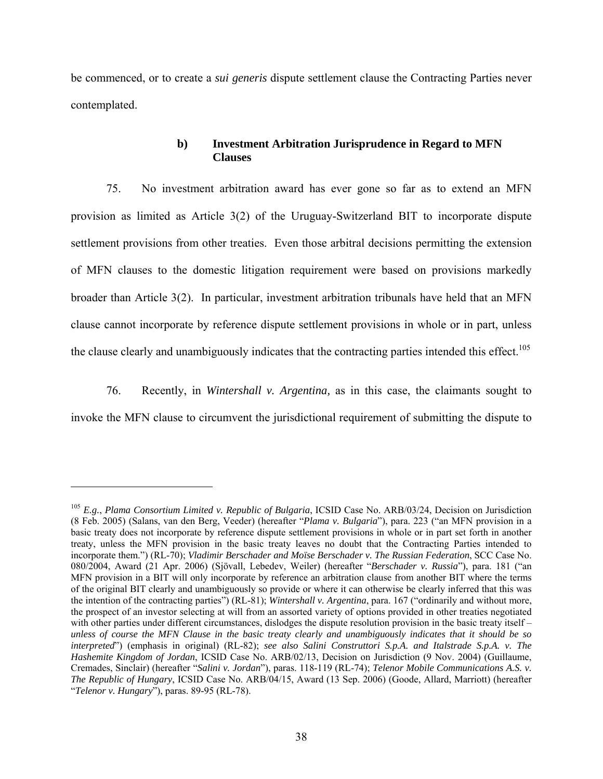be commenced, or to create a *sui generis* dispute settlement clause the Contracting Parties never contemplated.

#### **b) Investment Arbitration Jurisprudence in Regard to MFN Clauses**

75. No investment arbitration award has ever gone so far as to extend an MFN provision as limited as Article 3(2) of the Uruguay-Switzerland BIT to incorporate dispute settlement provisions from other treaties. Even those arbitral decisions permitting the extension of MFN clauses to the domestic litigation requirement were based on provisions markedly broader than Article 3(2). In particular, investment arbitration tribunals have held that an MFN clause cannot incorporate by reference dispute settlement provisions in whole or in part, unless the clause clearly and unambiguously indicates that the contracting parties intended this effect.<sup>105</sup>

76. Recently, in *Wintershall v. Argentina,* as in this case, the claimants sought to invoke the MFN clause to circumvent the jurisdictional requirement of submitting the dispute to

<sup>105</sup> *E.g.*, *Plama Consortium Limited v. Republic of Bulgaria*, ICSID Case No. ARB/03/24, Decision on Jurisdiction (8 Feb. 2005) (Salans, van den Berg, Veeder) (hereafter "*Plama v. Bulgaria*"), para. 223 ("an MFN provision in a basic treaty does not incorporate by reference dispute settlement provisions in whole or in part set forth in another treaty, unless the MFN provision in the basic treaty leaves no doubt that the Contracting Parties intended to incorporate them.") (RL-70); *Vladimir Berschader and Moïse Berschader v. The Russian Federation*, SCC Case No. 080/2004, Award (21 Apr. 2006) (Sjövall, Lebedev, Weiler) (hereafter "*Berschader v. Russia*"), para. 181 ("an MFN provision in a BIT will only incorporate by reference an arbitration clause from another BIT where the terms of the original BIT clearly and unambiguously so provide or where it can otherwise be clearly inferred that this was the intention of the contracting parties") (RL-81); *Wintershall v. Argentina*, para. 167 ("ordinarily and without more, the prospect of an investor selecting at will from an assorted variety of options provided in other treaties negotiated with other parties under different circumstances, dislodges the dispute resolution provision in the basic treaty itself – *unless of course the MFN Clause in the basic treaty clearly and unambiguously indicates that it should be so interpreted*") (emphasis in original) (RL-82); *see also Salini Construttori S.p.A. and Italstrade S.p.A. v. The Hashemite Kingdom of Jordan*, ICSID Case No. ARB/02/13, Decision on Jurisdiction (9 Nov. 2004) (Guillaume, Cremades, Sinclair) (hereafter "*Salini v. Jordan*"), paras. 118-119 (RL-74); *Telenor Mobile Communications A.S. v. The Republic of Hungary*, ICSID Case No. ARB/04/15, Award (13 Sep. 2006) (Goode, Allard, Marriott) (hereafter "*Telenor v. Hungary*"), paras. 89-95 (RL-78).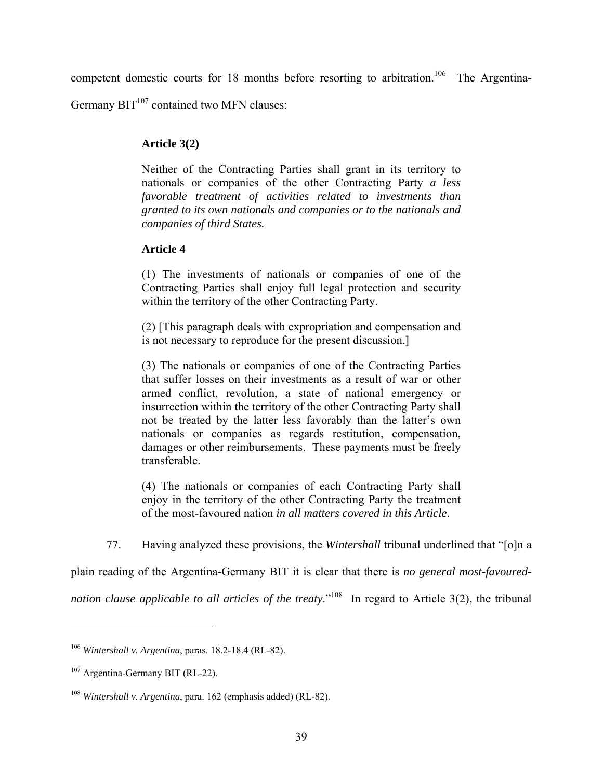competent domestic courts for 18 months before resorting to arbitration.<sup>106</sup> The Argentina-

Germany  $BIT<sup>107</sup>$  contained two MFN clauses:

# **Article 3(2)**

Neither of the Contracting Parties shall grant in its territory to nationals or companies of the other Contracting Party *a less favorable treatment of activities related to investments than granted to its own nationals and companies or to the nationals and companies of third States.*

# **Article 4**

(1) The investments of nationals or companies of one of the Contracting Parties shall enjoy full legal protection and security within the territory of the other Contracting Party.

(2) [This paragraph deals with expropriation and compensation and is not necessary to reproduce for the present discussion.]

(3) The nationals or companies of one of the Contracting Parties that suffer losses on their investments as a result of war or other armed conflict, revolution, a state of national emergency or insurrection within the territory of the other Contracting Party shall not be treated by the latter less favorably than the latter's own nationals or companies as regards restitution, compensation, damages or other reimbursements. These payments must be freely transferable.

(4) The nationals or companies of each Contracting Party shall enjoy in the territory of the other Contracting Party the treatment of the most-favoured nation *in all matters covered in this Article*.

77. Having analyzed these provisions, the *Wintershall* tribunal underlined that "[o]n a

plain reading of the Argentina-Germany BIT it is clear that there is *no general most-favoured-*

*nation clause applicable to all articles of the treaty.*<sup>"108</sup> In regard to Article 3(2), the tribunal

<sup>106</sup> *Wintershall v. Argentina*, paras. 18.2-18.4 (RL-82).

<sup>107</sup> Argentina-Germany BIT (RL-22).

<sup>108</sup> *Wintershall v. Argentina*, para. 162 (emphasis added) (RL-82).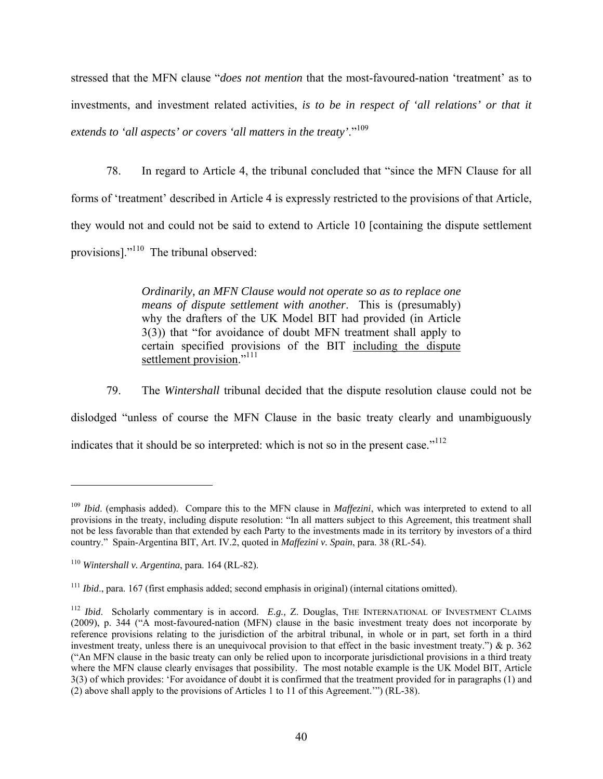stressed that the MFN clause "*does not mention* that the most-favoured-nation 'treatment' as to investments, and investment related activities, *is to be in respect of 'all relations' or that it extends to 'all aspects' or covers 'all matters in the treaty'*."109

78. In regard to Article 4, the tribunal concluded that "since the MFN Clause for all forms of 'treatment' described in Article 4 is expressly restricted to the provisions of that Article, they would not and could not be said to extend to Article 10 [containing the dispute settlement provisions]."<sup>110</sup> The tribunal observed:

> *Ordinarily, an MFN Clause would not operate so as to replace one means of dispute settlement with another*. This is (presumably) why the drafters of the UK Model BIT had provided (in Article 3(3)) that "for avoidance of doubt MFN treatment shall apply to certain specified provisions of the BIT including the dispute settlement provision."<sup>111</sup>

79. The *Wintershall* tribunal decided that the dispute resolution clause could not be dislodged "unless of course the MFN Clause in the basic treaty clearly and unambiguously indicates that it should be so interpreted: which is not so in the present case.<sup> $112$ </sup>

<sup>109</sup> *Ibid*. (emphasis added). Compare this to the MFN clause in *Maffezini*, which was interpreted to extend to all provisions in the treaty, including dispute resolution: "In all matters subject to this Agreement, this treatment shall not be less favorable than that extended by each Party to the investments made in its territory by investors of a third country." Spain-Argentina BIT, Art. IV.2, quoted in *Maffezini v. Spain*, para. 38 (RL-54).

<sup>110</sup> *Wintershall v. Argentina*, para. 164 (RL-82).

<sup>111</sup> *Ibid*., para. 167 (first emphasis added; second emphasis in original) (internal citations omitted).

<sup>112</sup> *Ibid*. Scholarly commentary is in accord. *E.g.,* Z. Douglas, THE INTERNATIONAL OF INVESTMENT CLAIMS (2009), p. 344 ("A most-favoured-nation (MFN) clause in the basic investment treaty does not incorporate by reference provisions relating to the jurisdiction of the arbitral tribunal, in whole or in part, set forth in a third investment treaty, unless there is an unequivocal provision to that effect in the basic investment treaty.")  $\&$  p. 362 ("An MFN clause in the basic treaty can only be relied upon to incorporate jurisdictional provisions in a third treaty where the MFN clause clearly envisages that possibility. The most notable example is the UK Model BIT, Article 3(3) of which provides: 'For avoidance of doubt it is confirmed that the treatment provided for in paragraphs (1) and (2) above shall apply to the provisions of Articles 1 to 11 of this Agreement.'") (RL-38).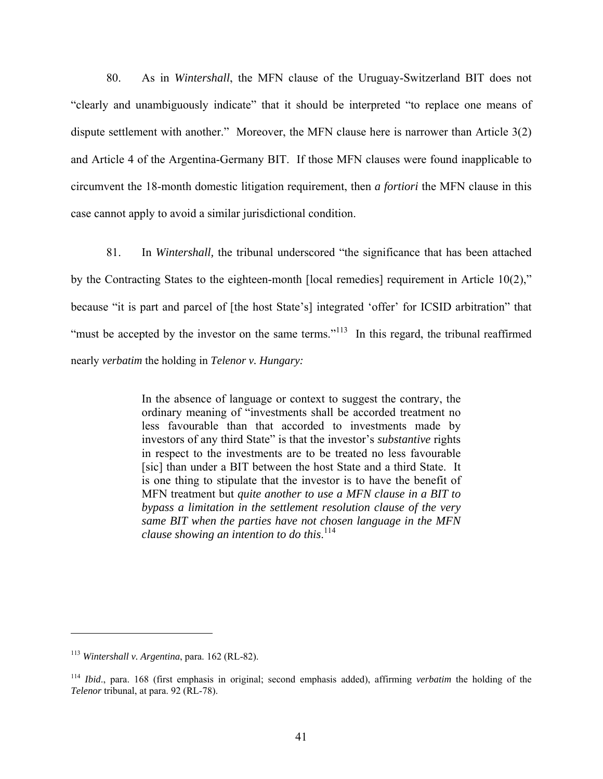80. As in *Wintershall*, the MFN clause of the Uruguay-Switzerland BIT does not "clearly and unambiguously indicate" that it should be interpreted "to replace one means of dispute settlement with another." Moreover, the MFN clause here is narrower than Article 3(2) and Article 4 of the Argentina-Germany BIT. If those MFN clauses were found inapplicable to circumvent the 18-month domestic litigation requirement, then *a fortiori* the MFN clause in this case cannot apply to avoid a similar jurisdictional condition.

81. In *Wintershall,* the tribunal underscored "the significance that has been attached by the Contracting States to the eighteen-month [local remedies] requirement in Article 10(2)," because "it is part and parcel of [the host State's] integrated 'offer' for ICSID arbitration" that "must be accepted by the investor on the same terms."<sup>113</sup> In this regard, the tribunal reaffirmed nearly *verbatim* the holding in *Telenor v. Hungary:*

> In the absence of language or context to suggest the contrary, the ordinary meaning of "investments shall be accorded treatment no less favourable than that accorded to investments made by investors of any third State" is that the investor's *substantive* rights in respect to the investments are to be treated no less favourable [sic] than under a BIT between the host State and a third State. It is one thing to stipulate that the investor is to have the benefit of MFN treatment but *quite another to use a MFN clause in a BIT to bypass a limitation in the settlement resolution clause of the very same BIT when the parties have not chosen language in the MFN clause showing an intention to do this*. 114

<sup>113</sup> *Wintershall v. Argentina*, para. 162 (RL-82).

<sup>114</sup> *Ibid*., para. 168 (first emphasis in original; second emphasis added), affirming *verbatim* the holding of the *Telenor* tribunal, at para. 92 (RL-78).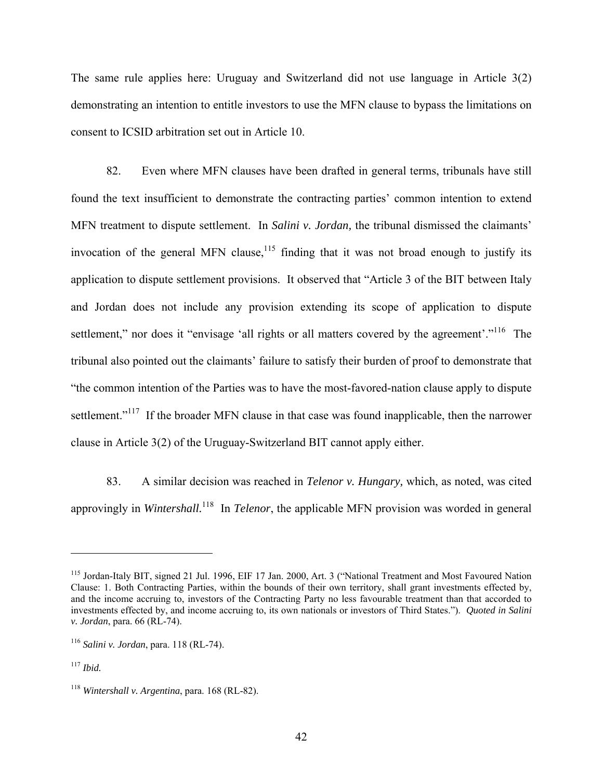The same rule applies here: Uruguay and Switzerland did not use language in Article 3(2) demonstrating an intention to entitle investors to use the MFN clause to bypass the limitations on consent to ICSID arbitration set out in Article 10.

82. Even where MFN clauses have been drafted in general terms, tribunals have still found the text insufficient to demonstrate the contracting parties' common intention to extend MFN treatment to dispute settlement. In *Salini v. Jordan,* the tribunal dismissed the claimants' invocation of the general MFN clause,  $115$  finding that it was not broad enough to justify its application to dispute settlement provisions. It observed that "Article 3 of the BIT between Italy and Jordan does not include any provision extending its scope of application to dispute settlement," nor does it "envisage 'all rights or all matters covered by the agreement'."<sup>116</sup> The tribunal also pointed out the claimants' failure to satisfy their burden of proof to demonstrate that "the common intention of the Parties was to have the most-favored-nation clause apply to dispute settlement."<sup>117</sup> If the broader MFN clause in that case was found inapplicable, then the narrower clause in Article 3(2) of the Uruguay-Switzerland BIT cannot apply either.

83. A similar decision was reached in *Telenor v. Hungary,* which, as noted, was cited approvingly in *Wintershall.*<sup>118</sup>In *Telenor*, the applicable MFN provision was worded in general

<sup>&</sup>lt;sup>115</sup> Jordan-Italy BIT, signed 21 Jul. 1996, EIF 17 Jan. 2000, Art. 3 ("National Treatment and Most Favoured Nation Clause: 1. Both Contracting Parties, within the bounds of their own territory, shall grant investments effected by, and the income accruing to, investors of the Contracting Party no less favourable treatment than that accorded to investments effected by, and income accruing to, its own nationals or investors of Third States."). *Quoted in Salini v. Jordan*, para. 66 (RL-74).

<sup>116</sup> *Salini v. Jordan*, para. 118 (RL-74).

<sup>117</sup> *Ibid.*

<sup>118</sup> *Wintershall v. Argentina*, para. 168 (RL-82).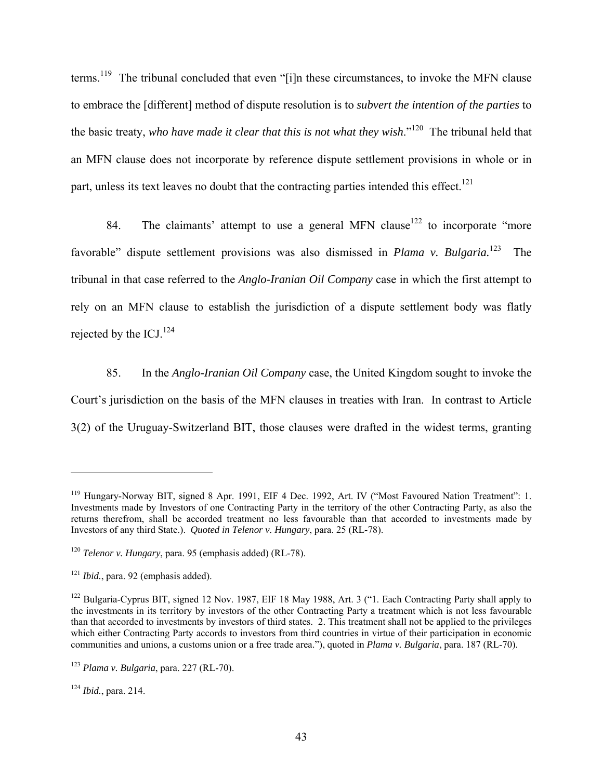terms.<sup>119</sup> The tribunal concluded that even "[i]n these circumstances, to invoke the MFN clause to embrace the [different] method of dispute resolution is to *subvert the intention of the parties* to the basic treaty, *who have made it clear that this is not what they wish*."120 The tribunal held that an MFN clause does not incorporate by reference dispute settlement provisions in whole or in part, unless its text leaves no doubt that the contracting parties intended this effect.<sup>121</sup>

84. The claimants' attempt to use a general MFN clause<sup>122</sup> to incorporate "more" favorable" dispute settlement provisions was also dismissed in *Plama v. Bulgaria*.<sup>123</sup> The tribunal in that case referred to the *Anglo-Iranian Oil Company* case in which the first attempt to rely on an MFN clause to establish the jurisdiction of a dispute settlement body was flatly rejected by the ICJ. $^{124}$ 

85. In the *Anglo-Iranian Oil Company* case, the United Kingdom sought to invoke the Court's jurisdiction on the basis of the MFN clauses in treaties with Iran. In contrast to Article 3(2) of the Uruguay-Switzerland BIT, those clauses were drafted in the widest terms, granting

<sup>124</sup> *Ibid.*, para. 214.

<sup>&</sup>lt;sup>119</sup> Hungary-Norway BIT, signed 8 Apr. 1991, EIF 4 Dec. 1992, Art. IV ("Most Favoured Nation Treatment": 1. Investments made by Investors of one Contracting Party in the territory of the other Contracting Party, as also the returns therefrom, shall be accorded treatment no less favourable than that accorded to investments made by Investors of any third State.). *Quoted in Telenor v. Hungary*, para. 25 (RL-78).

<sup>120</sup> *Telenor v. Hungary*, para. 95 (emphasis added) (RL-78).

<sup>&</sup>lt;sup>121</sup> *Ibid.*, para. 92 (emphasis added).

<sup>&</sup>lt;sup>122</sup> Bulgaria-Cyprus BIT, signed 12 Nov. 1987, EIF 18 May 1988, Art. 3 ("1. Each Contracting Party shall apply to the investments in its territory by investors of the other Contracting Party a treatment which is not less favourable than that accorded to investments by investors of third states. 2. This treatment shall not be applied to the privileges which either Contracting Party accords to investors from third countries in virtue of their participation in economic communities and unions, a customs union or a free trade area."), quoted in *Plama v. Bulgaria*, para. 187 (RL-70).

<sup>123</sup> *Plama v. Bulgaria*, para. 227 (RL-70).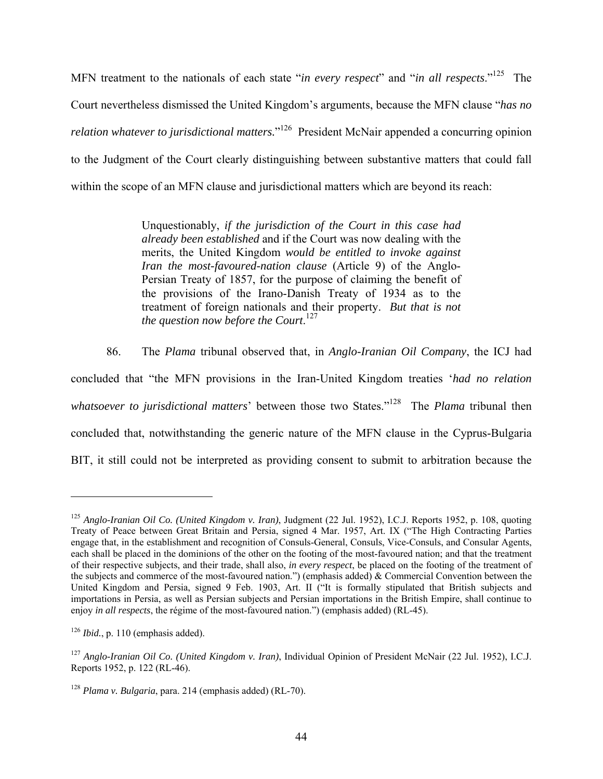MFN treatment to the nationals of each state "*in every respect*" and "*in all respects*."125 The Court nevertheless dismissed the United Kingdom's arguments, because the MFN clause "*has no relation whatever to jurisdictional matters.*" <sup>126</sup>President McNair appended a concurring opinion to the Judgment of the Court clearly distinguishing between substantive matters that could fall within the scope of an MFN clause and jurisdictional matters which are beyond its reach:

> Unquestionably, *if the jurisdiction of the Court in this case had already been established* and if the Court was now dealing with the merits, the United Kingdom *would be entitled to invoke against Iran the most-favoured-nation clause* (Article 9) of the Anglo-Persian Treaty of 1857, for the purpose of claiming the benefit of the provisions of the Irano-Danish Treaty of 1934 as to the treatment of foreign nationals and their property. *But that is not the question now before the Court*. 127

86. The *Plama* tribunal observed that, in *Anglo-Iranian Oil Company*, the ICJ had concluded that "the MFN provisions in the Iran-United Kingdom treaties '*had no relation whatsoever to jurisdictional matters*' between those two States."128 The *Plama* tribunal then concluded that, notwithstanding the generic nature of the MFN clause in the Cyprus-Bulgaria BIT, it still could not be interpreted as providing consent to submit to arbitration because the

<sup>125</sup> *Anglo-Iranian Oil Co. (United Kingdom v. Iran)*, Judgment (22 Jul. 1952), I.C.J. Reports 1952, p. 108, quoting Treaty of Peace between Great Britain and Persia, signed 4 Mar. 1957, Art. IX ("The High Contracting Parties engage that, in the establishment and recognition of Consuls-General, Consuls, Vice-Consuls, and Consular Agents, each shall be placed in the dominions of the other on the footing of the most-favoured nation; and that the treatment of their respective subjects, and their trade, shall also, *in every respect*, be placed on the footing of the treatment of the subjects and commerce of the most-favoured nation.") (emphasis added) & Commercial Convention between the United Kingdom and Persia, signed 9 Feb. 1903, Art. II ("It is formally stipulated that British subjects and importations in Persia, as well as Persian subjects and Persian importations in the British Empire, shall continue to enjoy *in all respects*, the régime of the most-favoured nation.") (emphasis added) (RL-45).

 $126$  *Ibid.*, p. 110 (emphasis added).

<sup>127</sup> *Anglo-Iranian Oil Co. (United Kingdom v. Iran)*, Individual Opinion of President McNair (22 Jul. 1952), I.C.J. Reports 1952, p. 122 (RL-46).

<sup>128</sup> *Plama v. Bulgaria*, para. 214 (emphasis added) (RL-70).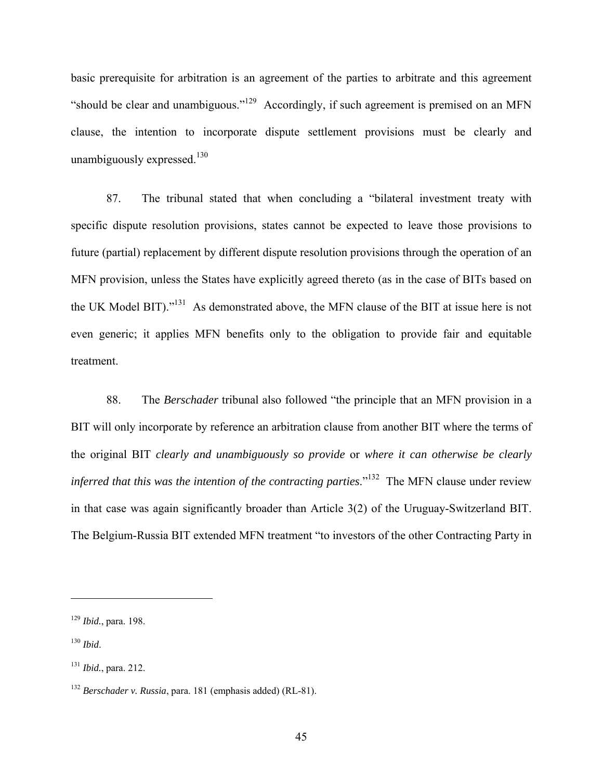basic prerequisite for arbitration is an agreement of the parties to arbitrate and this agreement "should be clear and unambiguous."129 Accordingly, if such agreement is premised on an MFN clause, the intention to incorporate dispute settlement provisions must be clearly and unambiguously expressed.<sup>130</sup>

87. The tribunal stated that when concluding a "bilateral investment treaty with specific dispute resolution provisions, states cannot be expected to leave those provisions to future (partial) replacement by different dispute resolution provisions through the operation of an MFN provision, unless the States have explicitly agreed thereto (as in the case of BITs based on the UK Model BIT)."131 As demonstrated above, the MFN clause of the BIT at issue here is not even generic; it applies MFN benefits only to the obligation to provide fair and equitable treatment.

88. The *Berschader* tribunal also followed "the principle that an MFN provision in a BIT will only incorporate by reference an arbitration clause from another BIT where the terms of the original BIT *clearly and unambiguously so provide* or *where it can otherwise be clearly inferred that this was the intention of the contracting parties.*<sup>"132</sup> The MFN clause under review in that case was again significantly broader than Article 3(2) of the Uruguay-Switzerland BIT. The Belgium-Russia BIT extended MFN treatment "to investors of the other Contracting Party in

<sup>129</sup> *Ibid.*, para. 198.

<sup>130</sup> *Ibid*.

<sup>131</sup> *Ibid.*, para. 212.

<sup>132</sup> *Berschader v. Russia*, para. 181 (emphasis added) (RL-81).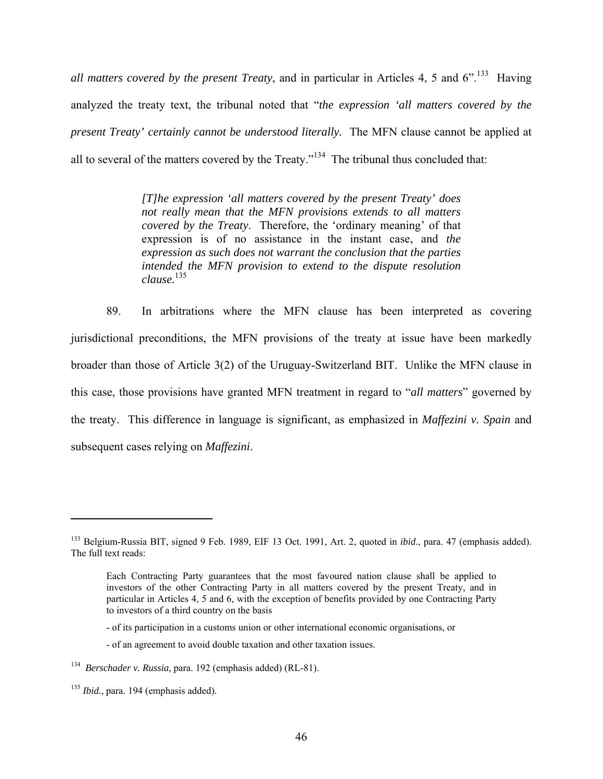*all matters covered by the present Treaty*, and in particular in Articles 4, 5 and 6".<sup>133</sup> Having analyzed the treaty text, the tribunal noted that "*the expression 'all matters covered by the present Treaty' certainly cannot be understood literally.* The MFN clause cannot be applied at all to several of the matters covered by the Treaty."134 The tribunal thus concluded that:

> *[T]he expression 'all matters covered by the present Treaty' does not really mean that the MFN provisions extends to all matters covered by the Treaty*. Therefore, the 'ordinary meaning' of that expression is of no assistance in the instant case, and *the expression as such does not warrant the conclusion that the parties intended the MFN provision to extend to the dispute resolution clause.*135

89. In arbitrations where the MFN clause has been interpreted as covering jurisdictional preconditions, the MFN provisions of the treaty at issue have been markedly broader than those of Article 3(2) of the Uruguay-Switzerland BIT. Unlike the MFN clause in this case, those provisions have granted MFN treatment in regard to "*all matters*" governed by the treaty. This difference in language is significant, as emphasized in *Maffezini v. Spain* and subsequent cases relying on *Maffezini*.

<sup>133</sup> Belgium-Russia BIT, signed 9 Feb. 1989, EIF 13 Oct. 1991, Art. 2, quoted in *ibid*., para. 47 (emphasis added). The full text reads:

Each Contracting Party guarantees that the most favoured nation clause shall be applied to investors of the other Contracting Party in all matters covered by the present Treaty, and in particular in Articles 4, 5 and 6, with the exception of benefits provided by one Contracting Party to investors of a third country on the basis

<sup>-</sup> of its participation in a customs union or other international economic organisations, or

<sup>-</sup> of an agreement to avoid double taxation and other taxation issues.

<sup>134</sup> *Berschader v. Russia*, para. 192 (emphasis added) (RL-81).

<sup>&</sup>lt;sup>135</sup> *Ibid.*, para. 194 (emphasis added).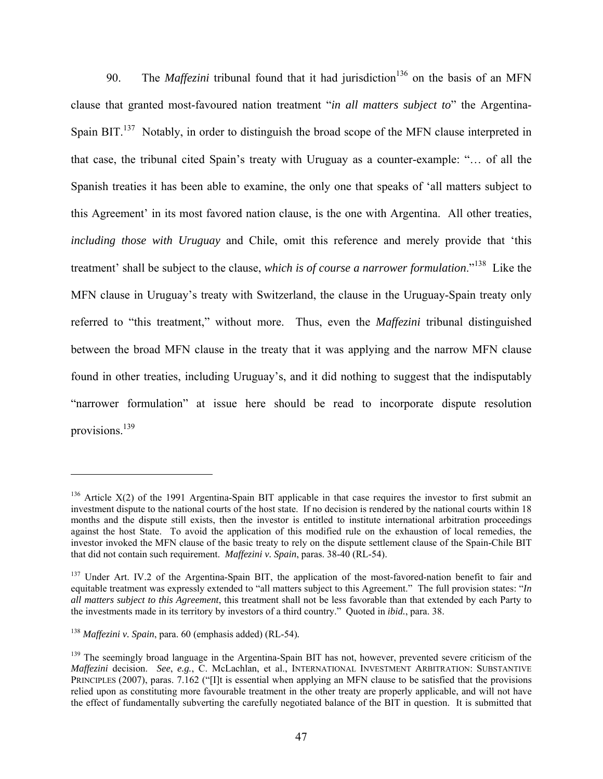90. The *Maffezini* tribunal found that it had jurisdiction<sup>136</sup> on the basis of an MFN clause that granted most-favoured nation treatment "*in all matters subject to*" the Argentina-Spain BIT.<sup>137</sup> Notably, in order to distinguish the broad scope of the MFN clause interpreted in that case, the tribunal cited Spain's treaty with Uruguay as a counter-example: "… of all the Spanish treaties it has been able to examine, the only one that speaks of 'all matters subject to this Agreement' in its most favored nation clause, is the one with Argentina. All other treaties, *including those with Uruguay* and Chile, omit this reference and merely provide that 'this treatment' shall be subject to the clause, *which is of course a narrower formulation*."138 Like the MFN clause in Uruguay's treaty with Switzerland, the clause in the Uruguay-Spain treaty only referred to "this treatment," without more. Thus, even the *Maffezini* tribunal distinguished between the broad MFN clause in the treaty that it was applying and the narrow MFN clause found in other treaties, including Uruguay's, and it did nothing to suggest that the indisputably "narrower formulation" at issue here should be read to incorporate dispute resolution provisions.139

<sup>&</sup>lt;sup>136</sup> Article X(2) of the 1991 Argentina-Spain BIT applicable in that case requires the investor to first submit an investment dispute to the national courts of the host state. If no decision is rendered by the national courts within 18 months and the dispute still exists, then the investor is entitled to institute international arbitration proceedings against the host State. To avoid the application of this modified rule on the exhaustion of local remedies, the investor invoked the MFN clause of the basic treaty to rely on the dispute settlement clause of the Spain-Chile BIT that did not contain such requirement. *Maffezini v. Spain*, paras. 38-40 (RL-54).

<sup>&</sup>lt;sup>137</sup> Under Art. IV.2 of the Argentina-Spain BIT, the application of the most-favored-nation benefit to fair and equitable treatment was expressly extended to "all matters subject to this Agreement." The full provision states: "*In all matters subject to this Agreement*, this treatment shall not be less favorable than that extended by each Party to the investments made in its territory by investors of a third country." Quoted in *ibid.*, para. 38.

<sup>138</sup> *Maffezini v. Spain*, para. 60 (emphasis added) (RL-54)*.*

<sup>&</sup>lt;sup>139</sup> The seemingly broad language in the Argentina-Spain BIT has not, however, prevented severe criticism of the *Maffezini* decision. *See*, *e.g.*, C. McLachlan, et al., INTERNATIONAL INVESTMENT ARBITRATION: SUBSTANTIVE PRINCIPLES (2007), paras. 7.162 ("[I]t is essential when applying an MFN clause to be satisfied that the provisions relied upon as constituting more favourable treatment in the other treaty are properly applicable, and will not have the effect of fundamentally subverting the carefully negotiated balance of the BIT in question. It is submitted that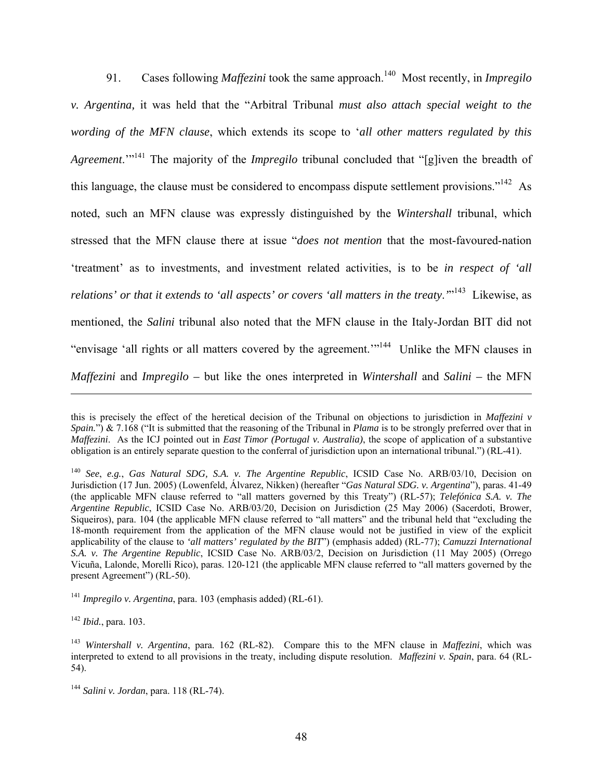91. Cases following *Maffezini* took the same approach.<sup>140</sup> Most recently, in *Impregilo v. Argentina,* it was held that the "Arbitral Tribunal *must also attach special weight to the wording of the MFN clause*, which extends its scope to '*all other matters regulated by this Agreement*.'"141 The majority of the *Impregilo* tribunal concluded that "[g]iven the breadth of this language, the clause must be considered to encompass dispute settlement provisions."<sup>142</sup> As noted, such an MFN clause was expressly distinguished by the *Wintershall* tribunal, which stressed that the MFN clause there at issue "*does not mention* that the most-favoured-nation 'treatment' as to investments, and investment related activities, is to be *in respect of 'all*  relations' or that it extends to 'all aspects' or covers 'all matters in the treaty.<sup>'"143</sup> Likewise, as mentioned, the *Salini* tribunal also noted that the MFN clause in the Italy-Jordan BIT did not "envisage 'all rights or all matters covered by the agreement.'"144 Unlike the MFN clauses in *Maffezini* and *Impregilo –* but like the ones interpreted in *Wintershall* and *Salini –* the MFN

<sup>142</sup> *Ibid.*, para. 103.

this is precisely the effect of the heretical decision of the Tribunal on objections to jurisdiction in *Maffezini v Spain.*") & 7.168 ("It is submitted that the reasoning of the Tribunal in *Plama* is to be strongly preferred over that in *Maffezini*. As the ICJ pointed out in *East Timor (Portugal v. Australia)*, the scope of application of a substantive obligation is an entirely separate question to the conferral of jurisdiction upon an international tribunal.") (RL-41).

<sup>140</sup> *See*, *e.g.*, *Gas Natural SDG, S.A. v. The Argentine Republic*, ICSID Case No. ARB/03/10, Decision on Jurisdiction (17 Jun. 2005) (Lowenfeld, Álvarez, Nikken) (hereafter "*Gas Natural SDG. v. Argentina*"), paras. 41-49 (the applicable MFN clause referred to "all matters governed by this Treaty") (RL-57); *Telefónica S.A. v. The Argentine Republic*, ICSID Case No. ARB/03/20, Decision on Jurisdiction (25 May 2006) (Sacerdoti, Brower, Siqueiros), para. 104 (the applicable MFN clause referred to "all matters" and the tribunal held that "excluding the 18-month requirement from the application of the MFN clause would not be justified in view of the explicit applicability of the clause to *'all matters' regulated by the BIT*") (emphasis added) (RL-77); *Camuzzi International S.A. v. The Argentine Republic*, ICSID Case No. ARB/03/2, Decision on Jurisdiction (11 May 2005) (Orrego Vicuña, Lalonde, Morelli Rico), paras. 120-121 (the applicable MFN clause referred to "all matters governed by the present Agreement") (RL-50).

<sup>141</sup> *Impregilo v. Argentina*, para. 103 (emphasis added) (RL-61).

<sup>143</sup> *Wintershall v. Argentina*, para. 162 (RL-82). Compare this to the MFN clause in *Maffezini*, which was interpreted to extend to all provisions in the treaty, including dispute resolution. *Maffezini v. Spain*, para. 64 (RL-54).

<sup>144</sup> *Salini v. Jordan*, para. 118 (RL-74).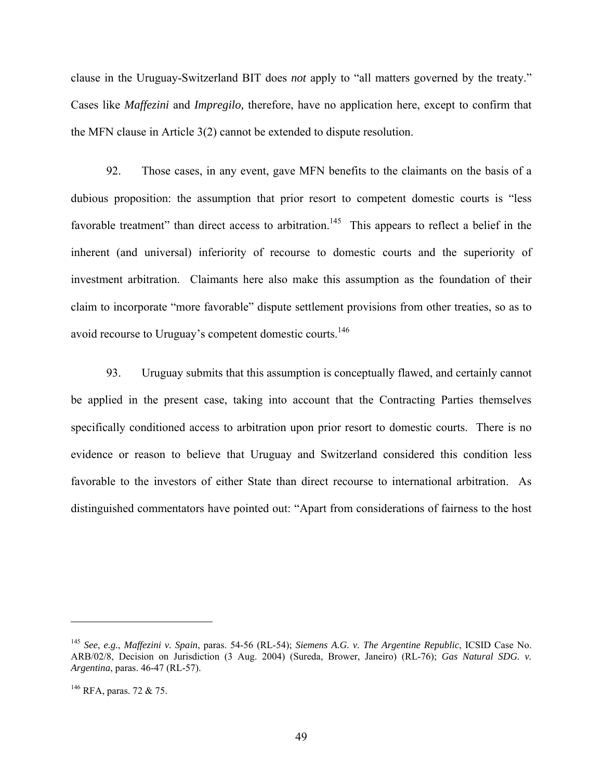clause in the Uruguay-Switzerland BIT does *not* apply to "all matters governed by the treaty." Cases like *Maffezini* and *Impregilo,* therefore, have no application here, except to confirm that the MFN clause in Article 3(2) cannot be extended to dispute resolution.

92. Those cases, in any event, gave MFN benefits to the claimants on the basis of a dubious proposition: the assumption that prior resort to competent domestic courts is "less favorable treatment" than direct access to arbitration.<sup>145</sup> This appears to reflect a belief in the inherent (and universal) inferiority of recourse to domestic courts and the superiority of investment arbitration. Claimants here also make this assumption as the foundation of their claim to incorporate "more favorable" dispute settlement provisions from other treaties, so as to avoid recourse to Uruguay's competent domestic courts.<sup>146</sup>

93. Uruguay submits that this assumption is conceptually flawed, and certainly cannot be applied in the present case, taking into account that the Contracting Parties themselves specifically conditioned access to arbitration upon prior resort to domestic courts. There is no evidence or reason to believe that Uruguay and Switzerland considered this condition less favorable to the investors of either State than direct recourse to international arbitration. As distinguished commentators have pointed out: "Apart from considerations of fairness to the host

<sup>145</sup> *See*, *e.g.*, *Maffezini v. Spain*, paras. 54-56 (RL-54); *Siemens A.G. v. The Argentine Republic*, ICSID Case No. ARB/02/8, Decision on Jurisdiction (3 Aug. 2004) (Sureda, Brower, Janeiro) (RL-76); *Gas Natural SDG. v. Argentina*, paras. 46-47 (RL-57).

<sup>146</sup> RFA, paras. 72 & 75.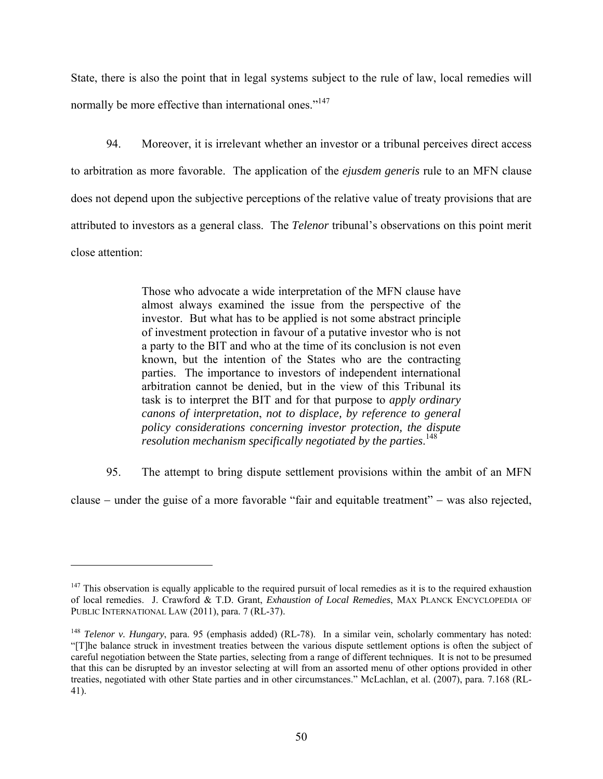State, there is also the point that in legal systems subject to the rule of law, local remedies will normally be more effective than international ones."<sup>147</sup>

94. Moreover, it is irrelevant whether an investor or a tribunal perceives direct access to arbitration as more favorable. The application of the *ejusdem generis* rule to an MFN clause does not depend upon the subjective perceptions of the relative value of treaty provisions that are attributed to investors as a general class. The *Telenor* tribunal's observations on this point merit close attention:

> Those who advocate a wide interpretation of the MFN clause have almost always examined the issue from the perspective of the investor. But what has to be applied is not some abstract principle of investment protection in favour of a putative investor who is not a party to the BIT and who at the time of its conclusion is not even known, but the intention of the States who are the contracting parties. The importance to investors of independent international arbitration cannot be denied, but in the view of this Tribunal its task is to interpret the BIT and for that purpose to *apply ordinary canons of interpretation*, *not to displace, by reference to general policy considerations concerning investor protection, the dispute resolution mechanism specifically negotiated by the parties*. 148

95. The attempt to bring dispute settlement provisions within the ambit of an MFN

clause  $-$  under the guise of a more favorable "fair and equitable treatment"  $-$  was also rejected,

 $147$  This observation is equally applicable to the required pursuit of local remedies as it is to the required exhaustion of local remedies. J. Crawford & T.D. Grant, *Exhaustion of Local Remedies*, MAX PLANCK ENCYCLOPEDIA OF PUBLIC INTERNATIONAL LAW (2011), para. 7 (RL-37).

<sup>&</sup>lt;sup>148</sup> *Telenor v. Hungary*, para. 95 (emphasis added) (RL-78). In a similar vein, scholarly commentary has noted: "[T]he balance struck in investment treaties between the various dispute settlement options is often the subject of careful negotiation between the State parties, selecting from a range of different techniques. It is not to be presumed that this can be disrupted by an investor selecting at will from an assorted menu of other options provided in other treaties, negotiated with other State parties and in other circumstances." McLachlan, et al. (2007), para. 7.168 (RL-41).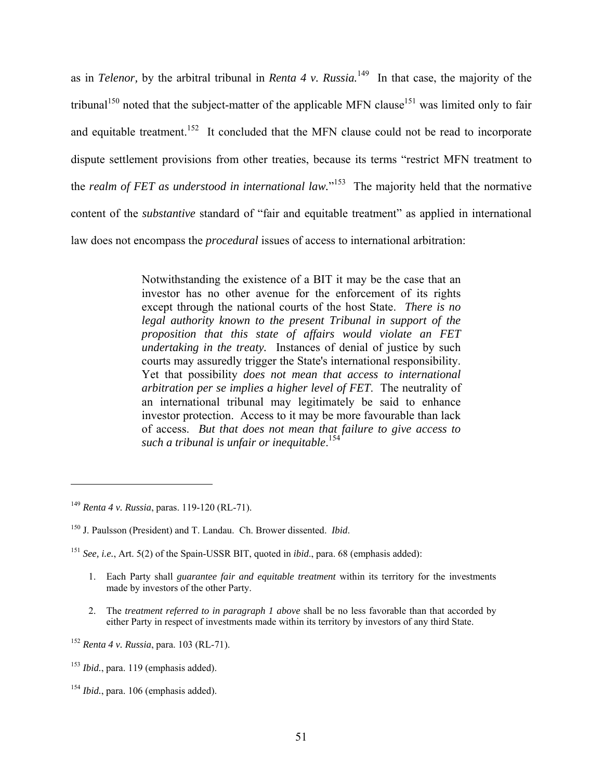as in *Telenor,* by the arbitral tribunal in *Renta 4 v. Russia.*149 In that case, the majority of the tribunal<sup>150</sup> noted that the subject-matter of the applicable MFN clause<sup>151</sup> was limited only to fair and equitable treatment.<sup>152</sup> It concluded that the MFN clause could not be read to incorporate dispute settlement provisions from other treaties, because its terms "restrict MFN treatment to the *realm of FET as understood in international law.*" 153 The majority held that the normative content of the *substantive* standard of "fair and equitable treatment" as applied in international law does not encompass the *procedural* issues of access to international arbitration:

> Notwithstanding the existence of a BIT it may be the case that an investor has no other avenue for the enforcement of its rights except through the national courts of the host State. *There is no legal authority known to the present Tribunal in support of the proposition that this state of affairs would violate an FET undertaking in the treaty.* Instances of denial of justice by such courts may assuredly trigger the State's international responsibility. Yet that possibility *does not mean that access to international arbitration per se implies a higher level of FET*. The neutrality of an international tribunal may legitimately be said to enhance investor protection. Access to it may be more favourable than lack of access. *But that does not mean that failure to give access to such a tribunal is unfair or inequitable*. 154

 $\overline{a}$ 

2. The *treatment referred to in paragraph 1 above* shall be no less favorable than that accorded by either Party in respect of investments made within its territory by investors of any third State.

<sup>149</sup> *Renta 4 v. Russia*, paras. 119-120 (RL-71).

<sup>150</sup> J. Paulsson (President) and T. Landau. Ch. Brower dissented. *Ibid*.

<sup>151</sup> *See, i.e.*, Art. 5(2) of the Spain-USSR BIT, quoted in *ibid*., para. 68 (emphasis added):

<sup>1.</sup> Each Party shall *guarantee fair and equitable treatment* within its territory for the investments made by investors of the other Party.

<sup>152</sup> *Renta 4 v. Russia*, para. 103 (RL-71).

<sup>153</sup> *Ibid.*, para. 119 (emphasis added).

<sup>154</sup> *Ibid.*, para. 106 (emphasis added).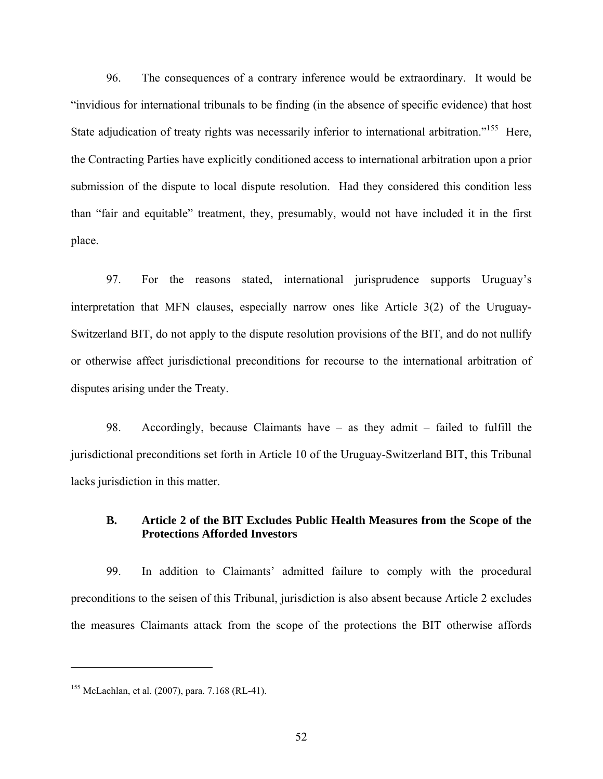96. The consequences of a contrary inference would be extraordinary. It would be "invidious for international tribunals to be finding (in the absence of specific evidence) that host State adjudication of treaty rights was necessarily inferior to international arbitration."<sup>155</sup> Here, the Contracting Parties have explicitly conditioned access to international arbitration upon a prior submission of the dispute to local dispute resolution. Had they considered this condition less than "fair and equitable" treatment, they, presumably, would not have included it in the first place.

97. For the reasons stated, international jurisprudence supports Uruguay's interpretation that MFN clauses, especially narrow ones like Article 3(2) of the Uruguay-Switzerland BIT, do not apply to the dispute resolution provisions of the BIT, and do not nullify or otherwise affect jurisdictional preconditions for recourse to the international arbitration of disputes arising under the Treaty.

98. Accordingly, because Claimants have – as they admit – failed to fulfill the jurisdictional preconditions set forth in Article 10 of the Uruguay-Switzerland BIT, this Tribunal lacks jurisdiction in this matter.

## **B. Article 2 of the BIT Excludes Public Health Measures from the Scope of the Protections Afforded Investors**

99. In addition to Claimants' admitted failure to comply with the procedural preconditions to the seisen of this Tribunal, jurisdiction is also absent because Article 2 excludes the measures Claimants attack from the scope of the protections the BIT otherwise affords

<sup>155</sup> McLachlan, et al. (2007), para. 7.168 (RL-41).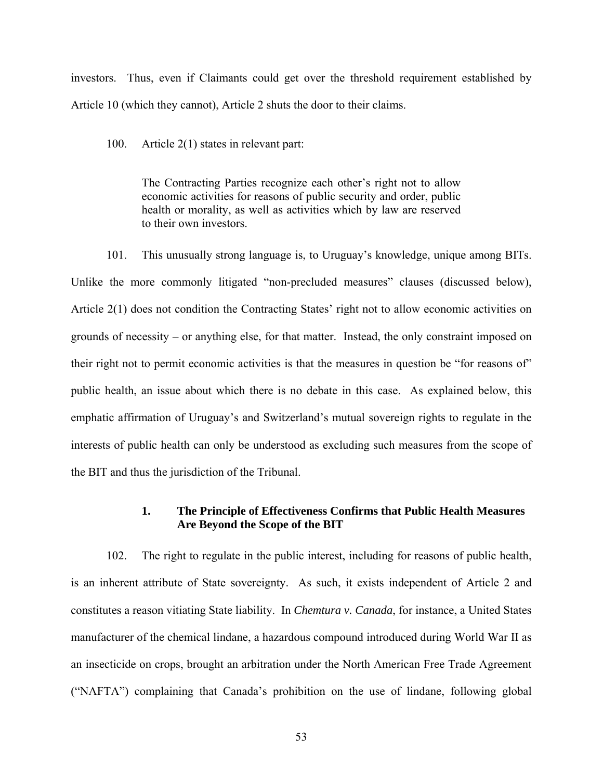investors. Thus, even if Claimants could get over the threshold requirement established by Article 10 (which they cannot), Article 2 shuts the door to their claims.

100. Article 2(1) states in relevant part:

The Contracting Parties recognize each other's right not to allow economic activities for reasons of public security and order, public health or morality, as well as activities which by law are reserved to their own investors.

101. This unusually strong language is, to Uruguay's knowledge, unique among BITs. Unlike the more commonly litigated "non-precluded measures" clauses (discussed below), Article 2(1) does not condition the Contracting States' right not to allow economic activities on grounds of necessity – or anything else, for that matter. Instead, the only constraint imposed on their right not to permit economic activities is that the measures in question be "for reasons of" public health, an issue about which there is no debate in this case. As explained below, this emphatic affirmation of Uruguay's and Switzerland's mutual sovereign rights to regulate in the interests of public health can only be understood as excluding such measures from the scope of the BIT and thus the jurisdiction of the Tribunal.

### **1. The Principle of Effectiveness Confirms that Public Health Measures Are Beyond the Scope of the BIT**

102. The right to regulate in the public interest, including for reasons of public health, is an inherent attribute of State sovereignty. As such, it exists independent of Article 2 and constitutes a reason vitiating State liability. In *Chemtura v. Canada*, for instance, a United States manufacturer of the chemical lindane, a hazardous compound introduced during World War II as an insecticide on crops, brought an arbitration under the North American Free Trade Agreement ("NAFTA") complaining that Canada's prohibition on the use of lindane, following global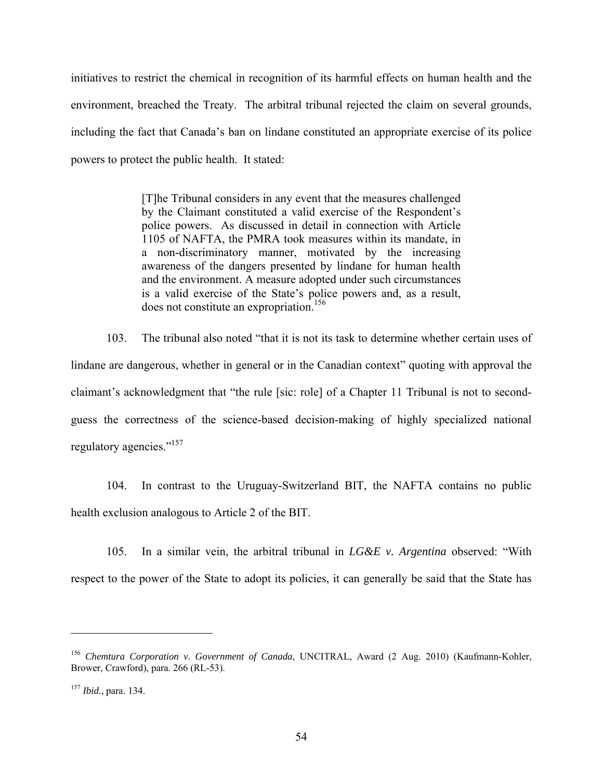initiatives to restrict the chemical in recognition of its harmful effects on human health and the environment, breached the Treaty. The arbitral tribunal rejected the claim on several grounds, including the fact that Canada's ban on lindane constituted an appropriate exercise of its police powers to protect the public health. It stated:

> [T]he Tribunal considers in any event that the measures challenged by the Claimant constituted a valid exercise of the Respondent's police powers. As discussed in detail in connection with Article 1105 of NAFTA, the PMRA took measures within its mandate, in a non-discriminatory manner, motivated by the increasing awareness of the dangers presented by lindane for human health and the environment. A measure adopted under such circumstances is a valid exercise of the State's police powers and, as a result, does not constitute an expropriation.<sup>156</sup>

103. The tribunal also noted "that it is not its task to determine whether certain uses of lindane are dangerous, whether in general or in the Canadian context" quoting with approval the claimant's acknowledgment that "the rule [sic: role] of a Chapter 11 Tribunal is not to secondguess the correctness of the science-based decision-making of highly specialized national regulatory agencies."157

104. In contrast to the Uruguay-Switzerland BIT, the NAFTA contains no public health exclusion analogous to Article 2 of the BIT.

105. In a similar vein, the arbitral tribunal in *LG&E v. Argentina* observed: "With respect to the power of the State to adopt its policies, it can generally be said that the State has

<sup>156</sup> *Chemtura Corporation v. Government of Canada*, UNCITRAL, Award (2 Aug. 2010) (Kaufmann-Kohler, Brower, Crawford), para. 266 (RL-53).

<sup>157</sup> *Ibid.*, para. 134.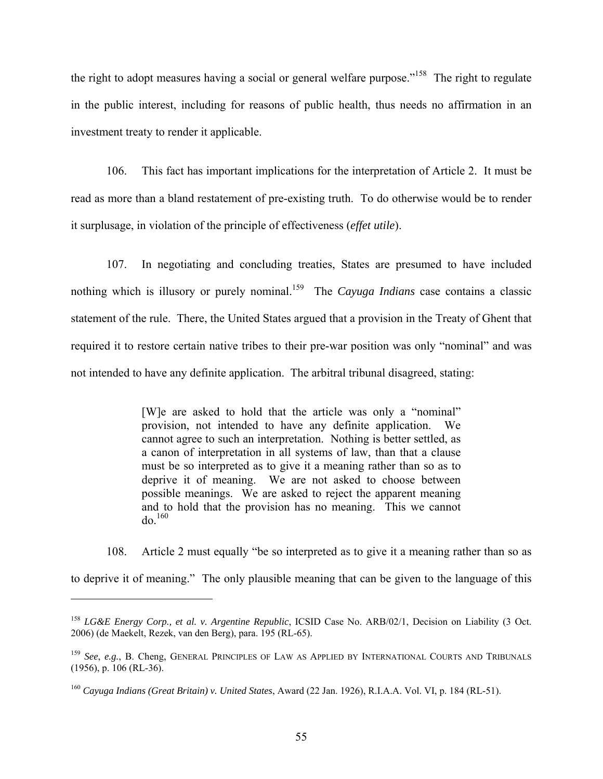the right to adopt measures having a social or general welfare purpose."<sup>158</sup> The right to regulate in the public interest, including for reasons of public health, thus needs no affirmation in an investment treaty to render it applicable.

106. This fact has important implications for the interpretation of Article 2. It must be read as more than a bland restatement of pre-existing truth. To do otherwise would be to render it surplusage, in violation of the principle of effectiveness (*effet utile*).

107. In negotiating and concluding treaties, States are presumed to have included nothing which is illusory or purely nominal.<sup>159</sup> The *Cayuga Indians* case contains a classic statement of the rule. There, the United States argued that a provision in the Treaty of Ghent that required it to restore certain native tribes to their pre-war position was only "nominal" and was not intended to have any definite application. The arbitral tribunal disagreed, stating:

> [W]e are asked to hold that the article was only a "nominal" provision, not intended to have any definite application. We cannot agree to such an interpretation. Nothing is better settled, as a canon of interpretation in all systems of law, than that a clause must be so interpreted as to give it a meaning rather than so as to deprive it of meaning. We are not asked to choose between possible meanings. We are asked to reject the apparent meaning and to hold that the provision has no meaning. This we cannot  $d\rho$ <sup>160</sup>

108. Article 2 must equally "be so interpreted as to give it a meaning rather than so as to deprive it of meaning." The only plausible meaning that can be given to the language of this

<sup>158</sup> *LG&E Energy Corp., et al. v. Argentine Republic*, ICSID Case No. ARB/02/1, Decision on Liability (3 Oct. 2006) (de Maekelt, Rezek, van den Berg), para. 195 (RL-65).

<sup>159</sup> *See*, *e.g.*, B. Cheng, GENERAL PRINCIPLES OF LAW AS APPLIED BY INTERNATIONAL COURTS AND TRIBUNALS (1956), p. 106 (RL-36).

<sup>160</sup> *Cayuga Indians (Great Britain) v. United States*, Award (22 Jan. 1926), R.I.A.A. Vol. VI, p. 184 (RL-51).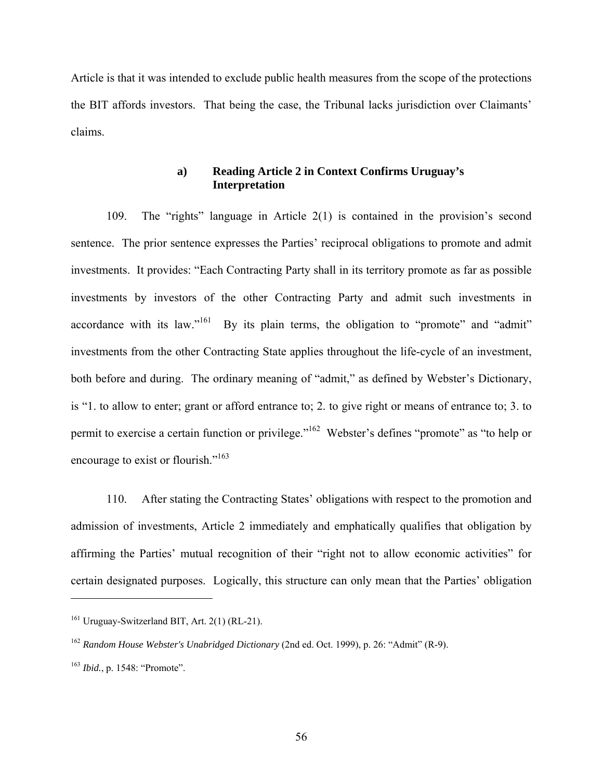Article is that it was intended to exclude public health measures from the scope of the protections the BIT affords investors. That being the case, the Tribunal lacks jurisdiction over Claimants' claims.

## **a) Reading Article 2 in Context Confirms Uruguay's Interpretation**

109. The "rights" language in Article 2(1) is contained in the provision's second sentence. The prior sentence expresses the Parties' reciprocal obligations to promote and admit investments. It provides: "Each Contracting Party shall in its territory promote as far as possible investments by investors of the other Contracting Party and admit such investments in accordance with its law."<sup>161</sup> By its plain terms, the obligation to "promote" and "admit" investments from the other Contracting State applies throughout the life-cycle of an investment, both before and during. The ordinary meaning of "admit," as defined by Webster's Dictionary, is "1. to allow to enter; grant or afford entrance to; 2. to give right or means of entrance to; 3. to permit to exercise a certain function or privilege."162 Webster's defines "promote" as "to help or encourage to exist or flourish."<sup>163</sup>

110. After stating the Contracting States' obligations with respect to the promotion and admission of investments, Article 2 immediately and emphatically qualifies that obligation by affirming the Parties' mutual recognition of their "right not to allow economic activities" for certain designated purposes. Logically, this structure can only mean that the Parties' obligation

<sup>161</sup> Uruguay-Switzerland BIT, Art. 2(1) (RL-21).

<sup>162</sup> *Random House Webster's Unabridged Dictionary* (2nd ed. Oct. 1999), p. 26: "Admit" (R-9).

<sup>163</sup> *Ibid.*, p. 1548: "Promote".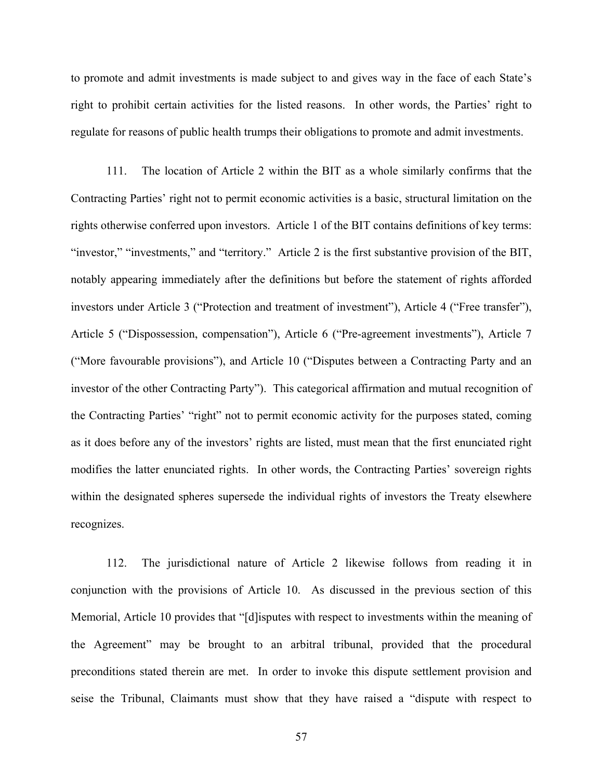to promote and admit investments is made subject to and gives way in the face of each State's right to prohibit certain activities for the listed reasons. In other words, the Parties' right to regulate for reasons of public health trumps their obligations to promote and admit investments.

111. The location of Article 2 within the BIT as a whole similarly confirms that the Contracting Parties' right not to permit economic activities is a basic, structural limitation on the rights otherwise conferred upon investors. Article 1 of the BIT contains definitions of key terms: "investor," "investments," and "territory." Article 2 is the first substantive provision of the BIT, notably appearing immediately after the definitions but before the statement of rights afforded investors under Article 3 ("Protection and treatment of investment"), Article 4 ("Free transfer"), Article 5 ("Dispossession, compensation"), Article 6 ("Pre-agreement investments"), Article 7 ("More favourable provisions"), and Article 10 ("Disputes between a Contracting Party and an investor of the other Contracting Party"). This categorical affirmation and mutual recognition of the Contracting Parties' "right" not to permit economic activity for the purposes stated, coming as it does before any of the investors' rights are listed, must mean that the first enunciated right modifies the latter enunciated rights. In other words, the Contracting Parties' sovereign rights within the designated spheres supersede the individual rights of investors the Treaty elsewhere recognizes.

112. The jurisdictional nature of Article 2 likewise follows from reading it in conjunction with the provisions of Article 10. As discussed in the previous section of this Memorial, Article 10 provides that "[d]isputes with respect to investments within the meaning of the Agreement" may be brought to an arbitral tribunal, provided that the procedural preconditions stated therein are met. In order to invoke this dispute settlement provision and seise the Tribunal, Claimants must show that they have raised a "dispute with respect to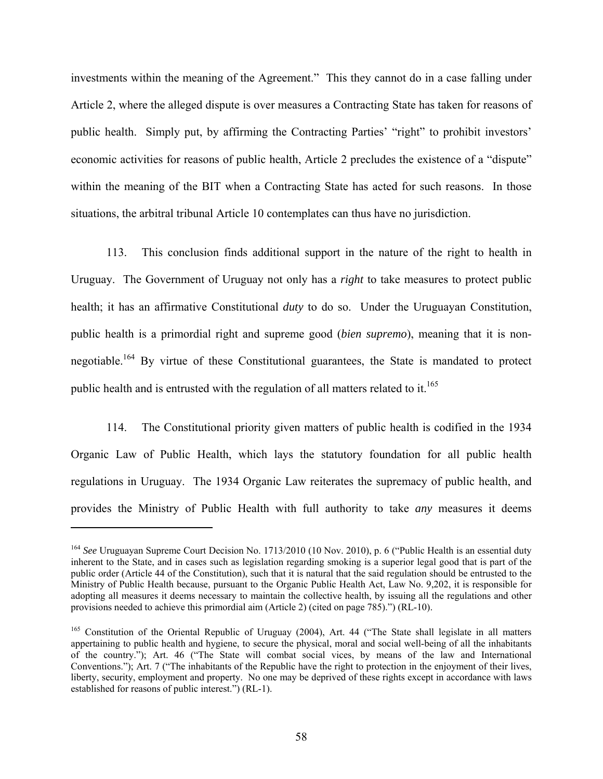investments within the meaning of the Agreement." This they cannot do in a case falling under Article 2, where the alleged dispute is over measures a Contracting State has taken for reasons of public health. Simply put, by affirming the Contracting Parties' "right" to prohibit investors' economic activities for reasons of public health, Article 2 precludes the existence of a "dispute" within the meaning of the BIT when a Contracting State has acted for such reasons. In those situations, the arbitral tribunal Article 10 contemplates can thus have no jurisdiction.

113. This conclusion finds additional support in the nature of the right to health in Uruguay. The Government of Uruguay not only has a *right* to take measures to protect public health; it has an affirmative Constitutional *duty* to do so. Under the Uruguayan Constitution, public health is a primordial right and supreme good (*bien supremo*), meaning that it is nonnegotiable.164 By virtue of these Constitutional guarantees, the State is mandated to protect public health and is entrusted with the regulation of all matters related to it.<sup>165</sup>

114. The Constitutional priority given matters of public health is codified in the 1934 Organic Law of Public Health, which lays the statutory foundation for all public health regulations in Uruguay. The 1934 Organic Law reiterates the supremacy of public health, and provides the Ministry of Public Health with full authority to take *any* measures it deems

<sup>164</sup> *See* Uruguayan Supreme Court Decision No. 1713/2010 (10 Nov. 2010), p. 6 ("Public Health is an essential duty inherent to the State, and in cases such as legislation regarding smoking is a superior legal good that is part of the public order (Article 44 of the Constitution), such that it is natural that the said regulation should be entrusted to the Ministry of Public Health because, pursuant to the Organic Public Health Act, Law No. 9,202, it is responsible for adopting all measures it deems necessary to maintain the collective health, by issuing all the regulations and other provisions needed to achieve this primordial aim (Article 2) (cited on page 785).") (RL-10).

<sup>&</sup>lt;sup>165</sup> Constitution of the Oriental Republic of Uruguay (2004), Art. 44 ("The State shall legislate in all matters appertaining to public health and hygiene, to secure the physical, moral and social well-being of all the inhabitants of the country."); Art. 46 ("The State will combat social vices, by means of the law and International Conventions."); Art. 7 ("The inhabitants of the Republic have the right to protection in the enjoyment of their lives, liberty, security, employment and property. No one may be deprived of these rights except in accordance with laws established for reasons of public interest.") (RL-1).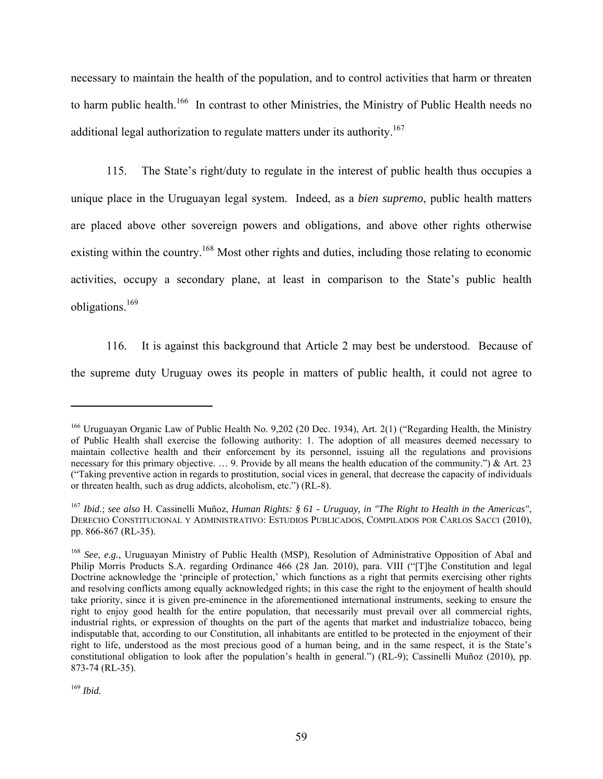necessary to maintain the health of the population, and to control activities that harm or threaten to harm public health.<sup>166</sup> In contrast to other Ministries, the Ministry of Public Health needs no additional legal authorization to regulate matters under its authority.<sup>167</sup>

115. The State's right/duty to regulate in the interest of public health thus occupies a unique place in the Uruguayan legal system. Indeed, as a *bien supremo*, public health matters are placed above other sovereign powers and obligations, and above other rights otherwise existing within the country.<sup>168</sup> Most other rights and duties, including those relating to economic activities, occupy a secondary plane, at least in comparison to the State's public health obligations.169

116. It is against this background that Article 2 may best be understood. Because of the supreme duty Uruguay owes its people in matters of public health, it could not agree to

<sup>&</sup>lt;sup>166</sup> Uruguayan Organic Law of Public Health No. 9,202 (20 Dec. 1934), Art. 2(1) ("Regarding Health, the Ministry of Public Health shall exercise the following authority: 1. The adoption of all measures deemed necessary to maintain collective health and their enforcement by its personnel, issuing all the regulations and provisions necessary for this primary objective. ... 9. Provide by all means the health education of the community.") & Art. 23 ("Taking preventive action in regards to prostitution, social vices in general, that decrease the capacity of individuals or threaten health, such as drug addicts, alcoholism, etc.") (RL-8).

<sup>167</sup> *Ibid*.; *see also* H. Cassinelli Muñoz, *Human Rights: § 61 - Uruguay, in "The Right to Health in the Americas"*, DERECHO CONSTITUCIONAL Y ADMINISTRATIVO: ESTUDIOS PUBLICADOS, COMPILADOS POR CARLOS SACCI (2010), pp. 866-867 (RL-35).

<sup>168</sup> *See*, *e.g.*, Uruguayan Ministry of Public Health (MSP), Resolution of Administrative Opposition of Abal and Philip Morris Products S.A. regarding Ordinance 466 (28 Jan. 2010), para. VIII ("[T]he Constitution and legal Doctrine acknowledge the 'principle of protection,' which functions as a right that permits exercising other rights and resolving conflicts among equally acknowledged rights; in this case the right to the enjoyment of health should take priority, since it is given pre-eminence in the aforementioned international instruments, seeking to ensure the right to enjoy good health for the entire population, that necessarily must prevail over all commercial rights, industrial rights, or expression of thoughts on the part of the agents that market and industrialize tobacco, being indisputable that, according to our Constitution, all inhabitants are entitled to be protected in the enjoyment of their right to life, understood as the most precious good of a human being, and in the same respect, it is the State's constitutional obligation to look after the population's health in general.") (RL-9); Cassinelli Muñoz (2010), pp. 873-74 (RL-35).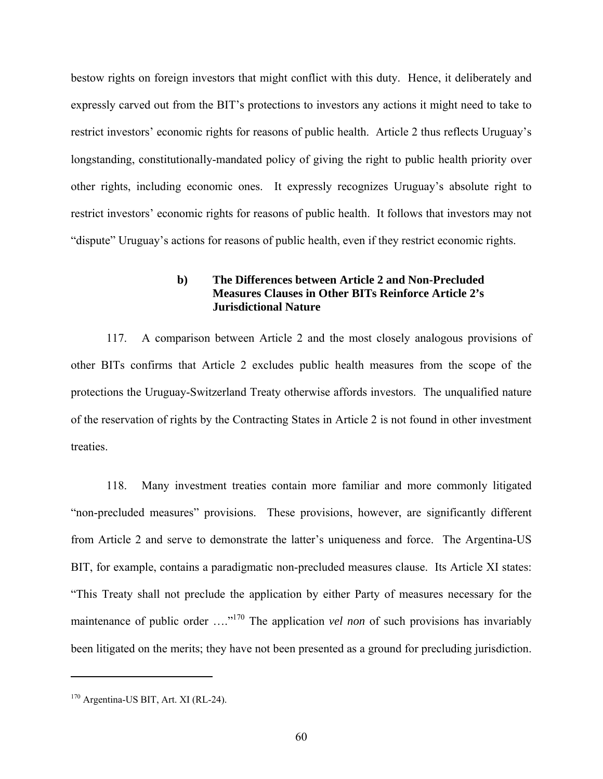bestow rights on foreign investors that might conflict with this duty. Hence, it deliberately and expressly carved out from the BIT's protections to investors any actions it might need to take to restrict investors' economic rights for reasons of public health. Article 2 thus reflects Uruguay's longstanding, constitutionally-mandated policy of giving the right to public health priority over other rights, including economic ones. It expressly recognizes Uruguay's absolute right to restrict investors' economic rights for reasons of public health. It follows that investors may not "dispute" Uruguay's actions for reasons of public health, even if they restrict economic rights.

### **b) The Differences between Article 2 and Non-Precluded Measures Clauses in Other BITs Reinforce Article 2's Jurisdictional Nature**

117. A comparison between Article 2 and the most closely analogous provisions of other BITs confirms that Article 2 excludes public health measures from the scope of the protections the Uruguay-Switzerland Treaty otherwise affords investors. The unqualified nature of the reservation of rights by the Contracting States in Article 2 is not found in other investment treaties.

118. Many investment treaties contain more familiar and more commonly litigated "non-precluded measures" provisions. These provisions, however, are significantly different from Article 2 and serve to demonstrate the latter's uniqueness and force. The Argentina-US BIT, for example, contains a paradigmatic non-precluded measures clause. Its Article XI states: "This Treaty shall not preclude the application by either Party of measures necessary for the maintenance of public order ....<sup>"170</sup> The application *vel non* of such provisions has invariably been litigated on the merits; they have not been presented as a ground for precluding jurisdiction.

<sup>170</sup> Argentina-US BIT, Art. XI (RL-24).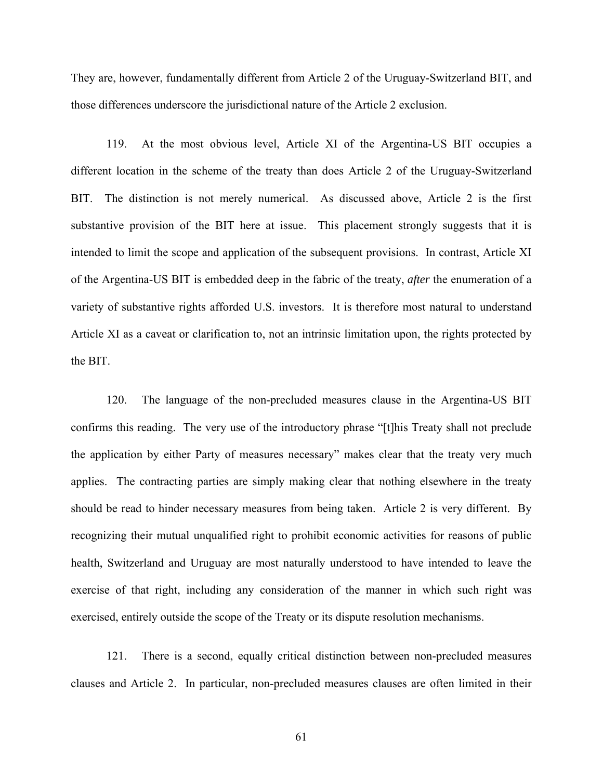They are, however, fundamentally different from Article 2 of the Uruguay-Switzerland BIT, and those differences underscore the jurisdictional nature of the Article 2 exclusion.

119. At the most obvious level, Article XI of the Argentina-US BIT occupies a different location in the scheme of the treaty than does Article 2 of the Uruguay-Switzerland BIT. The distinction is not merely numerical. As discussed above, Article 2 is the first substantive provision of the BIT here at issue. This placement strongly suggests that it is intended to limit the scope and application of the subsequent provisions. In contrast, Article XI of the Argentina-US BIT is embedded deep in the fabric of the treaty, *after* the enumeration of a variety of substantive rights afforded U.S. investors. It is therefore most natural to understand Article XI as a caveat or clarification to, not an intrinsic limitation upon, the rights protected by the BIT.

120. The language of the non-precluded measures clause in the Argentina-US BIT confirms this reading. The very use of the introductory phrase "[t]his Treaty shall not preclude the application by either Party of measures necessary" makes clear that the treaty very much applies. The contracting parties are simply making clear that nothing elsewhere in the treaty should be read to hinder necessary measures from being taken. Article 2 is very different. By recognizing their mutual unqualified right to prohibit economic activities for reasons of public health, Switzerland and Uruguay are most naturally understood to have intended to leave the exercise of that right, including any consideration of the manner in which such right was exercised, entirely outside the scope of the Treaty or its dispute resolution mechanisms.

121. There is a second, equally critical distinction between non-precluded measures clauses and Article 2. In particular, non-precluded measures clauses are often limited in their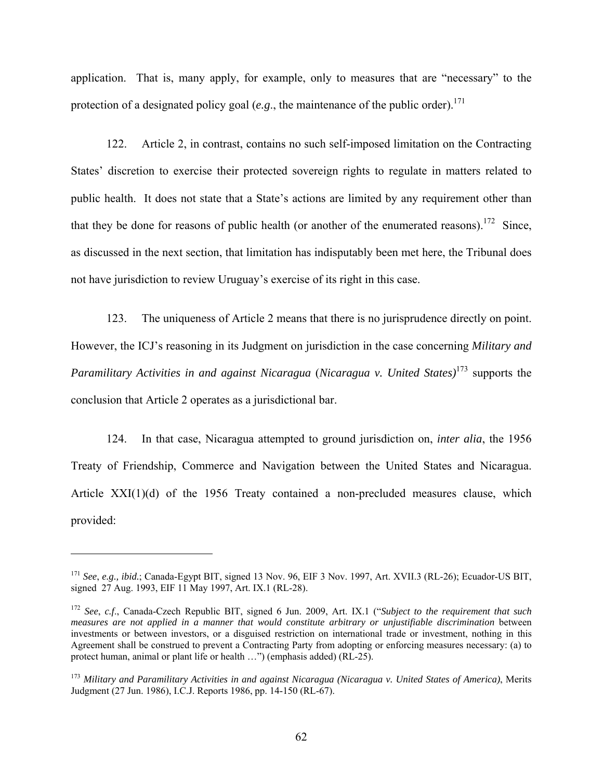application. That is, many apply, for example, only to measures that are "necessary" to the protection of a designated policy goal  $(e.g.,$  the maintenance of the public order).<sup>171</sup>

122. Article 2, in contrast, contains no such self-imposed limitation on the Contracting States' discretion to exercise their protected sovereign rights to regulate in matters related to public health. It does not state that a State's actions are limited by any requirement other than that they be done for reasons of public health (or another of the enumerated reasons).<sup>172</sup> Since, as discussed in the next section, that limitation has indisputably been met here, the Tribunal does not have jurisdiction to review Uruguay's exercise of its right in this case.

123. The uniqueness of Article 2 means that there is no jurisprudence directly on point. However, the ICJ's reasoning in its Judgment on jurisdiction in the case concerning *Military and Paramilitary Activities in and against Nicaragua* (*Nicaragua v. United States)*<sup>173</sup> supports the conclusion that Article 2 operates as a jurisdictional bar.

124. In that case, Nicaragua attempted to ground jurisdiction on, *inter alia*, the 1956 Treaty of Friendship, Commerce and Navigation between the United States and Nicaragua. Article XXI(1)(d) of the 1956 Treaty contained a non-precluded measures clause, which provided:

<sup>171</sup> *See*, *e.g., ibid.*; Canada-Egypt BIT, signed 13 Nov. 96, EIF 3 Nov. 1997, Art. XVII.3 (RL-26); Ecuador-US BIT, signed 27 Aug. 1993, EIF 11 May 1997, Art. IX.1 (RL-28).

<sup>172</sup> *See*, *c.f*., Canada-Czech Republic BIT, signed 6 Jun. 2009, Art. IX.1 ("*Subject to the requirement that such measures are not applied in a manner that would constitute arbitrary or unjustifiable discrimination* between investments or between investors, or a disguised restriction on international trade or investment, nothing in this Agreement shall be construed to prevent a Contracting Party from adopting or enforcing measures necessary: (a) to protect human, animal or plant life or health …") (emphasis added) (RL-25).

<sup>173</sup> *Military and Paramilitary Activities in and against Nicaragua (Nicaragua v. United States of America)*, Merits Judgment (27 Jun. 1986), I.C.J. Reports 1986, pp. 14-150 (RL-67).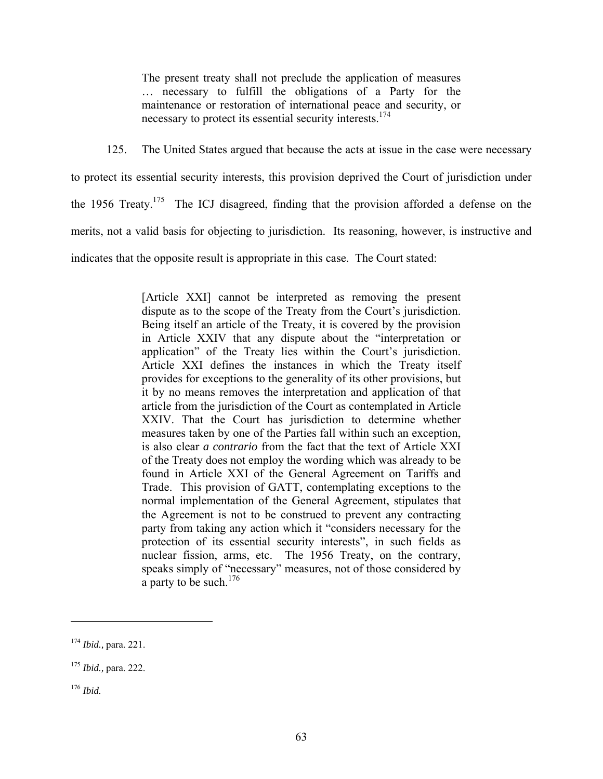The present treaty shall not preclude the application of measures … necessary to fulfill the obligations of a Party for the maintenance or restoration of international peace and security, or necessary to protect its essential security interests.<sup>174</sup>

125. The United States argued that because the acts at issue in the case were necessary

to protect its essential security interests, this provision deprived the Court of jurisdiction under the 1956 Treaty.<sup>175</sup> The ICJ disagreed, finding that the provision afforded a defense on the merits, not a valid basis for objecting to jurisdiction. Its reasoning, however, is instructive and indicates that the opposite result is appropriate in this case. The Court stated:

> [Article XXI] cannot be interpreted as removing the present dispute as to the scope of the Treaty from the Court's jurisdiction. Being itself an article of the Treaty, it is covered by the provision in Article XXIV that any dispute about the "interpretation or application" of the Treaty lies within the Court's jurisdiction. Article XXI defines the instances in which the Treaty itself provides for exceptions to the generality of its other provisions, but it by no means removes the interpretation and application of that article from the jurisdiction of the Court as contemplated in Article XXIV. That the Court has jurisdiction to determine whether measures taken by one of the Parties fall within such an exception, is also clear *a contrario* from the fact that the text of Article XXI of the Treaty does not employ the wording which was already to be found in Article XXI of the General Agreement on Tariffs and Trade. This provision of GATT, contemplating exceptions to the normal implementation of the General Agreement, stipulates that the Agreement is not to be construed to prevent any contracting party from taking any action which it "considers necessary for the protection of its essential security interests", in such fields as nuclear fission, arms, etc. The 1956 Treaty, on the contrary, speaks simply of "necessary" measures, not of those considered by a party to be such.176

<sup>176</sup> *Ibid.*

<sup>174</sup> *Ibid.,* para. 221.

<sup>175</sup> *Ibid.,* para. 222.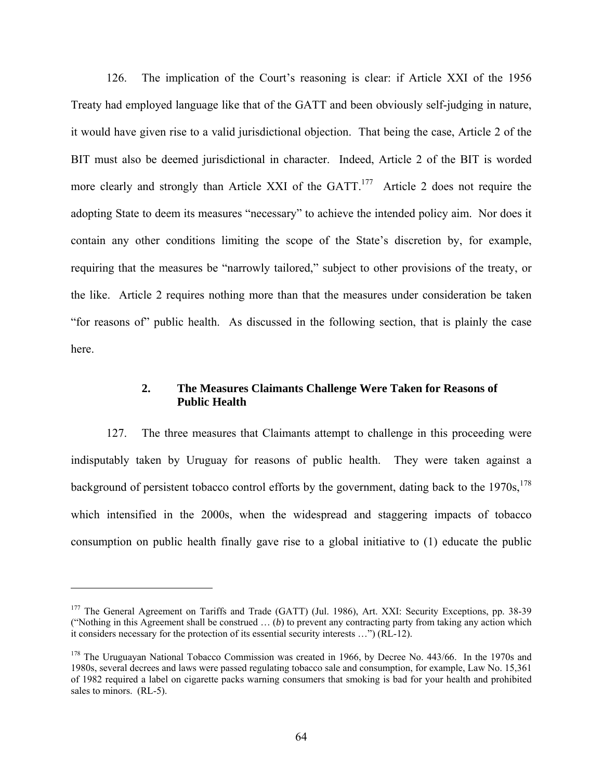126. The implication of the Court's reasoning is clear: if Article XXI of the 1956 Treaty had employed language like that of the GATT and been obviously self-judging in nature, it would have given rise to a valid jurisdictional objection. That being the case, Article 2 of the BIT must also be deemed jurisdictional in character. Indeed, Article 2 of the BIT is worded more clearly and strongly than Article XXI of the GATT.<sup>177</sup> Article 2 does not require the adopting State to deem its measures "necessary" to achieve the intended policy aim. Nor does it contain any other conditions limiting the scope of the State's discretion by, for example, requiring that the measures be "narrowly tailored," subject to other provisions of the treaty, or the like. Article 2 requires nothing more than that the measures under consideration be taken "for reasons of" public health. As discussed in the following section, that is plainly the case here.

### **2. The Measures Claimants Challenge Were Taken for Reasons of Public Health**

127. The three measures that Claimants attempt to challenge in this proceeding were indisputably taken by Uruguay for reasons of public health. They were taken against a background of persistent tobacco control efforts by the government, dating back to the  $1970s$ ,  $178$ which intensified in the 2000s, when the widespread and staggering impacts of tobacco consumption on public health finally gave rise to a global initiative to (1) educate the public

<u>.</u>

<sup>&</sup>lt;sup>177</sup> The General Agreement on Tariffs and Trade (GATT) (Jul. 1986), Art. XXI: Security Exceptions, pp. 38-39 ("Nothing in this Agreement shall be construed … (*b*) to prevent any contracting party from taking any action which it considers necessary for the protection of its essential security interests …") (RL-12).

<sup>&</sup>lt;sup>178</sup> The Uruguayan National Tobacco Commission was created in 1966, by Decree No. 443/66. In the 1970s and 1980s, several decrees and laws were passed regulating tobacco sale and consumption, for example, Law No. 15,361 of 1982 required a label on cigarette packs warning consumers that smoking is bad for your health and prohibited sales to minors. (RL-5).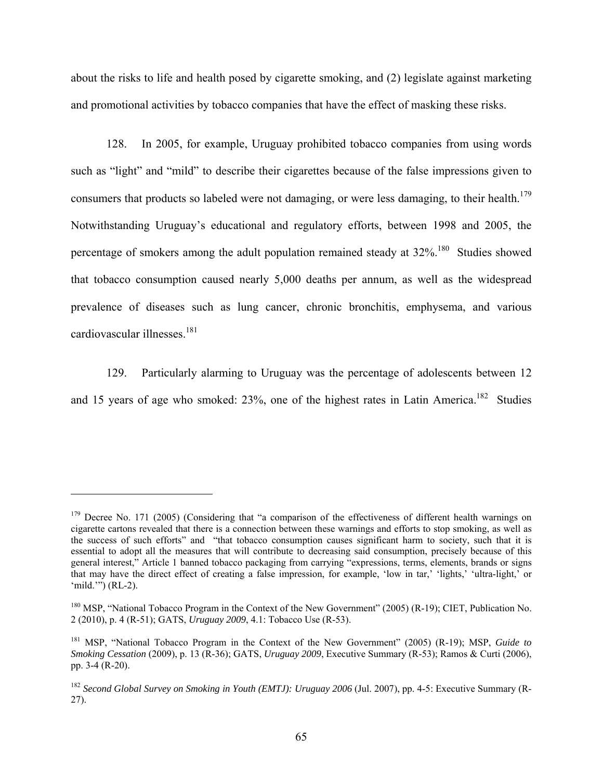about the risks to life and health posed by cigarette smoking, and (2) legislate against marketing and promotional activities by tobacco companies that have the effect of masking these risks.

128. In 2005, for example, Uruguay prohibited tobacco companies from using words such as "light" and "mild" to describe their cigarettes because of the false impressions given to consumers that products so labeled were not damaging, or were less damaging, to their health.<sup>179</sup> Notwithstanding Uruguay's educational and regulatory efforts, between 1998 and 2005, the percentage of smokers among the adult population remained steady at  $32\%$ .<sup>180</sup> Studies showed that tobacco consumption caused nearly 5,000 deaths per annum, as well as the widespread prevalence of diseases such as lung cancer, chronic bronchitis, emphysema, and various cardiovascular illnesses.<sup>181</sup>

129. Particularly alarming to Uruguay was the percentage of adolescents between 12 and 15 years of age who smoked:  $23\%$ , one of the highest rates in Latin America.<sup>182</sup> Studies

 $179$  Decree No. 171 (2005) (Considering that "a comparison of the effectiveness of different health warnings on cigarette cartons revealed that there is a connection between these warnings and efforts to stop smoking, as well as the success of such efforts" and "that tobacco consumption causes significant harm to society, such that it is essential to adopt all the measures that will contribute to decreasing said consumption, precisely because of this general interest," Article 1 banned tobacco packaging from carrying "expressions, terms, elements, brands or signs that may have the direct effect of creating a false impression, for example, 'low in tar,' 'lights,' 'ultra-light,' or 'mild.'") (RL-2).

<sup>&</sup>lt;sup>180</sup> MSP, "National Tobacco Program in the Context of the New Government" (2005) (R-19); CIET, Publication No. 2 (2010), p. 4 (R-51); GATS, *Uruguay 2009*, 4.1: Tobacco Use (R-53).

<sup>181</sup> MSP, "National Tobacco Program in the Context of the New Government" (2005) (R-19); MSP, *Guide to Smoking Cessation* (2009), p. 13 (R-36); GATS, *Uruguay 2009*, Executive Summary (R-53); Ramos & Curti (2006), pp. 3-4 (R-20).

<sup>&</sup>lt;sup>182</sup> Second Global Survey on Smoking in Youth (EMTJ): Uruguay 2006 (Jul. 2007), pp. 4-5: Executive Summary (R-27).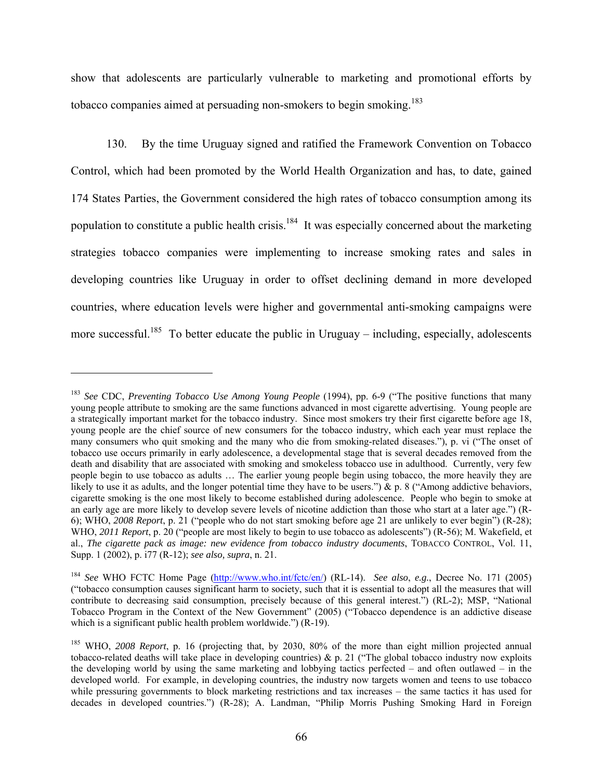show that adolescents are particularly vulnerable to marketing and promotional efforts by tobacco companies aimed at persuading non-smokers to begin smoking.<sup>183</sup>

130. By the time Uruguay signed and ratified the Framework Convention on Tobacco Control, which had been promoted by the World Health Organization and has, to date, gained 174 States Parties, the Government considered the high rates of tobacco consumption among its population to constitute a public health crisis.<sup>184</sup> It was especially concerned about the marketing strategies tobacco companies were implementing to increase smoking rates and sales in developing countries like Uruguay in order to offset declining demand in more developed countries, where education levels were higher and governmental anti-smoking campaigns were more successful.<sup>185</sup> To better educate the public in Uruguay – including, especially, adolescents

<sup>183</sup> *See* CDC, *Preventing Tobacco Use Among Young People* (1994), pp. 6-9 ("The positive functions that many young people attribute to smoking are the same functions advanced in most cigarette advertising. Young people are a strategically important market for the tobacco industry. Since most smokers try their first cigarette before age 18, young people are the chief source of new consumers for the tobacco industry, which each year must replace the many consumers who quit smoking and the many who die from smoking-related diseases."), p. vi ("The onset of tobacco use occurs primarily in early adolescence, a developmental stage that is several decades removed from the death and disability that are associated with smoking and smokeless tobacco use in adulthood. Currently, very few people begin to use tobacco as adults … The earlier young people begin using tobacco, the more heavily they are likely to use it as adults, and the longer potential time they have to be users.") & p. 8 ("Among addictive behaviors, cigarette smoking is the one most likely to become established during adolescence. People who begin to smoke at an early age are more likely to develop severe levels of nicotine addiction than those who start at a later age.") (R-6); WHO, *2008 Report*, p. 21 ("people who do not start smoking before age 21 are unlikely to ever begin") (R-28); WHO, *2011 Report*, p. 20 ("people are most likely to begin to use tobacco as adolescents") (R-56); M. Wakefield, et al., *The cigarette pack as image: new evidence from tobacco industry documents*, TOBACCO CONTROL, Vol. 11, Supp. 1 (2002), p. i77 (R-12); *see also, supra*, n. 21.

<sup>184</sup> *See* WHO FCTC Home Page (http://www.who.int/fctc/en/) (RL-14). *See also*, *e.g.*, Decree No. 171 (2005) ("tobacco consumption causes significant harm to society, such that it is essential to adopt all the measures that will contribute to decreasing said consumption, precisely because of this general interest.") (RL-2); MSP, "National Tobacco Program in the Context of the New Government" (2005) ("Tobacco dependence is an addictive disease which is a significant public health problem worldwide.") (R-19).

<sup>185</sup> WHO, *2008 Report*, p. 16 (projecting that, by 2030, 80% of the more than eight million projected annual tobacco-related deaths will take place in developing countries)  $\&$  p. 21 ("The global tobacco industry now exploits the developing world by using the same marketing and lobbying tactics perfected – and often outlawed – in the developed world. For example, in developing countries, the industry now targets women and teens to use tobacco while pressuring governments to block marketing restrictions and tax increases – the same tactics it has used for decades in developed countries.") (R-28); A. Landman, "Philip Morris Pushing Smoking Hard in Foreign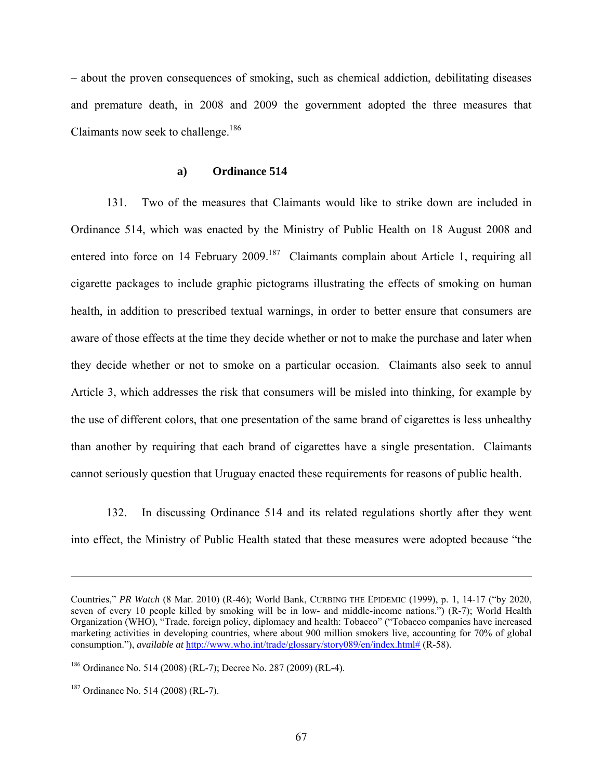– about the proven consequences of smoking, such as chemical addiction, debilitating diseases and premature death, in 2008 and 2009 the government adopted the three measures that Claimants now seek to challenge.<sup>186</sup>

#### **a) Ordinance 514**

131. Two of the measures that Claimants would like to strike down are included in Ordinance 514, which was enacted by the Ministry of Public Health on 18 August 2008 and entered into force on 14 February 2009.<sup>187</sup> Claimants complain about Article 1, requiring all cigarette packages to include graphic pictograms illustrating the effects of smoking on human health, in addition to prescribed textual warnings, in order to better ensure that consumers are aware of those effects at the time they decide whether or not to make the purchase and later when they decide whether or not to smoke on a particular occasion. Claimants also seek to annul Article 3, which addresses the risk that consumers will be misled into thinking, for example by the use of different colors, that one presentation of the same brand of cigarettes is less unhealthy than another by requiring that each brand of cigarettes have a single presentation. Claimants cannot seriously question that Uruguay enacted these requirements for reasons of public health.

132. In discussing Ordinance 514 and its related regulations shortly after they went into effect, the Ministry of Public Health stated that these measures were adopted because "the

Countries," *PR Watch* (8 Mar. 2010) (R-46); World Bank, CURBING THE EPIDEMIC (1999), p. 1, 14-17 ("by 2020, seven of every 10 people killed by smoking will be in low- and middle-income nations.") (R-7); World Health Organization (WHO), "Trade, foreign policy, diplomacy and health: Tobacco" ("Tobacco companies have increased marketing activities in developing countries, where about 900 million smokers live, accounting for 70% of global consumption."), *available at* http://www.who.int/trade/glossary/story089/en/index.html# (R-58).

<sup>186</sup> Ordinance No. 514 (2008) (RL-7); Decree No. 287 (2009) (RL-4).

<sup>187</sup> Ordinance No. 514 (2008) (RL-7).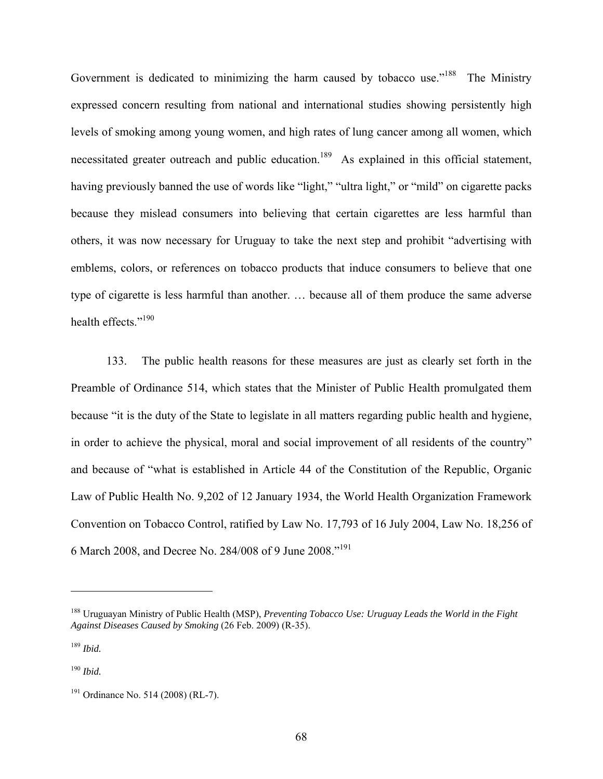Government is dedicated to minimizing the harm caused by tobacco use."<sup>188</sup> The Ministry expressed concern resulting from national and international studies showing persistently high levels of smoking among young women, and high rates of lung cancer among all women, which necessitated greater outreach and public education.<sup>189</sup> As explained in this official statement, having previously banned the use of words like "light," "ultra light," or "mild" on cigarette packs because they mislead consumers into believing that certain cigarettes are less harmful than others, it was now necessary for Uruguay to take the next step and prohibit "advertising with emblems, colors, or references on tobacco products that induce consumers to believe that one type of cigarette is less harmful than another. … because all of them produce the same adverse health effects."<sup>190</sup>

133. The public health reasons for these measures are just as clearly set forth in the Preamble of Ordinance 514, which states that the Minister of Public Health promulgated them because "it is the duty of the State to legislate in all matters regarding public health and hygiene, in order to achieve the physical, moral and social improvement of all residents of the country" and because of "what is established in Article 44 of the Constitution of the Republic, Organic Law of Public Health No. 9,202 of 12 January 1934, the World Health Organization Framework Convention on Tobacco Control, ratified by Law No. 17,793 of 16 July 2004, Law No. 18,256 of 6 March 2008, and Decree No. 284/008 of 9 June 2008."191

<sup>188</sup> Uruguayan Ministry of Public Health (MSP), *Preventing Tobacco Use: Uruguay Leads the World in the Fight Against Diseases Caused by Smoking* (26 Feb. 2009) (R-35).

<sup>189</sup> *Ibid.* 

<sup>190</sup> *Ibid.*

<sup>&</sup>lt;sup>191</sup> Ordinance No. 514 (2008) (RL-7).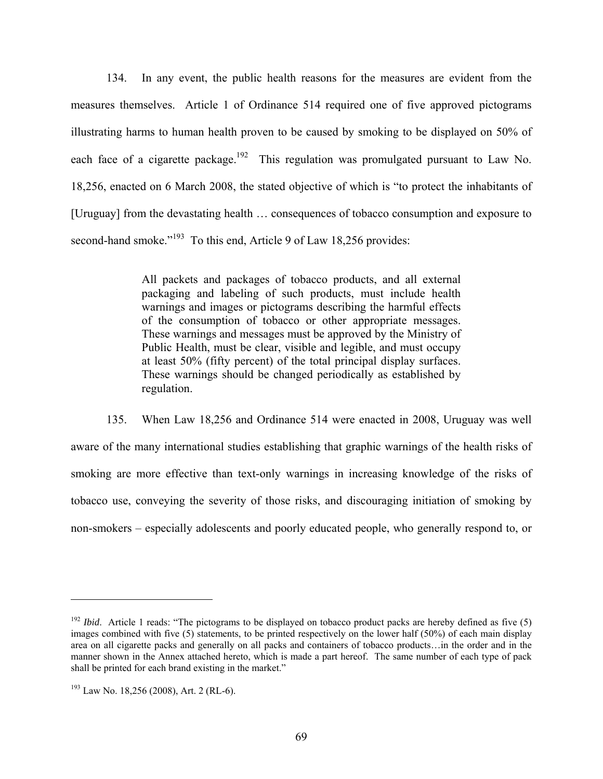134. In any event, the public health reasons for the measures are evident from the measures themselves. Article 1 of Ordinance 514 required one of five approved pictograms illustrating harms to human health proven to be caused by smoking to be displayed on 50% of each face of a cigarette package.<sup>192</sup> This regulation was promulgated pursuant to Law No. 18,256, enacted on 6 March 2008, the stated objective of which is "to protect the inhabitants of [Uruguay] from the devastating health … consequences of tobacco consumption and exposure to second-hand smoke."<sup>193</sup> To this end, Article 9 of Law 18,256 provides:

> All packets and packages of tobacco products, and all external packaging and labeling of such products, must include health warnings and images or pictograms describing the harmful effects of the consumption of tobacco or other appropriate messages. These warnings and messages must be approved by the Ministry of Public Health, must be clear, visible and legible, and must occupy at least 50% (fifty percent) of the total principal display surfaces. These warnings should be changed periodically as established by regulation.

135. When Law 18,256 and Ordinance 514 were enacted in 2008, Uruguay was well aware of the many international studies establishing that graphic warnings of the health risks of smoking are more effective than text-only warnings in increasing knowledge of the risks of tobacco use, conveying the severity of those risks, and discouraging initiation of smoking by non-smokers – especially adolescents and poorly educated people, who generally respond to, or

<sup>&</sup>lt;sup>192</sup> *Ibid.* Article 1 reads: "The pictograms to be displayed on tobacco product packs are hereby defined as five (5) images combined with five (5) statements, to be printed respectively on the lower half (50%) of each main display area on all cigarette packs and generally on all packs and containers of tobacco products…in the order and in the manner shown in the Annex attached hereto, which is made a part hereof. The same number of each type of pack shall be printed for each brand existing in the market."

<sup>193</sup> Law No. 18,256 (2008), Art. 2 (RL-6).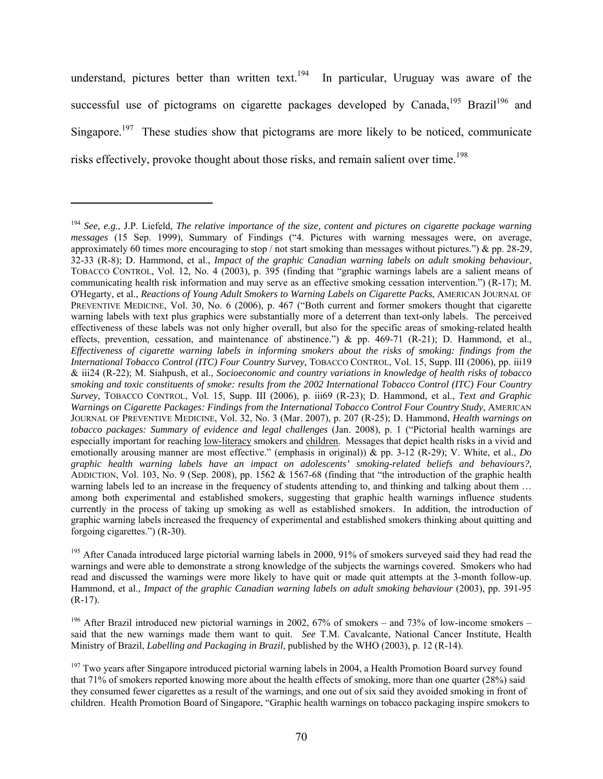understand, pictures better than written text.<sup>194</sup> In particular, Uruguay was aware of the successful use of pictograms on cigarette packages developed by Canada,<sup>195</sup> Brazil<sup>196</sup> and Singapore.<sup>197</sup> These studies show that pictograms are more likely to be noticed, communicate risks effectively, provoke thought about those risks, and remain salient over time.<sup>198</sup>

<sup>194</sup> *See*, *e.g.*, J.P. Liefeld, *The relative importance of the size, content and pictures on cigarette package warning messages* (15 Sep. 1999), Summary of Findings ("4. Pictures with warning messages were, on average, approximately 60 times more encouraging to stop / not start smoking than messages without pictures.") & pp. 28-29, 32-33 (R-8); D. Hammond, et al., *Impact of the graphic Canadian warning labels on adult smoking behaviour*, TOBACCO CONTROL, Vol. 12, No. 4 (2003), p. 395 (finding that "graphic warnings labels are a salient means of communicating health risk information and may serve as an effective smoking cessation intervention.") (R-17); M. O'Hegarty, et al., *Reactions of Young Adult Smokers to Warning Labels on Cigarette Packs*, AMERICAN JOURNAL OF PREVENTIVE MEDICINE, Vol. 30, No. 6 (2006), p. 467 ("Both current and former smokers thought that cigarette warning labels with text plus graphics were substantially more of a deterrent than text-only labels. The perceived effectiveness of these labels was not only higher overall, but also for the specific areas of smoking-related health effects, prevention, cessation, and maintenance of abstinence.") & pp. 469-71 (R-21); D. Hammond, et al., *Effectiveness of cigarette warning labels in informing smokers about the risks of smoking: findings from the International Tobacco Control (ITC) Four Country Survey*, TOBACCO CONTROL, Vol. 15, Supp. III (2006), pp. iii19 & iii24 (R-22); M. Siahpush, et al., *Socioeconomic and country variations in knowledge of health risks of tobacco smoking and toxic constituents of smoke: results from the 2002 International Tobacco Control (ITC) Four Country Survey*, TOBACCO CONTROL, Vol. 15, Supp. III (2006), p. iii69 (R-23); D. Hammond, et al., *Text and Graphic Warnings on Cigarette Packages: Findings from the International Tobacco Control Four Country Study*, AMERICAN JOURNAL OF PREVENTIVE MEDICINE, Vol. 32, No. 3 (Mar. 2007), p. 207 (R-25); D. Hammond, *Health warnings on tobacco packages: Summary of evidence and legal challenges* (Jan. 2008), p. 1 ("Pictorial health warnings are especially important for reaching low-literacy smokers and children. Messages that depict health risks in a vivid and emotionally arousing manner are most effective." (emphasis in original)) & pp. 3-12 (R-29); V. White, et al., *Do graphic health warning labels have an impact on adolescents' smoking-related beliefs and behaviours?*, ADDICTION, Vol. 103, No. 9 (Sep. 2008), pp. 1562 & 1567-68 (finding that "the introduction of the graphic health warning labels led to an increase in the frequency of students attending to, and thinking and talking about them ... among both experimental and established smokers, suggesting that graphic health warnings influence students currently in the process of taking up smoking as well as established smokers. In addition, the introduction of graphic warning labels increased the frequency of experimental and established smokers thinking about quitting and forgoing cigarettes.") (R-30).

<sup>&</sup>lt;sup>195</sup> After Canada introduced large pictorial warning labels in 2000, 91% of smokers surveyed said they had read the warnings and were able to demonstrate a strong knowledge of the subjects the warnings covered. Smokers who had read and discussed the warnings were more likely to have quit or made quit attempts at the 3-month follow-up. Hammond, et al., *Impact of the graphic Canadian warning labels on adult smoking behaviour* (2003), pp. 391-95 (R-17).

<sup>&</sup>lt;sup>196</sup> After Brazil introduced new pictorial warnings in 2002,  $67\%$  of smokers – and 73% of low-income smokers – said that the new warnings made them want to quit. *See* T.M. Cavalcante, National Cancer Institute, Health Ministry of Brazil, *Labelling and Packaging in Brazil*, published by the WHO (2003), p. 12 (R-14).

<sup>&</sup>lt;sup>197</sup> Two years after Singapore introduced pictorial warning labels in 2004, a Health Promotion Board survey found that 71% of smokers reported knowing more about the health effects of smoking, more than one quarter (28%) said they consumed fewer cigarettes as a result of the warnings, and one out of six said they avoided smoking in front of children. Health Promotion Board of Singapore, "Graphic health warnings on tobacco packaging inspire smokers to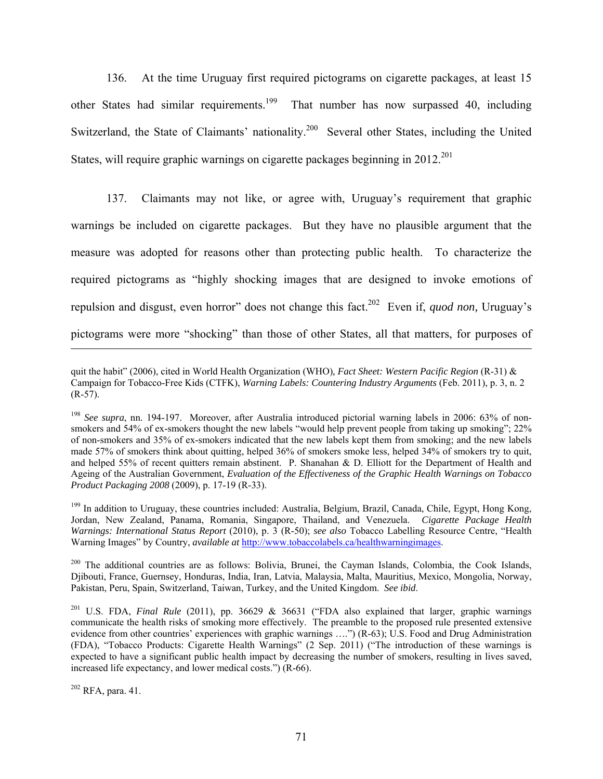136. At the time Uruguay first required pictograms on cigarette packages, at least 15 other States had similar requirements.<sup>199</sup> That number has now surpassed 40, including Switzerland, the State of Claimants' nationality.<sup>200</sup> Several other States, including the United States, will require graphic warnings on cigarette packages beginning in 2012<sup>201</sup>

137. Claimants may not like, or agree with, Uruguay's requirement that graphic warnings be included on cigarette packages. But they have no plausible argument that the measure was adopted for reasons other than protecting public health. To characterize the required pictograms as "highly shocking images that are designed to invoke emotions of repulsion and disgust, even horror" does not change this fact.202 Even if, *quod non,* Uruguay's pictograms were more "shocking" than those of other States, all that matters, for purposes of

quit the habit" (2006), cited in World Health Organization (WHO)*, Fact Sheet: Western Pacific Region* (R-31) & Campaign for Tobacco-Free Kids (CTFK), *Warning Labels: Countering Industry Arguments* (Feb. 2011), p. 3, n. 2  $(R-57)$ .

<sup>&</sup>lt;sup>198</sup> See supra, nn. 194-197. Moreover, after Australia introduced pictorial warning labels in 2006: 63% of nonsmokers and 54% of ex-smokers thought the new labels "would help prevent people from taking up smoking"; 22% of non-smokers and 35% of ex-smokers indicated that the new labels kept them from smoking; and the new labels made 57% of smokers think about quitting, helped 36% of smokers smoke less, helped 34% of smokers try to quit, and helped 55% of recent quitters remain abstinent. P. Shanahan & D. Elliott for the Department of Health and Ageing of the Australian Government, *Evaluation of the Effectiveness of the Graphic Health Warnings on Tobacco Product Packaging 2008* (2009), p. 17-19 (R-33).

<sup>&</sup>lt;sup>199</sup> In addition to Uruguay, these countries included: Australia, Belgium, Brazil, Canada, Chile, Egypt, Hong Kong, Jordan, New Zealand, Panama, Romania, Singapore, Thailand, and Venezuela. *Cigarette Package Health Warnings: International Status Report* (2010), p. 3 (R-50); *see also* Tobacco Labelling Resource Centre, "Health Warning Images" by Country, *available at* http://www.tobaccolabels.ca/healthwarningimages.

<sup>&</sup>lt;sup>200</sup> The additional countries are as follows: Bolivia, Brunei, the Cayman Islands, Colombia, the Cook Islands, Djibouti, France, Guernsey, Honduras, India, Iran, Latvia, Malaysia, Malta, Mauritius, Mexico, Mongolia, Norway, Pakistan, Peru, Spain, Switzerland, Taiwan, Turkey, and the United Kingdom. *See ibid*.

<sup>201</sup> U.S. FDA, *Final Rule* (2011), pp. 36629 & 36631 ("FDA also explained that larger, graphic warnings communicate the health risks of smoking more effectively. The preamble to the proposed rule presented extensive evidence from other countries' experiences with graphic warnings ....") (R-63); U.S. Food and Drug Administration (FDA), "Tobacco Products: Cigarette Health Warnings" (2 Sep. 2011) ("The introduction of these warnings is expected to have a significant public health impact by decreasing the number of smokers, resulting in lives saved, increased life expectancy, and lower medical costs.") (R-66).

 $202$  RFA, para, 41.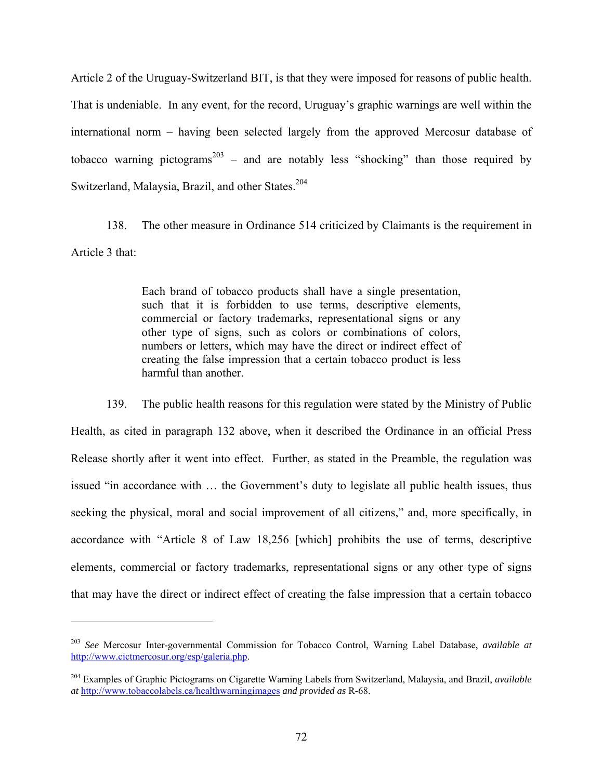Article 2 of the Uruguay-Switzerland BIT, is that they were imposed for reasons of public health. That is undeniable. In any event, for the record, Uruguay's graphic warnings are well within the international norm – having been selected largely from the approved Mercosur database of tobacco warning pictograms<sup>203</sup> – and are notably less "shocking" than those required by Switzerland, Malaysia, Brazil, and other States.<sup>204</sup>

138. The other measure in Ordinance 514 criticized by Claimants is the requirement in Article 3 that:

> Each brand of tobacco products shall have a single presentation, such that it is forbidden to use terms, descriptive elements, commercial or factory trademarks, representational signs or any other type of signs, such as colors or combinations of colors, numbers or letters, which may have the direct or indirect effect of creating the false impression that a certain tobacco product is less harmful than another.

139. The public health reasons for this regulation were stated by the Ministry of Public Health, as cited in paragraph 132 above, when it described the Ordinance in an official Press Release shortly after it went into effect. Further, as stated in the Preamble, the regulation was issued "in accordance with … the Government's duty to legislate all public health issues, thus seeking the physical, moral and social improvement of all citizens," and, more specifically, in accordance with "Article 8 of Law 18,256 [which] prohibits the use of terms, descriptive elements, commercial or factory trademarks, representational signs or any other type of signs that may have the direct or indirect effect of creating the false impression that a certain tobacco

<sup>203</sup> *See* Mercosur Inter-governmental Commission for Tobacco Control, Warning Label Database, *available at* http://www.cictmercosur.org/esp/galeria.php.

<sup>204</sup> Examples of Graphic Pictograms on Cigarette Warning Labels from Switzerland, Malaysia, and Brazil, *available at* http://www.tobaccolabels.ca/healthwarningimages *and provided as* R-68.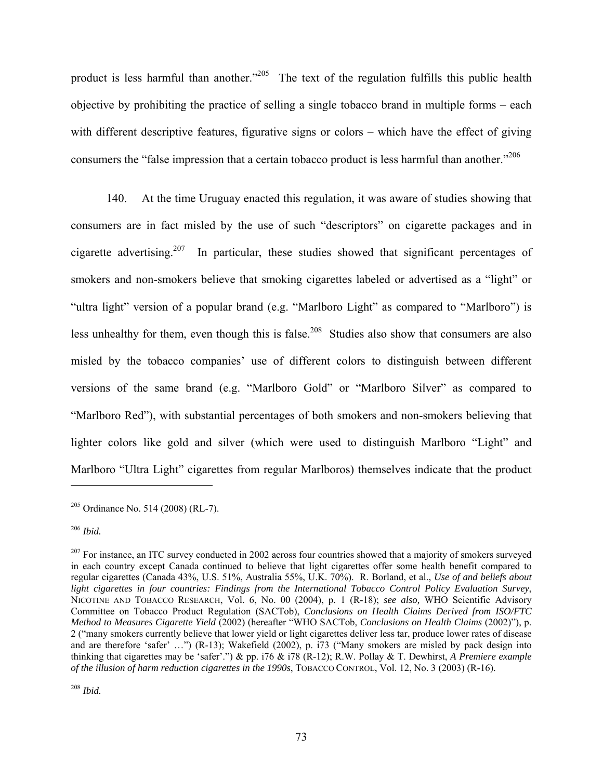product is less harmful than another."<sup>205</sup> The text of the regulation fulfills this public health objective by prohibiting the practice of selling a single tobacco brand in multiple forms – each with different descriptive features, figurative signs or colors – which have the effect of giving consumers the "false impression that a certain tobacco product is less harmful than another."<sup>206</sup>

140. At the time Uruguay enacted this regulation, it was aware of studies showing that consumers are in fact misled by the use of such "descriptors" on cigarette packages and in cigarette advertising.<sup>207</sup> In particular, these studies showed that significant percentages of smokers and non-smokers believe that smoking cigarettes labeled or advertised as a "light" or "ultra light" version of a popular brand (e.g. "Marlboro Light" as compared to "Marlboro") is less unhealthy for them, even though this is false.<sup>208</sup> Studies also show that consumers are also misled by the tobacco companies' use of different colors to distinguish between different versions of the same brand (e.g. "Marlboro Gold" or "Marlboro Silver" as compared to "Marlboro Red"), with substantial percentages of both smokers and non-smokers believing that lighter colors like gold and silver (which were used to distinguish Marlboro "Light" and Marlboro "Ultra Light" cigarettes from regular Marlboros) themselves indicate that the product

1

<sup>208</sup> *Ibid.* 

 $205$  Ordinance No. 514 (2008) (RL-7).

<sup>206</sup> *Ibid.* 

 $207$  For instance, an ITC survey conducted in 2002 across four countries showed that a majority of smokers surveyed in each country except Canada continued to believe that light cigarettes offer some health benefit compared to regular cigarettes (Canada 43%, U.S. 51%, Australia 55%, U.K. 70%). R. Borland, et al., *Use of and beliefs about light cigarettes in four countries: Findings from the International Tobacco Control Policy Evaluation Survey*, NICOTINE AND TOBACCO RESEARCH, Vol. 6, No. 00 (2004), p. 1 (R-18); *see also,* WHO Scientific Advisory Committee on Tobacco Product Regulation (SACTob), *Conclusions on Health Claims Derived from ISO/FTC Method to Measures Cigarette Yield* (2002) (hereafter "WHO SACTob, *Conclusions on Health Claims* (2002)"), p. 2 ("many smokers currently believe that lower yield or light cigarettes deliver less tar, produce lower rates of disease and are therefore 'safer' …") (R-13); Wakefield (2002), p. i73 ("Many smokers are misled by pack design into thinking that cigarettes may be 'safer'.") & pp. i76 & i78 (R-12); R.W. Pollay & T. Dewhirst, *A Premiere example of the illusion of harm reduction cigarettes in the 1990s*, TOBACCO CONTROL, Vol. 12, No. 3 (2003) (R-16).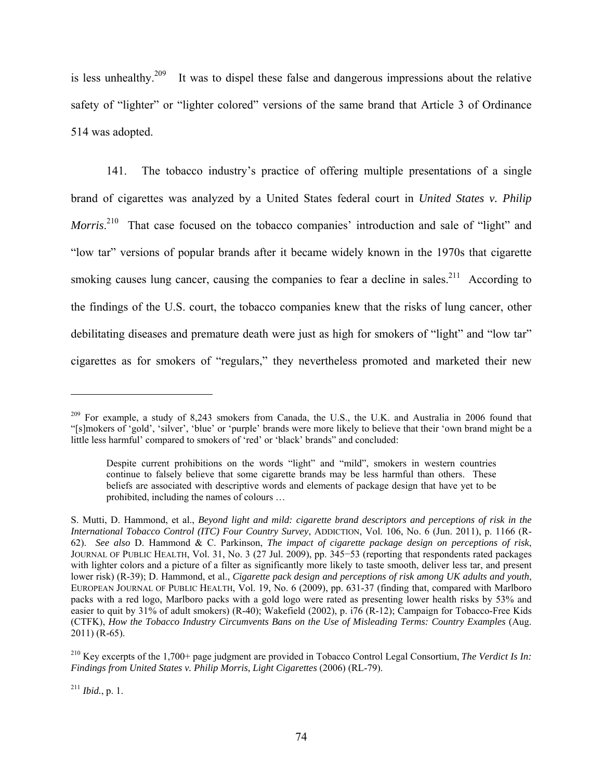is less unhealthy.<sup>209</sup> It was to dispel these false and dangerous impressions about the relative safety of "lighter" or "lighter colored" versions of the same brand that Article 3 of Ordinance 514 was adopted.

141. The tobacco industry's practice of offering multiple presentations of a single brand of cigarettes was analyzed by a United States federal court in *United States v. Philip*  Morris.<sup>210</sup> That case focused on the tobacco companies' introduction and sale of "light" and "low tar" versions of popular brands after it became widely known in the 1970s that cigarette smoking causes lung cancer, causing the companies to fear a decline in sales.<sup>211</sup> According to the findings of the U.S. court, the tobacco companies knew that the risks of lung cancer, other debilitating diseases and premature death were just as high for smokers of "light" and "low tar" cigarettes as for smokers of "regulars," they nevertheless promoted and marketed their new

<sup>211</sup> *Ibid.*, p. 1.

<sup>&</sup>lt;sup>209</sup> For example, a study of 8,243 smokers from Canada, the U.S., the U.K. and Australia in 2006 found that "[s]mokers of 'gold', 'silver', 'blue' or 'purple' brands were more likely to believe that their 'own brand might be a little less harmful' compared to smokers of 'red' or 'black' brands" and concluded:

Despite current prohibitions on the words "light" and "mild", smokers in western countries continue to falsely believe that some cigarette brands may be less harmful than others. These beliefs are associated with descriptive words and elements of package design that have yet to be prohibited, including the names of colours …

S. Mutti, D. Hammond, et al., *Beyond light and mild: cigarette brand descriptors and perceptions of risk in the International Tobacco Control (ITC) Four Country Survey*, ADDICTION, Vol. 106, No. 6 (Jun. 2011), p. 1166 (R-62). *See also* D. Hammond & C. Parkinson, *The impact of cigarette package design on perceptions of risk*, JOURNAL OF PUBLIC HEALTH, Vol. 31, No. 3 (27 Jul. 2009), pp. 345−53 (reporting that respondents rated packages with lighter colors and a picture of a filter as significantly more likely to taste smooth, deliver less tar, and present lower risk) (R-39); D. Hammond, et al., *Cigarette pack design and perceptions of risk among UK adults and youth*, EUROPEAN JOURNAL OF PUBLIC HEALTH, Vol. 19, No. 6 (2009), pp. 631-37 (finding that, compared with Marlboro packs with a red logo, Marlboro packs with a gold logo were rated as presenting lower health risks by 53% and easier to quit by 31% of adult smokers) (R-40); Wakefield (2002), p. i76 (R-12); Campaign for Tobacco-Free Kids (CTFK), *How the Tobacco Industry Circumvents Bans on the Use of Misleading Terms: Country Examples* (Aug. 2011) (R-65).

<sup>210</sup> Key excerpts of the 1,700+ page judgment are provided in Tobacco Control Legal Consortium, *The Verdict Is In: Findings from United States v. Philip Morris, Light Cigarettes* (2006) (RL-79).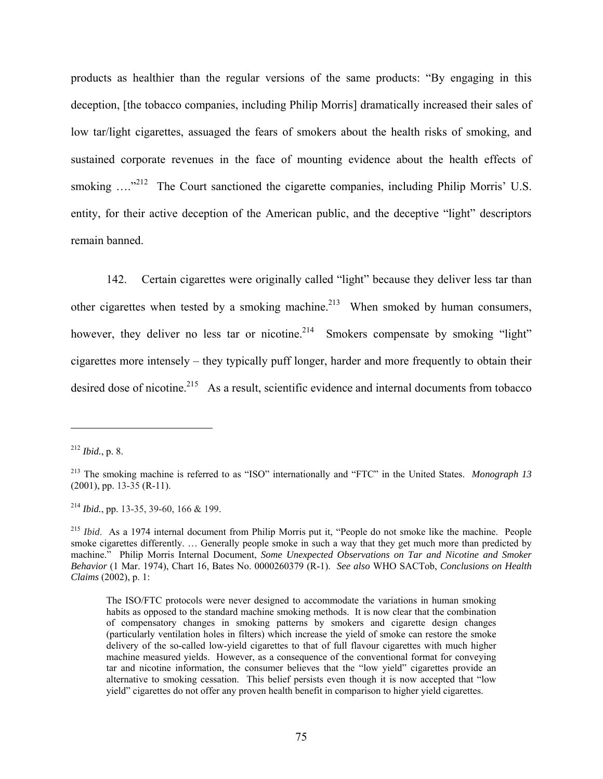products as healthier than the regular versions of the same products: "By engaging in this deception, [the tobacco companies, including Philip Morris] dramatically increased their sales of low tar/light cigarettes, assuaged the fears of smokers about the health risks of smoking, and sustained corporate revenues in the face of mounting evidence about the health effects of smoking  $\ldots$ <sup>212</sup> The Court sanctioned the cigarette companies, including Philip Morris' U.S. entity, for their active deception of the American public, and the deceptive "light" descriptors remain banned.

142. Certain cigarettes were originally called "light" because they deliver less tar than other cigarettes when tested by a smoking machine.<sup>213</sup> When smoked by human consumers, however, they deliver no less tar or nicotine.<sup>214</sup> Smokers compensate by smoking "light" cigarettes more intensely – they typically puff longer, harder and more frequently to obtain their desired dose of nicotine.<sup>215</sup> As a result, scientific evidence and internal documents from tobacco

 $\overline{a}$ 

<sup>214</sup> *Ibid.*, pp. 13-35, 39-60, 166 & 199.

<sup>212</sup> *Ibid.*, p. 8.

<sup>213</sup> The smoking machine is referred to as "ISO" internationally and "FTC" in the United States. *Monograph 13* (2001), pp. 13-35 (R-11).

<sup>215</sup> *Ibid*. As a 1974 internal document from Philip Morris put it, "People do not smoke like the machine. People smoke cigarettes differently. … Generally people smoke in such a way that they get much more than predicted by machine." Philip Morris Internal Document, *Some Unexpected Observations on Tar and Nicotine and Smoker Behavior* (1 Mar. 1974), Chart 16, Bates No. 0000260379 (R-1). *See also* WHO SACTob, *Conclusions on Health Claims* (2002), p. 1:

The ISO/FTC protocols were never designed to accommodate the variations in human smoking habits as opposed to the standard machine smoking methods. It is now clear that the combination of compensatory changes in smoking patterns by smokers and cigarette design changes (particularly ventilation holes in filters) which increase the yield of smoke can restore the smoke delivery of the so-called low-yield cigarettes to that of full flavour cigarettes with much higher machine measured yields. However, as a consequence of the conventional format for conveying tar and nicotine information, the consumer believes that the "low yield" cigarettes provide an alternative to smoking cessation. This belief persists even though it is now accepted that "low yield" cigarettes do not offer any proven health benefit in comparison to higher yield cigarettes.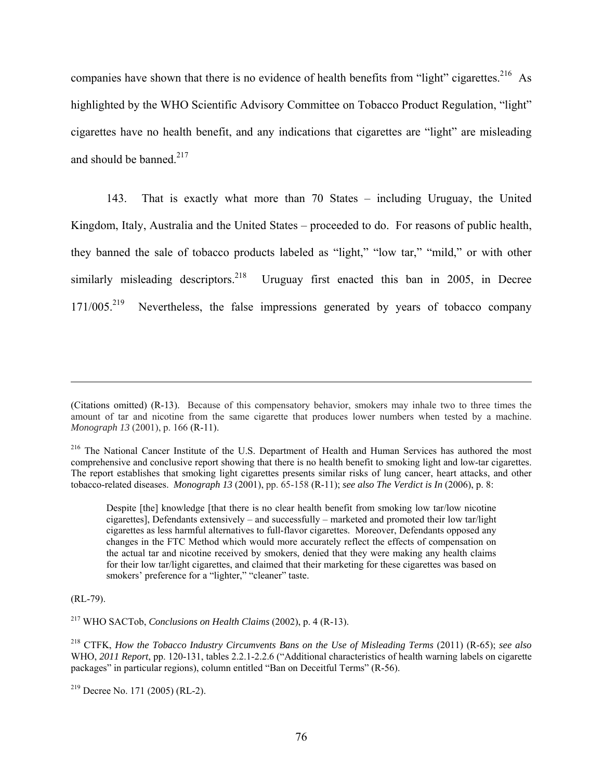companies have shown that there is no evidence of health benefits from "light" cigarettes.<sup>216</sup> As highlighted by the WHO Scientific Advisory Committee on Tobacco Product Regulation, "light" cigarettes have no health benefit, and any indications that cigarettes are "light" are misleading and should be banned. $217$ 

143. That is exactly what more than 70 States – including Uruguay, the United Kingdom, Italy, Australia and the United States – proceeded to do. For reasons of public health, they banned the sale of tobacco products labeled as "light," "low tar," "mild," or with other similarly misleading descriptors.<sup>218</sup> Uruguay first enacted this ban in 2005, in Decree 171/005.<sup>219</sup> Nevertheless, the false impressions generated by years of tobacco company

Despite [the] knowledge [that there is no clear health benefit from smoking low tar/low nicotine cigarettes], Defendants extensively – and successfully – marketed and promoted their low tar/light cigarettes as less harmful alternatives to full-flavor cigarettes. Moreover, Defendants opposed any changes in the FTC Method which would more accurately reflect the effects of compensation on the actual tar and nicotine received by smokers, denied that they were making any health claims for their low tar/light cigarettes, and claimed that their marketing for these cigarettes was based on smokers' preference for a "lighter," "cleaner" taste.

(RL-79).

1

217 WHO SACTob, *Conclusions on Health Claims* (2002), p. 4 (R-13).

218 CTFK, *How the Tobacco Industry Circumvents Bans on the Use of Misleading Terms* (2011) (R-65); *see also* WHO, *2011 Report*, pp. 120-131, tables 2.2.1-2.2.6 ("Additional characteristics of health warning labels on cigarette packages" in particular regions), column entitled "Ban on Deceitful Terms" (R-56).

<sup>(</sup>Citations omitted) (R-13). Because of this compensatory behavior, smokers may inhale two to three times the amount of tar and nicotine from the same cigarette that produces lower numbers when tested by a machine. *Monograph 13* (2001), p. 166 (R-11).

<sup>&</sup>lt;sup>216</sup> The National Cancer Institute of the U.S. Department of Health and Human Services has authored the most comprehensive and conclusive report showing that there is no health benefit to smoking light and low-tar cigarettes. The report establishes that smoking light cigarettes presents similar risks of lung cancer, heart attacks, and other tobacco-related diseases. *Monograph 13* (2001), pp. 65-158 (R-11); *see also The Verdict is In* (2006), p. 8:

 $219$  Decree No. 171 (2005) (RL-2).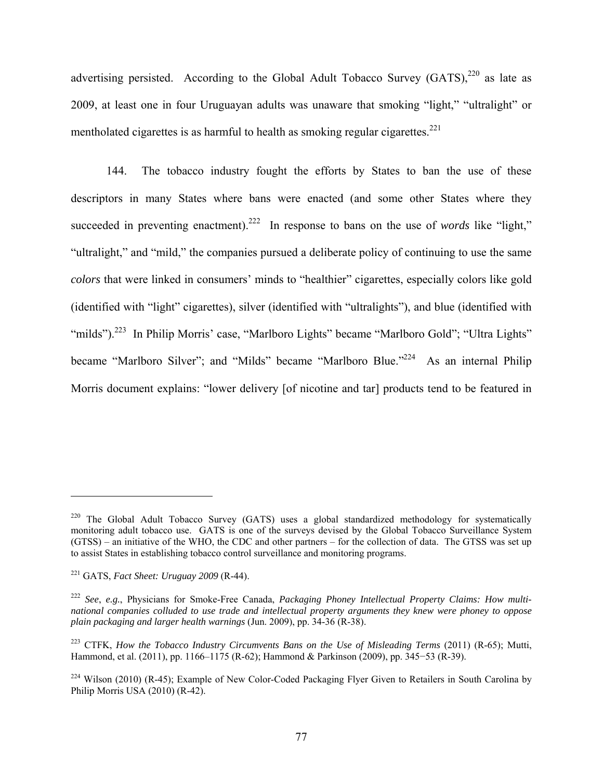advertising persisted. According to the Global Adult Tobacco Survey  $(GATS)$ ,  $^{220}$  as late as 2009, at least one in four Uruguayan adults was unaware that smoking "light," "ultralight" or mentholated cigarettes is as harmful to health as smoking regular cigarettes.<sup>221</sup>

144. The tobacco industry fought the efforts by States to ban the use of these descriptors in many States where bans were enacted (and some other States where they succeeded in preventing enactment).<sup>222</sup> In response to bans on the use of *words* like "light," "ultralight," and "mild," the companies pursued a deliberate policy of continuing to use the same *colors* that were linked in consumers' minds to "healthier" cigarettes, especially colors like gold (identified with "light" cigarettes), silver (identified with "ultralights"), and blue (identified with "milds").<sup>223</sup> In Philip Morris' case, "Marlboro Lights" became "Marlboro Gold"; "Ultra Lights" became "Marlboro Silver"; and "Milds" became "Marlboro Blue."<sup>224</sup> As an internal Philip Morris document explains: "lower delivery [of nicotine and tar] products tend to be featured in

<sup>&</sup>lt;sup>220</sup> The Global Adult Tobacco Survey (GATS) uses a global standardized methodology for systematically monitoring adult tobacco use. GATS is one of the surveys devised by the Global Tobacco Surveillance System (GTSS) – an initiative of the WHO, the CDC and other partners – for the collection of data. The GTSS was set up to assist States in establishing tobacco control surveillance and monitoring programs.

<sup>221</sup> GATS, *Fact Sheet: Uruguay 2009* (R-44).

<sup>222</sup> *See*, *e.g.*, Physicians for Smoke-Free Canada, *Packaging Phoney Intellectual Property Claims: How multinational companies colluded to use trade and intellectual property arguments they knew were phoney to oppose plain packaging and larger health warnings* (Jun. 2009), pp. 34-36 (R-38).

<sup>223</sup> CTFK, *How the Tobacco Industry Circumvents Bans on the Use of Misleading Terms* (2011) (R-65); Mutti, Hammond, et al. (2011), pp. 1166–1175 (R-62); Hammond & Parkinson (2009), pp. 345−53 (R-39).

<sup>&</sup>lt;sup>224</sup> Wilson (2010) (R-45); Example of New Color-Coded Packaging Flyer Given to Retailers in South Carolina by Philip Morris USA (2010) (R-42).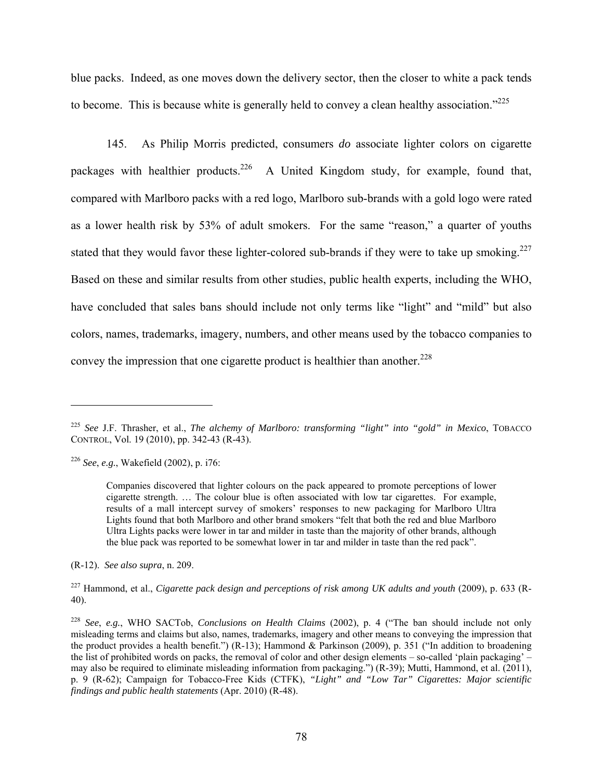blue packs. Indeed, as one moves down the delivery sector, then the closer to white a pack tends to become. This is because white is generally held to convey a clean healthy association.<sup>"225</sup>

145. As Philip Morris predicted, consumers *do* associate lighter colors on cigarette packages with healthier products.<sup>226</sup> A United Kingdom study, for example, found that, compared with Marlboro packs with a red logo, Marlboro sub-brands with a gold logo were rated as a lower health risk by 53% of adult smokers. For the same "reason," a quarter of youths stated that they would favor these lighter-colored sub-brands if they were to take up smoking.<sup>227</sup> Based on these and similar results from other studies, public health experts, including the WHO, have concluded that sales bans should include not only terms like "light" and "mild" but also colors, names, trademarks, imagery, numbers, and other means used by the tobacco companies to convey the impression that one cigarette product is healthier than another.<sup>228</sup>

 $\overline{a}$ 

(R-12). *See also supra*, n. 209.

227 Hammond, et al., *Cigarette pack design and perceptions of risk among UK adults and youth* (2009), p. 633 (R-40).

<sup>225</sup> *See* J.F. Thrasher, et al., *The alchemy of Marlboro: transforming "light" into "gold" in Mexico*, TOBACCO CONTROL, Vol. 19 (2010), pp. 342-43 (R-43).

<sup>226</sup> *See*, *e.g.*, Wakefield (2002), p. i76:

Companies discovered that lighter colours on the pack appeared to promote perceptions of lower cigarette strength. … The colour blue is often associated with low tar cigarettes. For example, results of a mall intercept survey of smokers' responses to new packaging for Marlboro Ultra Lights found that both Marlboro and other brand smokers "felt that both the red and blue Marlboro Ultra Lights packs were lower in tar and milder in taste than the majority of other brands, although the blue pack was reported to be somewhat lower in tar and milder in taste than the red pack".

<sup>228</sup> *See*, *e.g.*, WHO SACTob, *Conclusions on Health Claims* (2002), p. 4 ("The ban should include not only misleading terms and claims but also, names, trademarks, imagery and other means to conveying the impression that the product provides a health benefit.") (R-13); Hammond & Parkinson (2009), p. 351 ("In addition to broadening the list of prohibited words on packs, the removal of color and other design elements – so-called 'plain packaging' – may also be required to eliminate misleading information from packaging.") (R-39); Mutti, Hammond, et al. (2011), p. 9 (R-62); Campaign for Tobacco-Free Kids (CTFK), *"Light" and "Low Tar" Cigarettes: Major scientific findings and public health statements* (Apr. 2010) (R-48).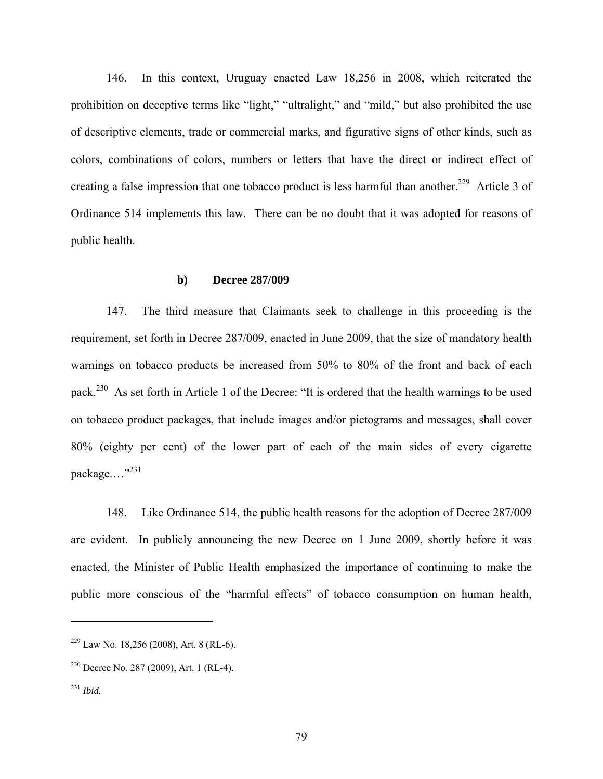146. In this context, Uruguay enacted Law 18,256 in 2008, which reiterated the prohibition on deceptive terms like "light," "ultralight," and "mild," but also prohibited the use of descriptive elements, trade or commercial marks, and figurative signs of other kinds, such as colors, combinations of colors, numbers or letters that have the direct or indirect effect of creating a false impression that one tobacco product is less harmful than another.<sup>229</sup> Article 3 of Ordinance 514 implements this law. There can be no doubt that it was adopted for reasons of public health.

#### **b) Decree 287/009**

147. The third measure that Claimants seek to challenge in this proceeding is the requirement, set forth in Decree 287/009, enacted in June 2009, that the size of mandatory health warnings on tobacco products be increased from 50% to 80% of the front and back of each pack.230 As set forth in Article 1 of the Decree: "It is ordered that the health warnings to be used on tobacco product packages, that include images and/or pictograms and messages, shall cover 80% (eighty per cent) of the lower part of each of the main sides of every cigarette package...."<sup>231</sup>

148. Like Ordinance 514, the public health reasons for the adoption of Decree 287/009 are evident. In publicly announcing the new Decree on 1 June 2009, shortly before it was enacted, the Minister of Public Health emphasized the importance of continuing to make the public more conscious of the "harmful effects" of tobacco consumption on human health,

 $229$  Law No. 18,256 (2008), Art. 8 (RL-6).

<sup>230</sup> Decree No. 287 (2009), Art. 1 (RL-4).

<sup>231</sup> *Ibid.*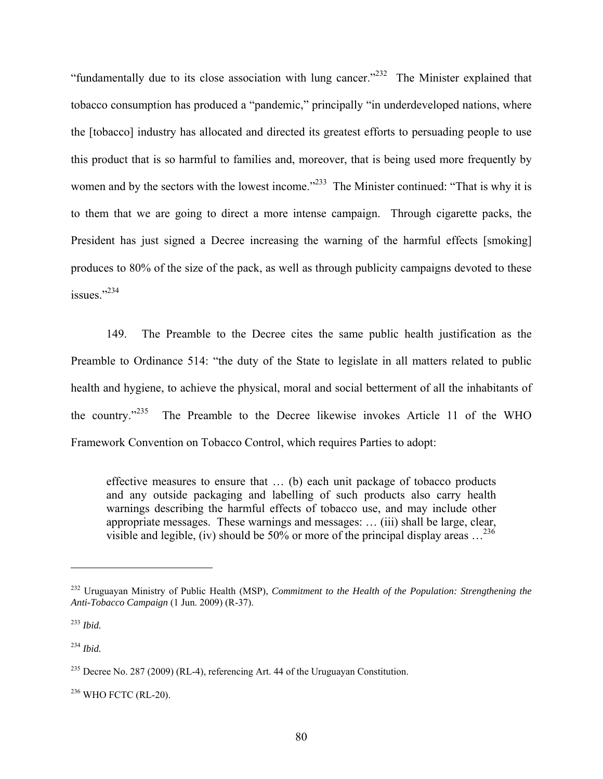"fundamentally due to its close association with lung cancer."<sup>232</sup> The Minister explained that tobacco consumption has produced a "pandemic," principally "in underdeveloped nations, where the [tobacco] industry has allocated and directed its greatest efforts to persuading people to use this product that is so harmful to families and, moreover, that is being used more frequently by women and by the sectors with the lowest income."<sup>233</sup> The Minister continued: "That is why it is to them that we are going to direct a more intense campaign. Through cigarette packs, the President has just signed a Decree increasing the warning of the harmful effects [smoking] produces to 80% of the size of the pack, as well as through publicity campaigns devoted to these issues."234

149. The Preamble to the Decree cites the same public health justification as the Preamble to Ordinance 514: "the duty of the State to legislate in all matters related to public health and hygiene, to achieve the physical, moral and social betterment of all the inhabitants of the country."235 The Preamble to the Decree likewise invokes Article 11 of the WHO Framework Convention on Tobacco Control, which requires Parties to adopt:

effective measures to ensure that … (b) each unit package of tobacco products and any outside packaging and labelling of such products also carry health warnings describing the harmful effects of tobacco use, and may include other appropriate messages. These warnings and messages: … (iii) shall be large, clear, visible and legible, (iv) should be  $50\%$  or more of the principal display areas  $\ldots^{236}$ 

1

<sup>234</sup> *Ibid.* 

236 WHO FCTC (RL-20).

<sup>232</sup> Uruguayan Ministry of Public Health (MSP), *Commitment to the Health of the Population: Strengthening the Anti-Tobacco Campaign* (1 Jun. 2009) (R-37).

<sup>233</sup> *Ibid.* 

<sup>235</sup> Decree No. 287 (2009) (RL-4), referencing Art. 44 of the Uruguayan Constitution.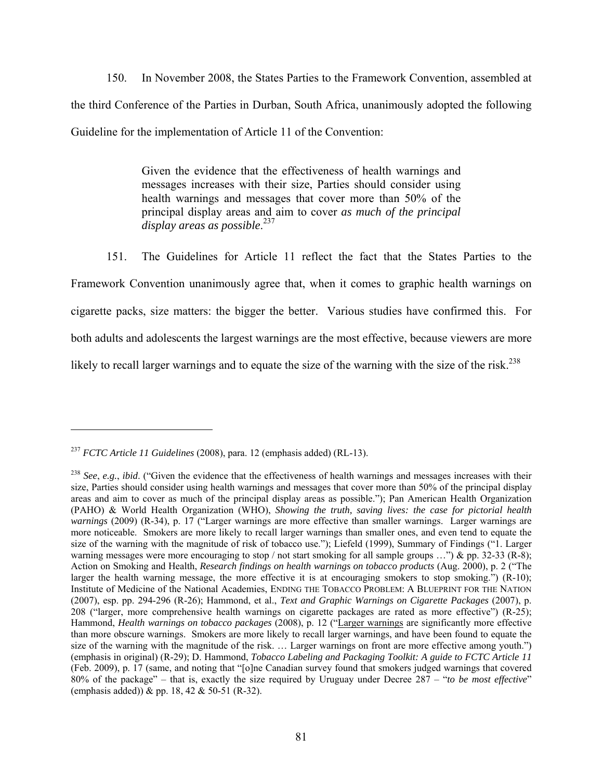150. In November 2008, the States Parties to the Framework Convention, assembled at the third Conference of the Parties in Durban, South Africa, unanimously adopted the following Guideline for the implementation of Article 11 of the Convention:

> Given the evidence that the effectiveness of health warnings and messages increases with their size, Parties should consider using health warnings and messages that cover more than 50% of the principal display areas and aim to cover *as much of the principal display areas as possible*. 237

151. The Guidelines for Article 11 reflect the fact that the States Parties to the Framework Convention unanimously agree that, when it comes to graphic health warnings on cigarette packs, size matters: the bigger the better. Various studies have confirmed this. For both adults and adolescents the largest warnings are the most effective, because viewers are more likely to recall larger warnings and to equate the size of the warning with the size of the risk.<sup>238</sup>

<sup>237</sup> *FCTC Article 11 Guidelines* (2008), para. 12 (emphasis added) (RL-13).

<sup>238</sup> *See*, *e.g.*, *ibid*. ("Given the evidence that the effectiveness of health warnings and messages increases with their size, Parties should consider using health warnings and messages that cover more than 50% of the principal display areas and aim to cover as much of the principal display areas as possible."); Pan American Health Organization (PAHO) & World Health Organization (WHO), *Showing the truth, saving lives: the case for pictorial health warnings* (2009) (R-34), p. 17 ("Larger warnings are more effective than smaller warnings. Larger warnings are more noticeable. Smokers are more likely to recall larger warnings than smaller ones, and even tend to equate the size of the warning with the magnitude of risk of tobacco use."); Liefeld (1999), Summary of Findings ("1. Larger warning messages were more encouraging to stop / not start smoking for all sample groups ...") & pp. 32-33 (R-8); Action on Smoking and Health, *Research findings on health warnings on tobacco products* (Aug. 2000), p. 2 ("The larger the health warning message, the more effective it is at encouraging smokers to stop smoking.") (R-10); Institute of Medicine of the National Academies, ENDING THE TOBACCO PROBLEM: A BLUEPRINT FOR THE NATION (2007), esp. pp. 294-296 (R-26); Hammond, et al., *Text and Graphic Warnings on Cigarette Packages* (2007), p. 208 ("larger, more comprehensive health warnings on cigarette packages are rated as more effective") (R-25); Hammond, *Health warnings on tobacco packages* (2008), p. 12 ("Larger warnings are significantly more effective than more obscure warnings. Smokers are more likely to recall larger warnings, and have been found to equate the size of the warning with the magnitude of the risk. ... Larger warnings on front are more effective among youth.") (emphasis in original) (R-29); D. Hammond, *Tobacco Labeling and Packaging Toolkit: A guide to FCTC Article 11* (Feb. 2009), p. 17 (same, and noting that "[o]ne Canadian survey found that smokers judged warnings that covered 80% of the package" – that is, exactly the size required by Uruguay under Decree 287 – "*to be most effective*" (emphasis added)) & pp. 18, 42 & 50-51 (R-32).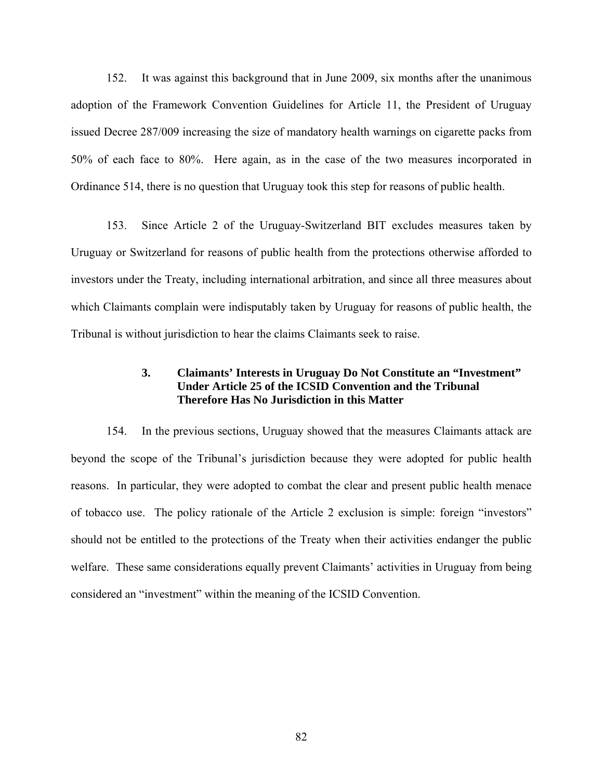152. It was against this background that in June 2009, six months after the unanimous adoption of the Framework Convention Guidelines for Article 11, the President of Uruguay issued Decree 287/009 increasing the size of mandatory health warnings on cigarette packs from 50% of each face to 80%. Here again, as in the case of the two measures incorporated in Ordinance 514, there is no question that Uruguay took this step for reasons of public health.

153. Since Article 2 of the Uruguay-Switzerland BIT excludes measures taken by Uruguay or Switzerland for reasons of public health from the protections otherwise afforded to investors under the Treaty, including international arbitration, and since all three measures about which Claimants complain were indisputably taken by Uruguay for reasons of public health, the Tribunal is without jurisdiction to hear the claims Claimants seek to raise.

## **3. Claimants' Interests in Uruguay Do Not Constitute an "Investment" Under Article 25 of the ICSID Convention and the Tribunal Therefore Has No Jurisdiction in this Matter**

154. In the previous sections, Uruguay showed that the measures Claimants attack are beyond the scope of the Tribunal's jurisdiction because they were adopted for public health reasons. In particular, they were adopted to combat the clear and present public health menace of tobacco use. The policy rationale of the Article 2 exclusion is simple: foreign "investors" should not be entitled to the protections of the Treaty when their activities endanger the public welfare. These same considerations equally prevent Claimants' activities in Uruguay from being considered an "investment" within the meaning of the ICSID Convention.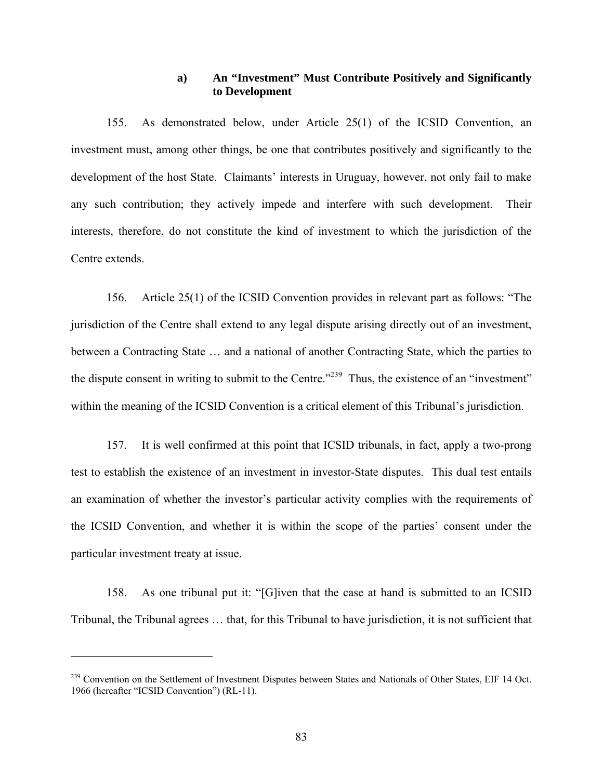### **a) An "Investment" Must Contribute Positively and Significantly to Development**

155. As demonstrated below, under Article 25(1) of the ICSID Convention, an investment must, among other things, be one that contributes positively and significantly to the development of the host State. Claimants' interests in Uruguay, however, not only fail to make any such contribution; they actively impede and interfere with such development. Their interests, therefore, do not constitute the kind of investment to which the jurisdiction of the Centre extends.

156. Article 25(1) of the ICSID Convention provides in relevant part as follows: "The jurisdiction of the Centre shall extend to any legal dispute arising directly out of an investment, between a Contracting State … and a national of another Contracting State, which the parties to the dispute consent in writing to submit to the Centre."<sup>239</sup> Thus, the existence of an "investment" within the meaning of the ICSID Convention is a critical element of this Tribunal's jurisdiction.

157. It is well confirmed at this point that ICSID tribunals, in fact, apply a two-prong test to establish the existence of an investment in investor-State disputes. This dual test entails an examination of whether the investor's particular activity complies with the requirements of the ICSID Convention, and whether it is within the scope of the parties' consent under the particular investment treaty at issue.

158. As one tribunal put it: "[G]iven that the case at hand is submitted to an ICSID Tribunal, the Tribunal agrees … that, for this Tribunal to have jurisdiction, it is not sufficient that

<sup>&</sup>lt;sup>239</sup> Convention on the Settlement of Investment Disputes between States and Nationals of Other States, EIF 14 Oct. 1966 (hereafter "ICSID Convention") (RL-11).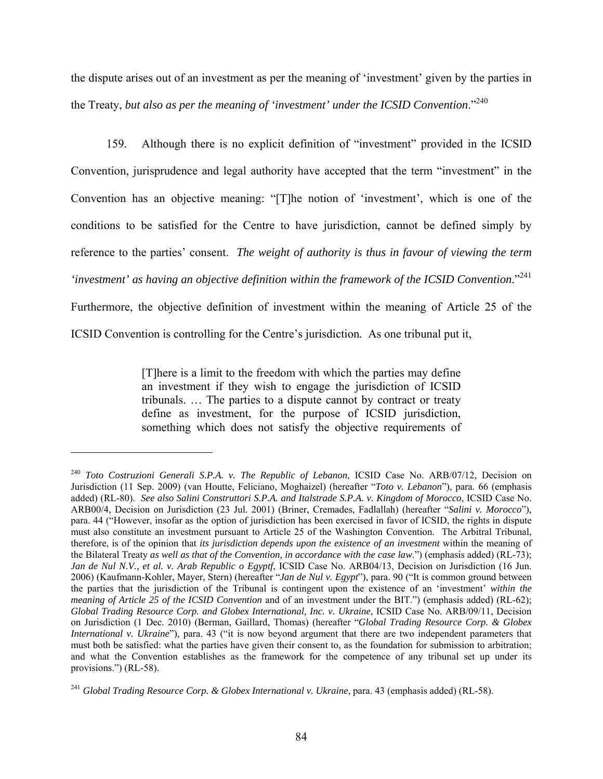the dispute arises out of an investment as per the meaning of 'investment' given by the parties in the Treaty, *but also as per the meaning of 'investment' under the ICSID Convention*."240

159. Although there is no explicit definition of "investment" provided in the ICSID Convention, jurisprudence and legal authority have accepted that the term "investment" in the Convention has an objective meaning: "[T]he notion of 'investment', which is one of the conditions to be satisfied for the Centre to have jurisdiction, cannot be defined simply by reference to the parties' consent.*The weight of authority is thus in favour of viewing the term 'investment' as having an objective definition within the framework of the ICSID Convention*."241 Furthermore, the objective definition of investment within the meaning of Article 25 of the ICSID Convention is controlling for the Centre's jurisdiction*.* As one tribunal put it,

> [T]here is a limit to the freedom with which the parties may define an investment if they wish to engage the jurisdiction of ICSID tribunals. … The parties to a dispute cannot by contract or treaty define as investment, for the purpose of ICSID jurisdiction, something which does not satisfy the objective requirements of

<sup>240</sup> *Toto Costruzioni Generali S.P.A. v. The Republic of Lebanon*, ICSID Case No. ARB/07/12, Decision on Jurisdiction (11 Sep. 2009) (van Houtte, Feliciano, Moghaizel) (hereafter "*Toto v. Lebanon*"), para. 66 (emphasis added) (RL-80). *See also Salini Construttori S.P.A. and Italstrade S.P.A. v. Kingdom of Morocco*, ICSID Case No. ARB00/4, Decision on Jurisdiction (23 Jul. 2001) (Briner, Cremades, Fadlallah) (hereafter "*Salini v. Morocco*"), para. 44 ("However, insofar as the option of jurisdiction has been exercised in favor of ICSID, the rights in dispute must also constitute an investment pursuant to Article 25 of the Washington Convention. The Arbitral Tribunal, therefore, is of the opinion that *its jurisdiction depends upon the existence of an investment* within the meaning of the Bilateral Treaty *as well as that of the Convention, in accordance with the case law*.") (emphasis added) (RL-73); *Jan de Nul N.V., et al. v. Arab Republic o Egyptf*, ICSID Case No. ARB04/13, Decision on Jurisdiction (16 Jun. 2006) (Kaufmann-Kohler, Mayer, Stern) (hereafter "*Jan de Nul v. Egypt*"), para. 90 ("It is common ground between the parties that the jurisdiction of the Tribunal is contingent upon the existence of an 'investment' *within the meaning of Article 25 of the ICSID Convention* and of an investment under the BIT.") (emphasis added) (RL-62); *Global Trading Resource Corp. and Globex International, Inc. v. Ukraine*, ICSID Case No. ARB/09/11, Decision on Jurisdiction (1 Dec. 2010) (Berman, Gaillard, Thomas) (hereafter "*Global Trading Resource Corp. & Globex International v. Ukraine*"), para. 43 ("it is now beyond argument that there are two independent parameters that must both be satisfied: what the parties have given their consent to, as the foundation for submission to arbitration; and what the Convention establishes as the framework for the competence of any tribunal set up under its provisions.") (RL-58).

<sup>241</sup> *Global Trading Resource Corp. & Globex International v. Ukraine*, para. 43 (emphasis added) (RL-58).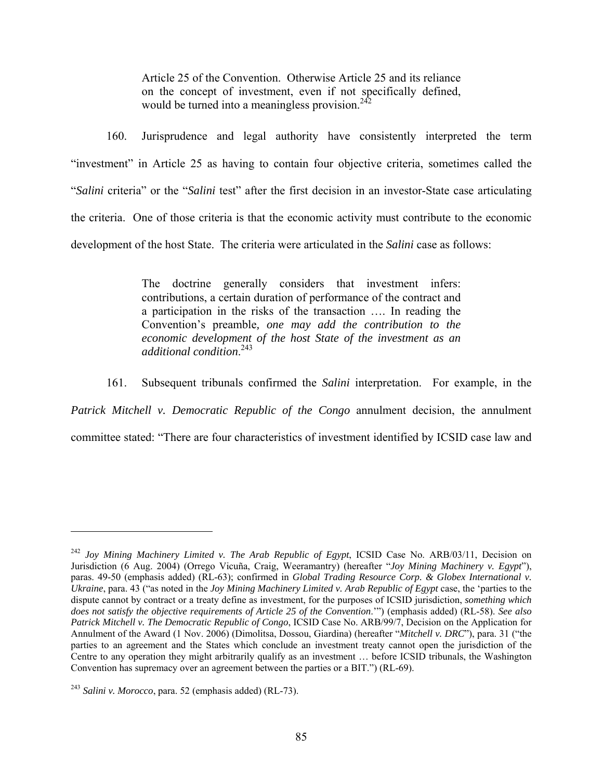Article 25 of the Convention. Otherwise Article 25 and its reliance on the concept of investment, even if not specifically defined, would be turned into a meaningless provision.<sup> $242$ </sup>

160. Jurisprudence and legal authority have consistently interpreted the term "investment" in Article 25 as having to contain four objective criteria, sometimes called the "*Salini* criteria" or the "*Salini* test" after the first decision in an investor-State case articulating the criteria. One of those criteria is that the economic activity must contribute to the economic development of the host State. The criteria were articulated in the *Salini* case as follows:

> The doctrine generally considers that investment infers: contributions, a certain duration of performance of the contract and a participation in the risks of the transaction …. In reading the Convention's preamble*, one may add the contribution to the economic development of the host State of the investment as an additional condition*. 243

161. Subsequent tribunals confirmed the *Salini* interpretation. For example, in the *Patrick Mitchell v. Democratic Republic of the Congo* annulment decision, the annulment

committee stated: "There are four characteristics of investment identified by ICSID case law and

<sup>&</sup>lt;sup>242</sup> Joy Mining Machinery Limited v. The Arab Republic of Egypt, ICSID Case No. ARB/03/11, Decision on Jurisdiction (6 Aug. 2004) (Orrego Vicuña, Craig, Weeramantry) (hereafter "*Joy Mining Machinery v. Egypt*"), paras. 49-50 (emphasis added) (RL-63); confirmed in *Global Trading Resource Corp. & Globex International v. Ukraine*, para. 43 ("as noted in the *Joy Mining Machinery Limited v. Arab Republic of Egypt* case, the 'parties to the dispute cannot by contract or a treaty define as investment, for the purposes of ICSID jurisdiction, *something which does not satisfy the objective requirements of Article 25 of the Convention*.'") (emphasis added) (RL-58). *See also Patrick Mitchell v. The Democratic Republic of Congo*, ICSID Case No. ARB/99/7, Decision on the Application for Annulment of the Award (1 Nov. 2006) (Dimolitsa, Dossou, Giardina) (hereafter "*Mitchell v. DRC*"), para. 31 ("the parties to an agreement and the States which conclude an investment treaty cannot open the jurisdiction of the Centre to any operation they might arbitrarily qualify as an investment … before ICSID tribunals, the Washington Convention has supremacy over an agreement between the parties or a BIT.") (RL-69).

<sup>243</sup> *Salini v. Morocco*, para. 52 (emphasis added) (RL-73).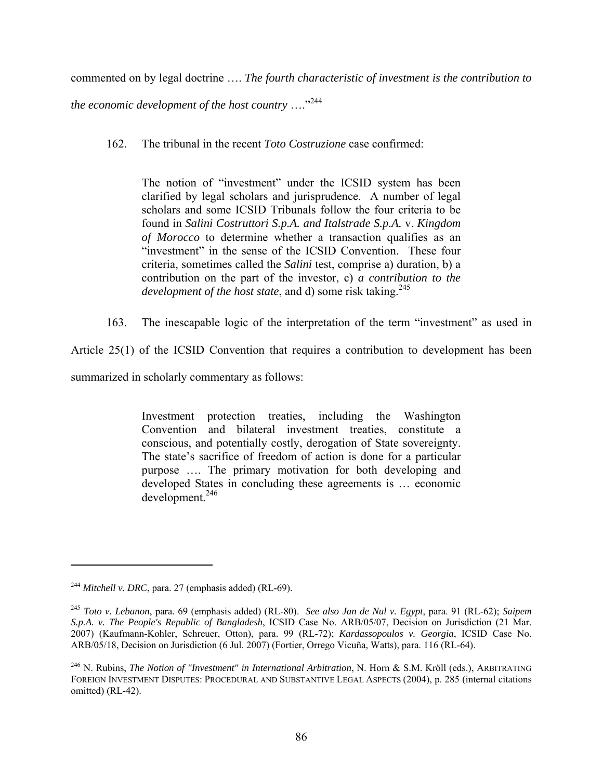commented on by legal doctrine …. *The fourth characteristic of investment is the contribution to* 

*the economic development of the host country* …."244

162. The tribunal in the recent *Toto Costruzione* case confirmed:

The notion of "investment" under the ICSID system has been clarified by legal scholars and jurisprudence. A number of legal scholars and some ICSID Tribunals follow the four criteria to be found in *Salini Costruttori S.p.A. and Italstrade S.p.A.* v. *Kingdom of Morocco* to determine whether a transaction qualifies as an "investment" in the sense of the ICSID Convention. These four criteria, sometimes called the *Salini* test, comprise a) duration, b) a contribution on the part of the investor, c) *a contribution to the development of the host state*, and d) some risk taking.<sup>245</sup>

163. The inescapable logic of the interpretation of the term "investment" as used in

Article 25(1) of the ICSID Convention that requires a contribution to development has been

summarized in scholarly commentary as follows:

Investment protection treaties, including the Washington Convention and bilateral investment treaties, constitute a conscious, and potentially costly, derogation of State sovereignty. The state's sacrifice of freedom of action is done for a particular purpose …. The primary motivation for both developing and developed States in concluding these agreements is … economic development.<sup>246</sup>

<sup>244</sup> *Mitchell v. DRC*, para. 27 (emphasis added) (RL-69).

<sup>245</sup> *Toto v. Lebanon*, para. 69 (emphasis added) (RL-80). *See also Jan de Nul v. Egypt*, para. 91 (RL-62); *Saipem S.p.A. v. The People's Republic of Bangladesh*, ICSID Case No. ARB/05/07, Decision on Jurisdiction (21 Mar. 2007) (Kaufmann-Kohler, Schreuer, Otton), para. 99 (RL-72); *Kardassopoulos v. Georgia*, ICSID Case No. ARB/05/18, Decision on Jurisdiction (6 Jul. 2007) (Fortier, Orrego Vicuña, Watts), para. 116 (RL-64).

<sup>246</sup> N. Rubins, *The Notion of "Investment" in International Arbitration*, N. Horn & S.M. Kröll (eds.), ARBITRATING FOREIGN INVESTMENT DISPUTES: PROCEDURAL AND SUBSTANTIVE LEGAL ASPECTS (2004), p. 285 (internal citations omitted) (RL-42).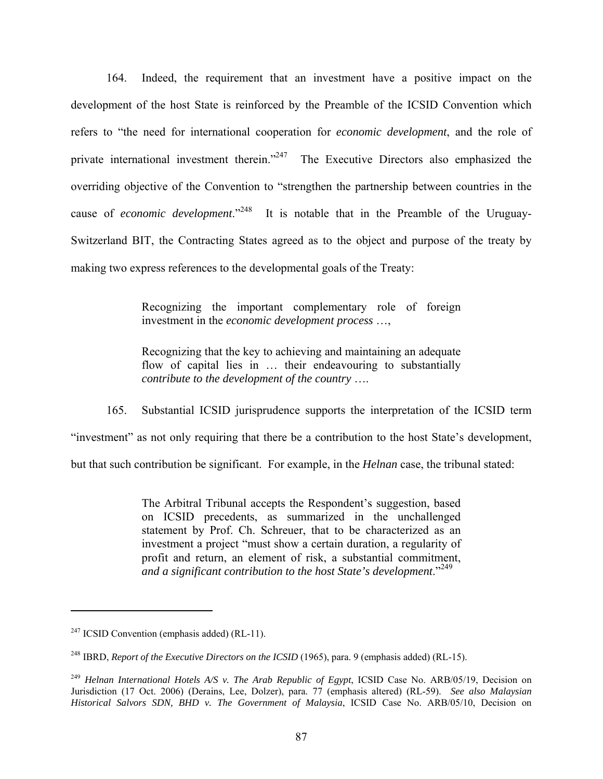164. Indeed, the requirement that an investment have a positive impact on the development of the host State is reinforced by the Preamble of the ICSID Convention which refers to "the need for international cooperation for *economic development*, and the role of private international investment therein."<sup>247</sup> The Executive Directors also emphasized the overriding objective of the Convention to "strengthen the partnership between countries in the cause of *economic development*."248 It is notable that in the Preamble of the Uruguay-Switzerland BIT, the Contracting States agreed as to the object and purpose of the treaty by making two express references to the developmental goals of the Treaty:

> Recognizing the important complementary role of foreign investment in the *economic development process* …,

> Recognizing that the key to achieving and maintaining an adequate flow of capital lies in ... their endeavouring to substantially *contribute to the development of the country* ….

165. Substantial ICSID jurisprudence supports the interpretation of the ICSID term "investment" as not only requiring that there be a contribution to the host State's development, but that such contribution be significant. For example, in the *Helnan* case, the tribunal stated:

> The Arbitral Tribunal accepts the Respondent's suggestion, based on ICSID precedents, as summarized in the unchallenged statement by Prof. Ch. Schreuer, that to be characterized as an investment a project "must show a certain duration, a regularity of profit and return, an element of risk, a substantial commitment, *and a significant contribution to the host State's development*."<sup>249</sup>

 $247$  ICSID Convention (emphasis added) (RL-11).

<sup>&</sup>lt;sup>248</sup> IBRD, *Report of the Executive Directors on the ICSID* (1965), para. 9 (emphasis added) (RL-15).

<sup>249</sup> *Helnan International Hotels A/S v. The Arab Republic of Egypt*, ICSID Case No. ARB/05/19, Decision on Jurisdiction (17 Oct. 2006) (Derains, Lee, Dolzer), para. 77 (emphasis altered) (RL-59). *See also Malaysian Historical Salvors SDN, BHD v. The Government of Malaysia*, ICSID Case No. ARB/05/10, Decision on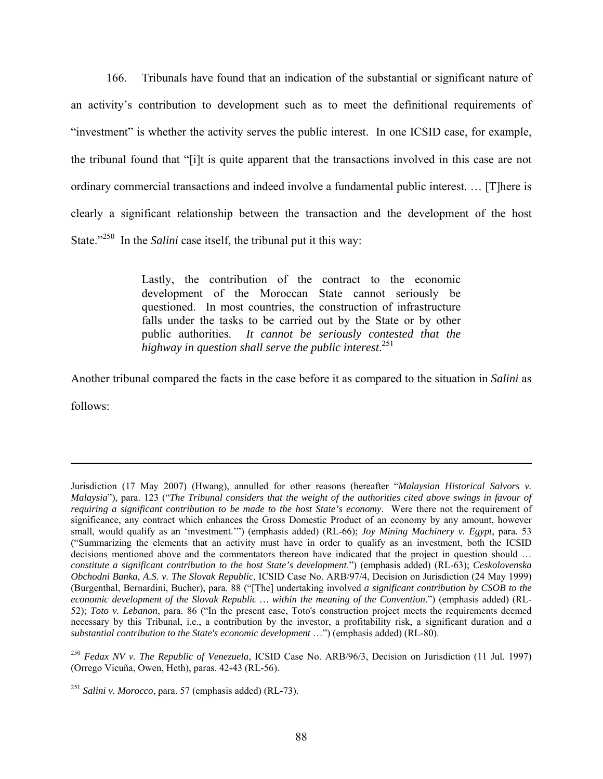166. Tribunals have found that an indication of the substantial or significant nature of an activity's contribution to development such as to meet the definitional requirements of "investment" is whether the activity serves the public interest. In one ICSID case, for example, the tribunal found that "[i]t is quite apparent that the transactions involved in this case are not ordinary commercial transactions and indeed involve a fundamental public interest. … [T]here is clearly a significant relationship between the transaction and the development of the host State."<sup>250</sup> In the *Salini* case itself, the tribunal put it this way:

> Lastly, the contribution of the contract to the economic development of the Moroccan State cannot seriously be questioned. In most countries, the construction of infrastructure falls under the tasks to be carried out by the State or by other public authorities. *It cannot be seriously contested that the highway in question shall serve the public interest*. 251

Another tribunal compared the facts in the case before it as compared to the situation in *Salini* as

follows:

Jurisdiction (17 May 2007) (Hwang), annulled for other reasons (hereafter "*Malaysian Historical Salvors v. Malaysia*"), para. 123 ("*The Tribunal considers that the weight of the authorities cited above swings in favour of requiring a significant contribution to be made to the host State's economy*. Were there not the requirement of significance, any contract which enhances the Gross Domestic Product of an economy by any amount, however small, would qualify as an 'investment.'") (emphasis added) (RL-66); *Joy Mining Machinery v. Egypt*, para. 53 ("Summarizing the elements that an activity must have in order to qualify as an investment, both the ICSID decisions mentioned above and the commentators thereon have indicated that the project in question should … *constitute a significant contribution to the host State's development*.") (emphasis added) (RL-63); *Ceskolovenska Obchodni Banka, A.S. v. The Slovak Republic*, ICSID Case No. ARB/97/4, Decision on Jurisdiction (24 May 1999) (Burgenthal, Bernardini, Bucher), para. 88 ("[The] undertaking involved *a significant contribution by CSOB to the economic development of the Slovak Republic … within the meaning of the Convention*.") (emphasis added) (RL-52); *Toto v. Lebanon*, para. 86 ("In the present case, Toto's construction project meets the requirements deemed necessary by this Tribunal, i.e., a contribution by the investor, a profitability risk, a significant duration and *a substantial contribution to the State's economic development* …") (emphasis added) (RL-80).

<sup>250</sup> *Fedax NV v. The Republic of Venezuela*, ICSID Case No. ARB/96/3, Decision on Jurisdiction (11 Jul. 1997) (Orrego Vicuña, Owen, Heth), paras. 42-43 (RL-56).

<sup>251</sup> *Salini v. Morocco*, para. 57 (emphasis added) (RL-73).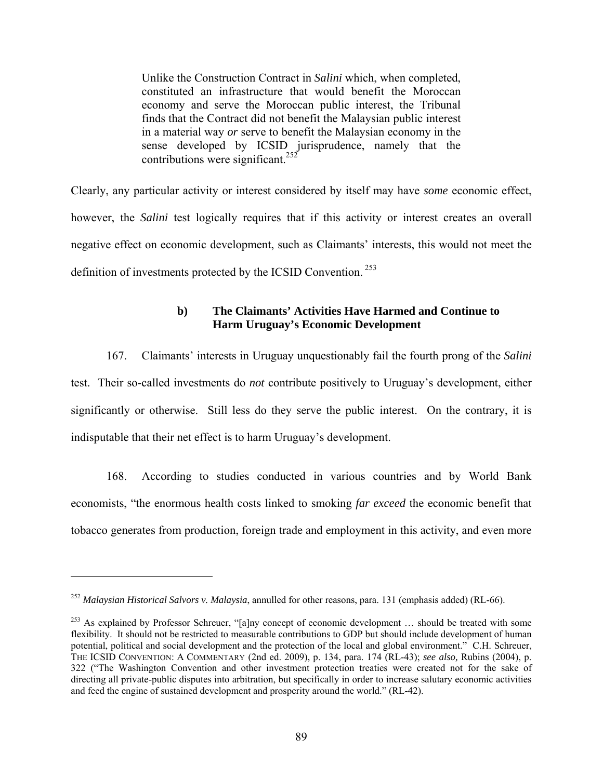Unlike the Construction Contract in *Salini* which, when completed, constituted an infrastructure that would benefit the Moroccan economy and serve the Moroccan public interest, the Tribunal finds that the Contract did not benefit the Malaysian public interest in a material way *or* serve to benefit the Malaysian economy in the sense developed by ICSID jurisprudence, namely that the contributions were significant.<sup>252</sup>

Clearly, any particular activity or interest considered by itself may have *some* economic effect, however, the *Salini* test logically requires that if this activity or interest creates an overall negative effect on economic development, such as Claimants' interests, this would not meet the definition of investments protected by the ICSID Convention.<sup>253</sup>

# **b) The Claimants' Activities Have Harmed and Continue to Harm Uruguay's Economic Development**

167. Claimants' interests in Uruguay unquestionably fail the fourth prong of the *Salini*  test. Their so-called investments do *not* contribute positively to Uruguay's development, either significantly or otherwise. Still less do they serve the public interest. On the contrary, it is indisputable that their net effect is to harm Uruguay's development.

168. According to studies conducted in various countries and by World Bank economists, "the enormous health costs linked to smoking *far exceed* the economic benefit that tobacco generates from production, foreign trade and employment in this activity, and even more

<sup>252</sup> *Malaysian Historical Salvors v. Malaysia*, annulled for other reasons, para. 131 (emphasis added) (RL-66).

<sup>&</sup>lt;sup>253</sup> As explained by Professor Schreuer, "[a]ny concept of economic development ... should be treated with some flexibility. It should not be restricted to measurable contributions to GDP but should include development of human potential, political and social development and the protection of the local and global environment." C.H. Schreuer, THE ICSID CONVENTION: A COMMENTARY (2nd ed. 2009), p. 134, para. 174 (RL-43); *see also,* Rubins (2004), p. 322 ("The Washington Convention and other investment protection treaties were created not for the sake of directing all private-public disputes into arbitration, but specifically in order to increase salutary economic activities and feed the engine of sustained development and prosperity around the world." (RL-42).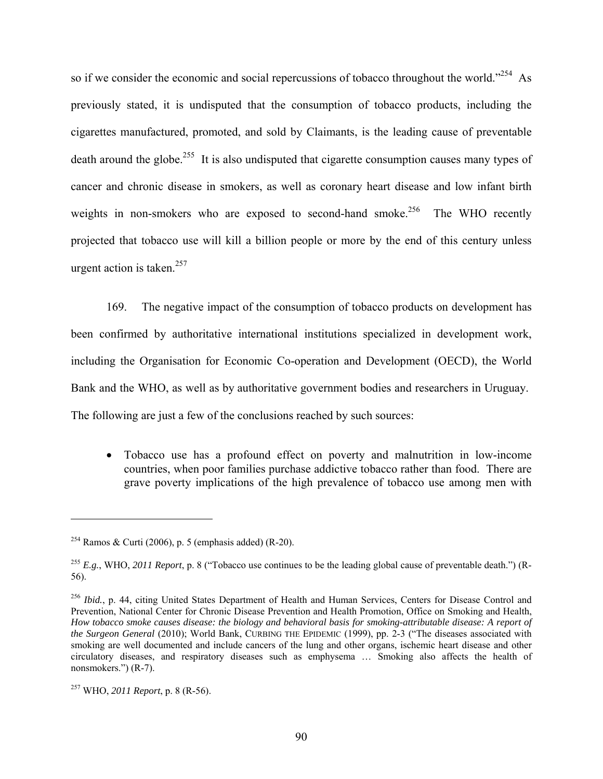so if we consider the economic and social repercussions of tobacco throughout the world."<sup>254</sup> As previously stated, it is undisputed that the consumption of tobacco products, including the cigarettes manufactured, promoted, and sold by Claimants, is the leading cause of preventable death around the globe.<sup>255</sup> It is also undisputed that cigarette consumption causes many types of cancer and chronic disease in smokers, as well as coronary heart disease and low infant birth weights in non-smokers who are exposed to second-hand smoke.<sup>256</sup> The WHO recently projected that tobacco use will kill a billion people or more by the end of this century unless urgent action is taken.<sup>257</sup>

169. The negative impact of the consumption of tobacco products on development has been confirmed by authoritative international institutions specialized in development work, including the Organisation for Economic Co-operation and Development (OECD), the World Bank and the WHO, as well as by authoritative government bodies and researchers in Uruguay. The following are just a few of the conclusions reached by such sources:

 Tobacco use has a profound effect on poverty and malnutrition in low-income countries, when poor families purchase addictive tobacco rather than food. There are grave poverty implications of the high prevalence of tobacco use among men with

<sup>&</sup>lt;sup>254</sup> Ramos & Curti (2006), p. 5 (emphasis added) (R-20).

<sup>255</sup> *E.g.*, WHO, *2011 Report*, p. 8 ("Tobacco use continues to be the leading global cause of preventable death.") (R-56).

<sup>&</sup>lt;sup>256</sup> *Ibid.*, p. 44, citing United States Department of Health and Human Services, Centers for Disease Control and Prevention, National Center for Chronic Disease Prevention and Health Promotion, Office on Smoking and Health, *How tobacco smoke causes disease: the biology and behavioral basis for smoking-attributable disease: A report of the Surgeon General* (2010); World Bank, CURBING THE EPIDEMIC (1999), pp. 2-3 ("The diseases associated with smoking are well documented and include cancers of the lung and other organs, ischemic heart disease and other circulatory diseases, and respiratory diseases such as emphysema … Smoking also affects the health of nonsmokers.") (R-7).

<sup>257</sup> WHO, *2011 Report*, p. 8 (R-56).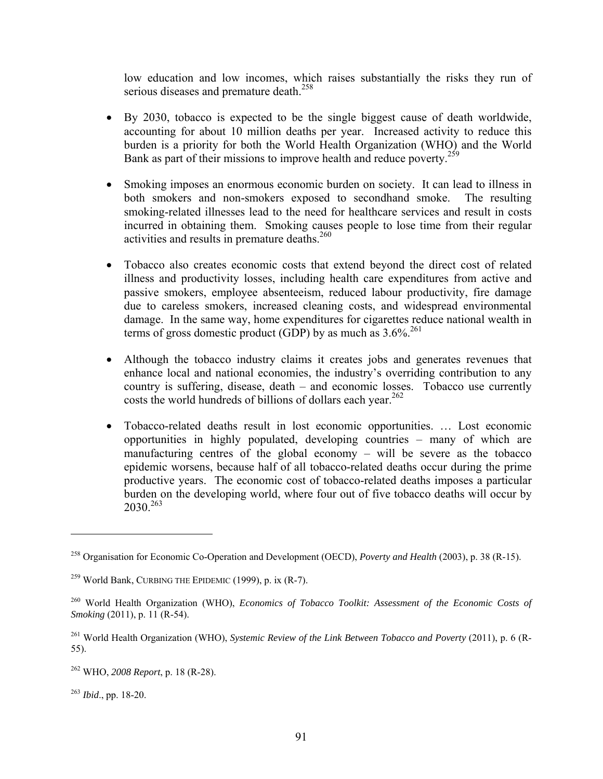low education and low incomes, which raises substantially the risks they run of serious diseases and premature death.<sup>258</sup>

- By 2030, tobacco is expected to be the single biggest cause of death worldwide, accounting for about 10 million deaths per year. Increased activity to reduce this burden is a priority for both the World Health Organization (WHO) and the World Bank as part of their missions to improve health and reduce poverty.<sup>259</sup>
- Smoking imposes an enormous economic burden on society. It can lead to illness in both smokers and non-smokers exposed to secondhand smoke. The resulting smoking-related illnesses lead to the need for healthcare services and result in costs incurred in obtaining them. Smoking causes people to lose time from their regular activities and results in premature deaths.  $260$
- Tobacco also creates economic costs that extend beyond the direct cost of related illness and productivity losses, including health care expenditures from active and passive smokers, employee absenteeism, reduced labour productivity, fire damage due to careless smokers, increased cleaning costs, and widespread environmental damage. In the same way, home expenditures for cigarettes reduce national wealth in terms of gross domestic product (GDP) by as much as  $3.6\%$ <sup>261</sup>
- Although the tobacco industry claims it creates jobs and generates revenues that enhance local and national economies, the industry's overriding contribution to any country is suffering, disease, death – and economic losses. Tobacco use currently costs the world hundreds of billions of dollars each year.<sup>262</sup>
- Tobacco-related deaths result in lost economic opportunities. … Lost economic opportunities in highly populated, developing countries – many of which are manufacturing centres of the global economy – will be severe as the tobacco epidemic worsens, because half of all tobacco-related deaths occur during the prime productive years. The economic cost of tobacco-related deaths imposes a particular burden on the developing world, where four out of five tobacco deaths will occur by  $2030^{263}$

<sup>258</sup> Organisation for Economic Co-Operation and Development (OECD), *Poverty and Health* (2003), p. 38 (R-15).

<sup>&</sup>lt;sup>259</sup> World Bank, CURBING THE EPIDEMIC  $(1999)$ , p. ix  $(R-7)$ .

<sup>260</sup> World Health Organization (WHO), *Economics of Tobacco Toolkit: Assessment of the Economic Costs of Smoking* (2011), p. 11 (R-54).

<sup>261</sup> World Health Organization (WHO), *Systemic Review of the Link Between Tobacco and Poverty* (2011), p. 6 (R-55).

<sup>262</sup> WHO, *2008 Report*, p. 18 (R-28).

<sup>263</sup> *Ibid*., pp. 18-20.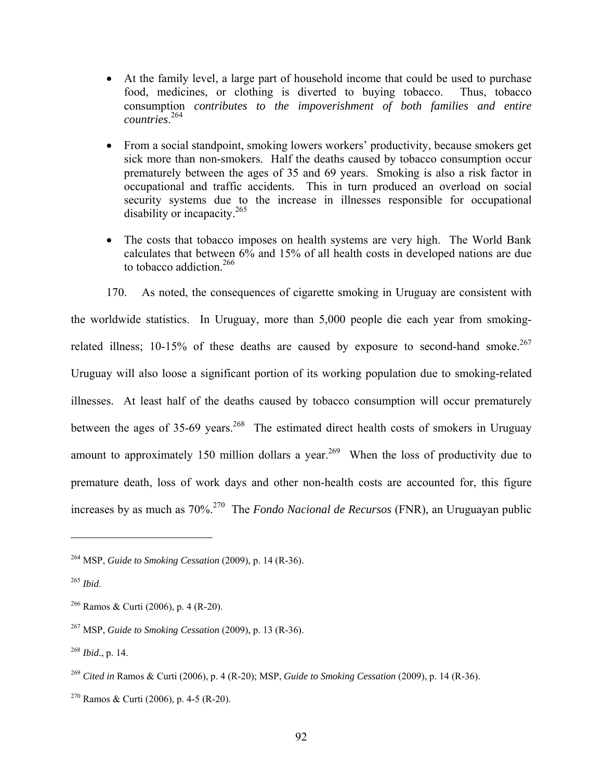- At the family level, a large part of household income that could be used to purchase food, medicines, or clothing is diverted to buying tobacco. Thus, tobacco consumption *contributes to the impoverishment of both families and entire countries*. 264
- From a social standpoint, smoking lowers workers' productivity, because smokers get sick more than non-smokers. Half the deaths caused by tobacco consumption occur prematurely between the ages of 35 and 69 years. Smoking is also a risk factor in occupational and traffic accidents. This in turn produced an overload on social security systems due to the increase in illnesses responsible for occupational disability or incapacity.<sup>265</sup>
- The costs that tobacco imposes on health systems are very high. The World Bank calculates that between 6% and 15% of all health costs in developed nations are due to tobacco addiction.<sup>266</sup>

170. As noted, the consequences of cigarette smoking in Uruguay are consistent with the worldwide statistics. In Uruguay, more than 5,000 people die each year from smokingrelated illness; 10-15% of these deaths are caused by exposure to second-hand smoke.<sup>267</sup> Uruguay will also loose a significant portion of its working population due to smoking-related illnesses. At least half of the deaths caused by tobacco consumption will occur prematurely between the ages of 35-69 years.<sup>268</sup> The estimated direct health costs of smokers in Uruguay amount to approximately 150 million dollars a year.<sup>269</sup> When the loss of productivity due to premature death, loss of work days and other non-health costs are accounted for, this figure increases by as much as 70%.270 The *Fondo Nacional de Recursos* (FNR), an Uruguayan public

<sup>264</sup> MSP, *Guide to Smoking Cessation* (2009), p. 14 (R-36).

<sup>265</sup> *Ibid*.

<sup>&</sup>lt;sup>266</sup> Ramos & Curti (2006), p. 4 (R-20).

<sup>267</sup> MSP, *Guide to Smoking Cessation* (2009), p. 13 (R-36).

<sup>268</sup> *Ibid.*, p. 14.

<sup>269</sup> *Cited in* Ramos & Curti (2006), p. 4 (R-20); MSP, *Guide to Smoking Cessation* (2009), p. 14 (R-36).

<sup>&</sup>lt;sup>270</sup> Ramos & Curti (2006), p. 4-5 (R-20).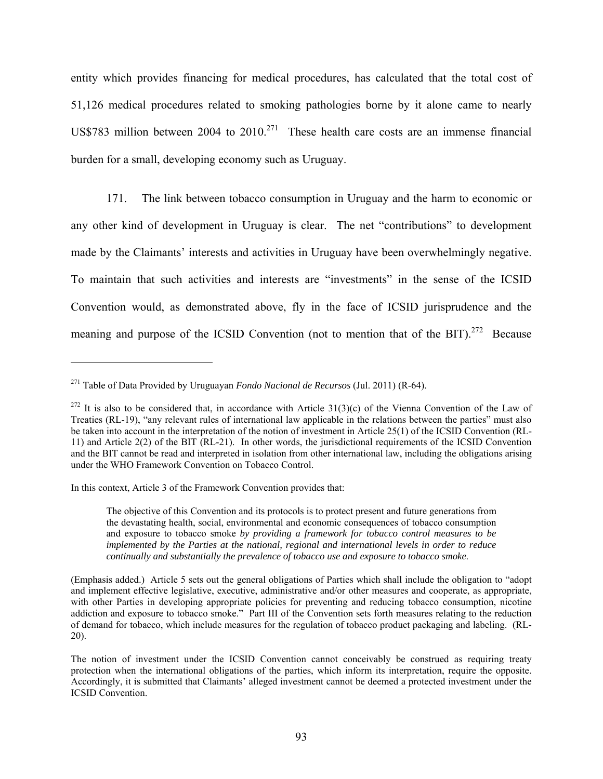entity which provides financing for medical procedures, has calculated that the total cost of 51,126 medical procedures related to smoking pathologies borne by it alone came to nearly US\$783 million between 2004 to  $2010^{271}$  These health care costs are an immense financial burden for a small, developing economy such as Uruguay.

171. The link between tobacco consumption in Uruguay and the harm to economic or any other kind of development in Uruguay is clear. The net "contributions" to development made by the Claimants' interests and activities in Uruguay have been overwhelmingly negative. To maintain that such activities and interests are "investments" in the sense of the ICSID Convention would, as demonstrated above, fly in the face of ICSID jurisprudence and the meaning and purpose of the ICSID Convention (not to mention that of the BIT).<sup>272</sup> Because

In this context, Article 3 of the Framework Convention provides that:

 $\overline{a}$ 

The objective of this Convention and its protocols is to protect present and future generations from the devastating health, social, environmental and economic consequences of tobacco consumption and exposure to tobacco smoke *by providing a framework for tobacco control measures to be implemented by the Parties at the national, regional and international levels in order to reduce continually and substantially the prevalence of tobacco use and exposure to tobacco smoke*.

<sup>271</sup> Table of Data Provided by Uruguayan *Fondo Nacional de Recursos* (Jul. 2011) (R-64).

<sup>&</sup>lt;sup>272</sup> It is also to be considered that, in accordance with Article  $31(3)(c)$  of the Vienna Convention of the Law of Treaties (RL-19), "any relevant rules of international law applicable in the relations between the parties" must also be taken into account in the interpretation of the notion of investment in Article 25(1) of the ICSID Convention (RL-11) and Article 2(2) of the BIT (RL-21). In other words, the jurisdictional requirements of the ICSID Convention and the BIT cannot be read and interpreted in isolation from other international law, including the obligations arising under the WHO Framework Convention on Tobacco Control.

<sup>(</sup>Emphasis added.) Article 5 sets out the general obligations of Parties which shall include the obligation to "adopt and implement effective legislative, executive, administrative and/or other measures and cooperate, as appropriate, with other Parties in developing appropriate policies for preventing and reducing tobacco consumption, nicotine addiction and exposure to tobacco smoke." Part III of the Convention sets forth measures relating to the reduction of demand for tobacco, which include measures for the regulation of tobacco product packaging and labeling. (RL-20).

The notion of investment under the ICSID Convention cannot conceivably be construed as requiring treaty protection when the international obligations of the parties, which inform its interpretation, require the opposite. Accordingly, it is submitted that Claimants' alleged investment cannot be deemed a protected investment under the ICSID Convention.